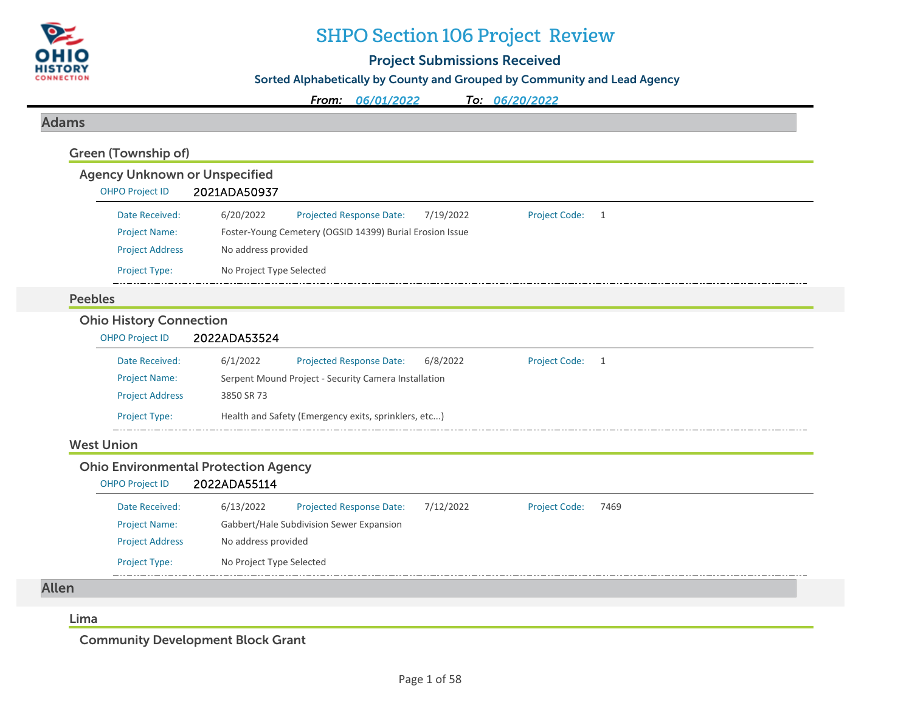

## SHPO Section 106 Project Review

### Project Submissions Received

Sorted Alphabetically by County and Grouped by Community and Lead Agency

*From: 06/01/2022To: 06/20/2022*

#### Adams

| <b>Agency Unknown or Unspecified</b>        |                                                      |                                                          |           |                      |      |  |
|---------------------------------------------|------------------------------------------------------|----------------------------------------------------------|-----------|----------------------|------|--|
| <b>OHPO Project ID</b>                      | 2021ADA50937                                         |                                                          |           |                      |      |  |
| Date Received:                              | 6/20/2022                                            | Projected Response Date:                                 | 7/19/2022 | <b>Project Code:</b> | 1    |  |
| <b>Project Name:</b>                        |                                                      | Foster-Young Cemetery (OGSID 14399) Burial Erosion Issue |           |                      |      |  |
| <b>Project Address</b>                      | No address provided                                  |                                                          |           |                      |      |  |
| Project Type:                               | No Project Type Selected                             |                                                          |           |                      |      |  |
| <b>Peebles</b>                              |                                                      |                                                          |           |                      |      |  |
| <b>Ohio History Connection</b>              |                                                      |                                                          |           |                      |      |  |
| <b>OHPO Project ID</b>                      | 2022ADA53524                                         |                                                          |           |                      |      |  |
| Date Received:                              | 6/1/2022                                             | Projected Response Date:                                 | 6/8/2022  | <b>Project Code:</b> | 1    |  |
| <b>Project Name:</b>                        | Serpent Mound Project - Security Camera Installation |                                                          |           |                      |      |  |
| <b>Project Address</b>                      | 3850 SR 73                                           |                                                          |           |                      |      |  |
| Project Type:                               |                                                      | Health and Safety (Emergency exits, sprinklers, etc)     |           |                      |      |  |
| <b>West Union</b>                           |                                                      |                                                          |           |                      |      |  |
| <b>Ohio Environmental Protection Agency</b> |                                                      |                                                          |           |                      |      |  |
| <b>OHPO Project ID</b>                      | 2022ADA55114                                         |                                                          |           |                      |      |  |
| Date Received:                              | 6/13/2022                                            | Projected Response Date:                                 | 7/12/2022 | <b>Project Code:</b> | 7469 |  |
| <b>Project Name:</b>                        |                                                      | Gabbert/Hale Subdivision Sewer Expansion                 |           |                      |      |  |
| <b>Project Address</b>                      | No address provided                                  |                                                          |           |                      |      |  |
| Project Type:                               | No Project Type Selected                             |                                                          |           |                      |      |  |

#### Lima

Community Development Block Grant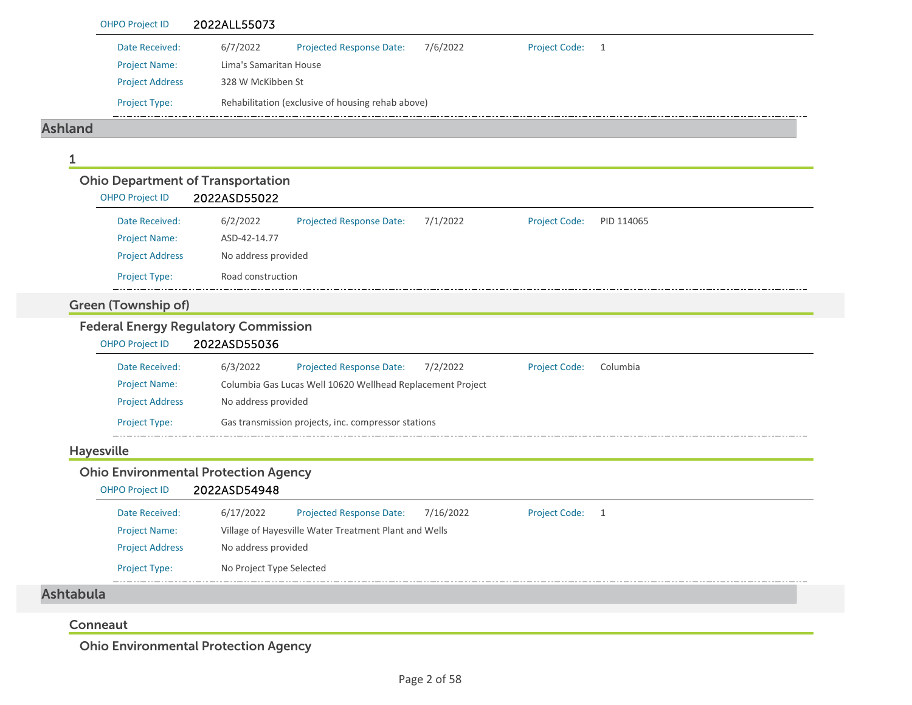| <b>OHPO Project ID</b>                   | 2022ALL55073                                                                                  |
|------------------------------------------|-----------------------------------------------------------------------------------------------|
| Date Received:                           | 6/7/2022<br><b>Projected Response Date:</b><br>7/6/2022<br>Project Code: 1                    |
| <b>Project Name:</b>                     | Lima's Samaritan House<br>328 W McKibben St                                                   |
| <b>Project Address</b>                   |                                                                                               |
| Project Type:                            | Rehabilitation (exclusive of housing rehab above)                                             |
| <b>Ashland</b>                           |                                                                                               |
|                                          |                                                                                               |
| <b>Ohio Department of Transportation</b> |                                                                                               |
| <b>OHPO Project ID</b>                   | 2022ASD55022                                                                                  |
| Date Received:                           | 6/2/2022<br><b>Projected Response Date:</b><br>7/1/2022<br><b>Project Code:</b><br>PID 114065 |
| <b>Project Name:</b>                     | ASD-42-14.77                                                                                  |
| <b>Project Address</b>                   | No address provided                                                                           |
| <b>Project Type:</b>                     | Road construction                                                                             |
| <b>Green (Township of)</b>               |                                                                                               |
|                                          | <b>Federal Energy Regulatory Commission</b>                                                   |
| <b>OHPO Project ID</b>                   | 2022ASD55036                                                                                  |
|                                          |                                                                                               |
| Date Received:                           | 6/3/2022<br><b>Projected Response Date:</b><br>7/2/2022<br><b>Project Code:</b><br>Columbia   |
| <b>Project Name:</b>                     | Columbia Gas Lucas Well 10620 Wellhead Replacement Project                                    |
| <b>Project Address</b>                   | No address provided                                                                           |
| Project Type:                            | Gas transmission projects, inc. compressor stations                                           |
| <b>Hayesville</b>                        |                                                                                               |
| <b>OHPO Project ID</b>                   | <b>Ohio Environmental Protection Agency</b><br>2022ASD54948                                   |
| Date Received:                           | 6/17/2022<br>7/16/2022<br>Projected Response Date:<br>Project Code: 1                         |
| <b>Project Name:</b>                     | Village of Hayesville Water Treatment Plant and Wells                                         |
| <b>Project Address</b>                   | No address provided                                                                           |
| Project Type:                            | No Project Type Selected                                                                      |
| <b>Ashtabula</b>                         |                                                                                               |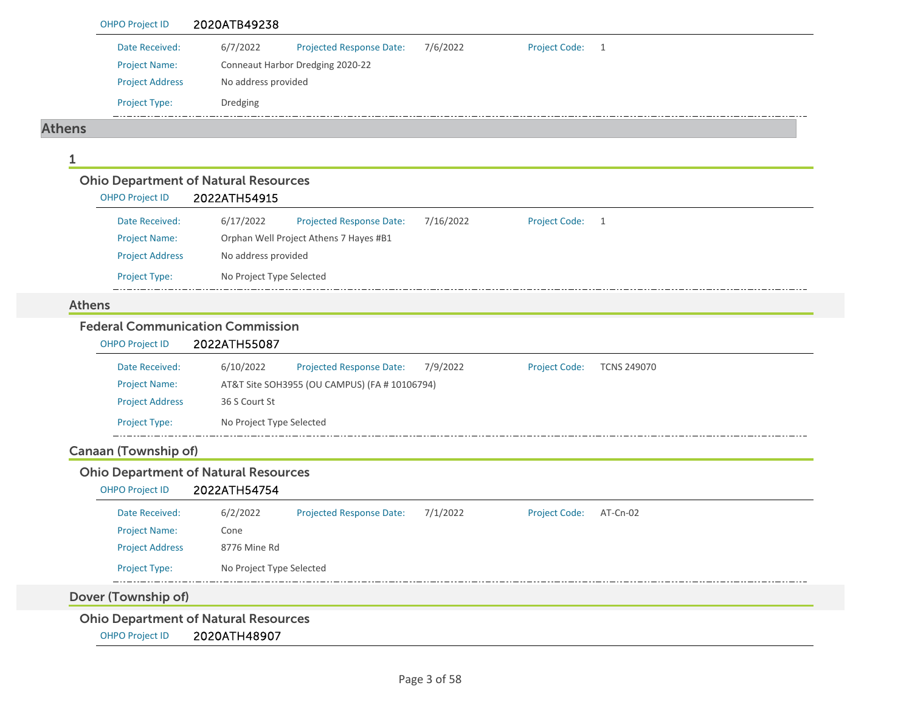| <b>OHPO Project ID</b>                                                | 2020ATB49238                                  |                                              |                      |                    |
|-----------------------------------------------------------------------|-----------------------------------------------|----------------------------------------------|----------------------|--------------------|
|                                                                       |                                               |                                              |                      |                    |
| Date Received:<br><b>Project Name:</b>                                | 6/7/2022<br>Conneaut Harbor Dredging 2020-22  | <b>Projected Response Date:</b><br>7/6/2022  | Project Code: 1      |                    |
| <b>Project Address</b>                                                | No address provided                           |                                              |                      |                    |
|                                                                       |                                               |                                              |                      |                    |
| Project Type:                                                         | Dredging                                      |                                              |                      |                    |
| <b>Athens</b>                                                         |                                               |                                              |                      |                    |
| 1                                                                     |                                               |                                              |                      |                    |
| <b>Ohio Department of Natural Resources</b><br><b>OHPO Project ID</b> | 2022ATH54915                                  |                                              |                      |                    |
| Date Received:                                                        | 6/17/2022                                     | 7/16/2022<br><b>Projected Response Date:</b> | <b>Project Code:</b> | $\overline{1}$     |
| <b>Project Name:</b>                                                  | Orphan Well Project Athens 7 Hayes #B1        |                                              |                      |                    |
| <b>Project Address</b>                                                | No address provided                           |                                              |                      |                    |
| Project Type:                                                         | No Project Type Selected                      |                                              |                      |                    |
| <b>Athens</b>                                                         |                                               |                                              |                      |                    |
| <b>Federal Communication Commission</b>                               |                                               |                                              |                      |                    |
| <b>OHPO Project ID</b>                                                | 2022ATH55087                                  |                                              |                      |                    |
| Date Received:                                                        | 6/10/2022                                     | <b>Projected Response Date:</b><br>7/9/2022  | <b>Project Code:</b> | <b>TCNS 249070</b> |
| <b>Project Name:</b>                                                  | AT&T Site SOH3955 (OU CAMPUS) (FA # 10106794) |                                              |                      |                    |
| <b>Project Address</b>                                                | 36 S Court St                                 |                                              |                      |                    |
| Project Type:                                                         | No Project Type Selected                      |                                              |                      |                    |
| <b>Canaan (Township of)</b>                                           |                                               |                                              |                      |                    |
| <b>Ohio Department of Natural Resources</b>                           |                                               |                                              |                      |                    |
| <b>OHPO Project ID</b>                                                | 2022ATH54754                                  |                                              |                      |                    |
| Date Received:                                                        | 6/2/2022                                      | <b>Projected Response Date:</b><br>7/1/2022  | <b>Project Code:</b> | AT-Cn-02           |
| <b>Project Name:</b>                                                  | Cone                                          |                                              |                      |                    |
| <b>Project Address</b>                                                | 8776 Mine Rd                                  |                                              |                      |                    |
| Project Type:                                                         | No Project Type Selected                      |                                              |                      |                    |
| Dover (Township of)                                                   |                                               |                                              |                      |                    |
|                                                                       |                                               |                                              |                      |                    |
| <b>Ohio Department of Natural Resources</b>                           |                                               |                                              |                      |                    |
| <b>OHPO Project ID</b>                                                | 2020ATH48907                                  |                                              |                      |                    |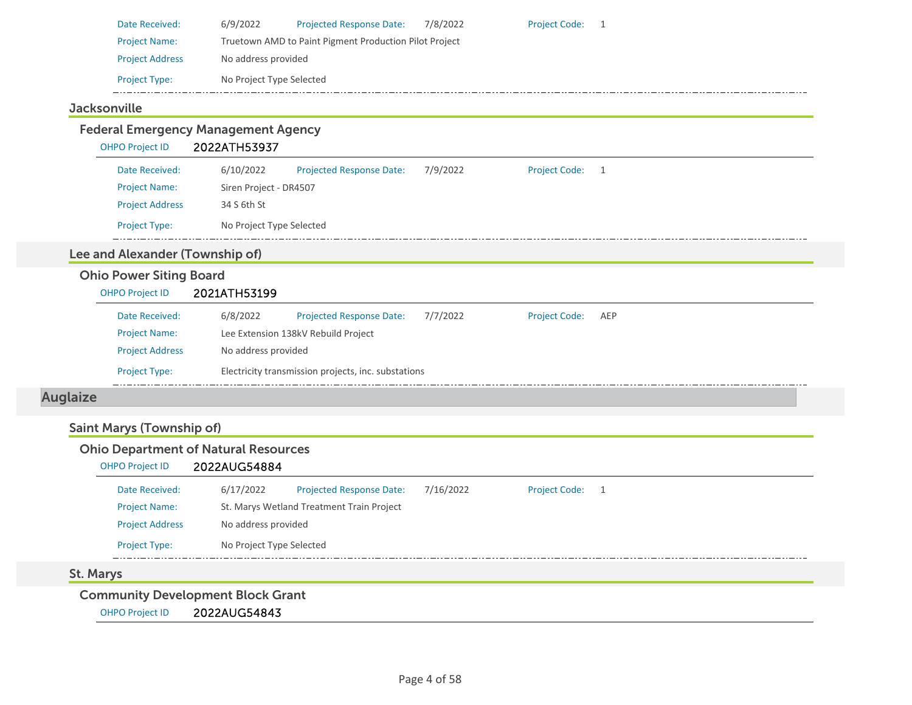| Date Received:         | 6/9/2022                                               | <b>Projected Response Date:</b> | 7/8/2022 | <b>Project Code:</b> |  |  |  |  |
|------------------------|--------------------------------------------------------|---------------------------------|----------|----------------------|--|--|--|--|
| <b>Project Name:</b>   | Truetown AMD to Paint Pigment Production Pilot Project |                                 |          |                      |  |  |  |  |
| <b>Project Address</b> | No address provided                                    |                                 |          |                      |  |  |  |  |
| <b>Project Type:</b>   | No Project Type Selected                               |                                 |          |                      |  |  |  |  |
|                        |                                                        |                                 |          |                      |  |  |  |  |

### **Jacksonville**

#### Federal Emergency Management Agency OHPO Project ID 2022ATH53937 Date Received: 6/10/2022 Projected Response Date: 7/9/2022 Project Code: 1 Project Name: Siren Project - DR4507 Project Address 34 S 6th St Project Type: No Project Type Selected  $\frac{1}{2}$  .  $\frac{1}{2}$ Lee and Alexander (Township of) Ohio Power Siting Board OHPO Project ID 2021ATH53199 Date Received: 6/8/2022 Projected Response Date: 7/7/2022 Project Code: AEP Project Name: Lee Extension 138kV Rebuild Project Project Address No address provided Project Type: Electricity transmission projects, inc. substations  $-1$ Auglaize

### Saint Marys (Township of)

### Ohio Department of Natural Resources

### OHPO Project ID 2022AUG54884

| Date Received:         | 6/17/2022                | <b>Projected Response Date:</b>           | 7/16/2022 | <b>Project Code:</b> |  |  |  |  |
|------------------------|--------------------------|-------------------------------------------|-----------|----------------------|--|--|--|--|
| <b>Project Name:</b>   |                          | St. Marys Wetland Treatment Train Project |           |                      |  |  |  |  |
| <b>Project Address</b> | No address provided      |                                           |           |                      |  |  |  |  |
| <b>Project Type:</b>   | No Project Type Selected |                                           |           |                      |  |  |  |  |

#### St. Marys

Community Development Block Grant

OHPO Project ID 2022AUG54843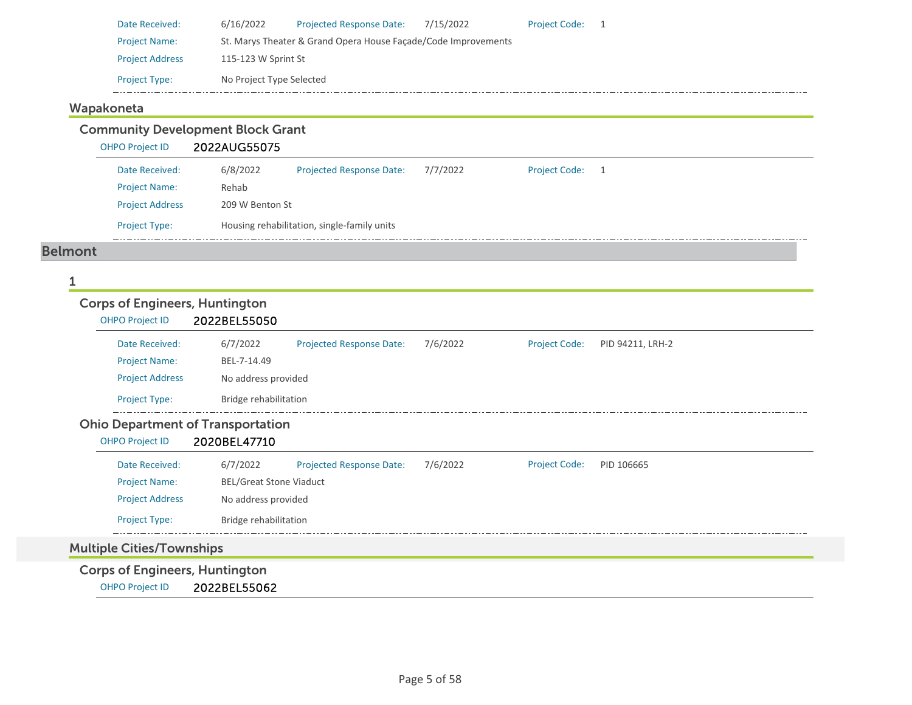| Date Received:         | 6/16/2022                                                      | <b>Projected Response Date:</b> | 7/15/2022 | <b>Project Code:</b> |  |  |  |
|------------------------|----------------------------------------------------------------|---------------------------------|-----------|----------------------|--|--|--|
| <b>Project Name:</b>   | St. Marys Theater & Grand Opera House Facade/Code Improvements |                                 |           |                      |  |  |  |
| <b>Project Address</b> | 115-123 W Sprint St                                            |                                 |           |                      |  |  |  |
| <b>Project Type:</b>   | No Project Type Selected                                       |                                 |           |                      |  |  |  |

### Wapakoneta

Community Development Block Grant

OHPO Project ID 2022AUG55075

| Date Received:         | 6/8/2022 | <b>Projected Response Date:</b>             | 7/7/2022 | <b>Project Code:</b> |  |  |  |  |
|------------------------|----------|---------------------------------------------|----------|----------------------|--|--|--|--|
| <b>Project Name:</b>   | Rehab    |                                             |          |                      |  |  |  |  |
| <b>Project Address</b> |          | 209 W Benton St                             |          |                      |  |  |  |  |
| <b>Project Type:</b>   |          | Housing rehabilitation, single-family units |          |                      |  |  |  |  |

#### Belmont

#### 1

# Corps of Engineers, Huntington

| <b>OHPO Project ID</b>                   | 2022BEL55050                   |                                 |          |                      |                  |  |  |  |  |
|------------------------------------------|--------------------------------|---------------------------------|----------|----------------------|------------------|--|--|--|--|
| Date Received:                           | 6/7/2022                       | <b>Projected Response Date:</b> | 7/6/2022 | <b>Project Code:</b> | PID 94211, LRH-2 |  |  |  |  |
| <b>Project Name:</b>                     | BEL-7-14.49                    |                                 |          |                      |                  |  |  |  |  |
| <b>Project Address</b>                   | No address provided            |                                 |          |                      |                  |  |  |  |  |
| <b>Project Type:</b>                     |                                | Bridge rehabilitation           |          |                      |                  |  |  |  |  |
| <b>Ohio Department of Transportation</b> |                                |                                 |          |                      |                  |  |  |  |  |
| <b>OHPO Project ID</b>                   | 2020BEL47710                   |                                 |          |                      |                  |  |  |  |  |
| Date Received:                           | 6/7/2022                       | <b>Projected Response Date:</b> | 7/6/2022 | <b>Project Code:</b> | PID 106665       |  |  |  |  |
| <b>Project Name:</b>                     | <b>BEL/Great Stone Viaduct</b> |                                 |          |                      |                  |  |  |  |  |
| <b>Project Address</b>                   | No address provided            |                                 |          |                      |                  |  |  |  |  |
| Project Type:                            |                                | Bridge rehabilitation           |          |                      |                  |  |  |  |  |
|                                          |                                |                                 |          |                      |                  |  |  |  |  |
| <b>Multiple Cities/Townships</b>         |                                |                                 |          |                      |                  |  |  |  |  |
| Corne of Engineers Huntington            |                                |                                 |          |                      |                  |  |  |  |  |

Corps of Engineers, Huntington

OHPO Project ID 2022BEL55062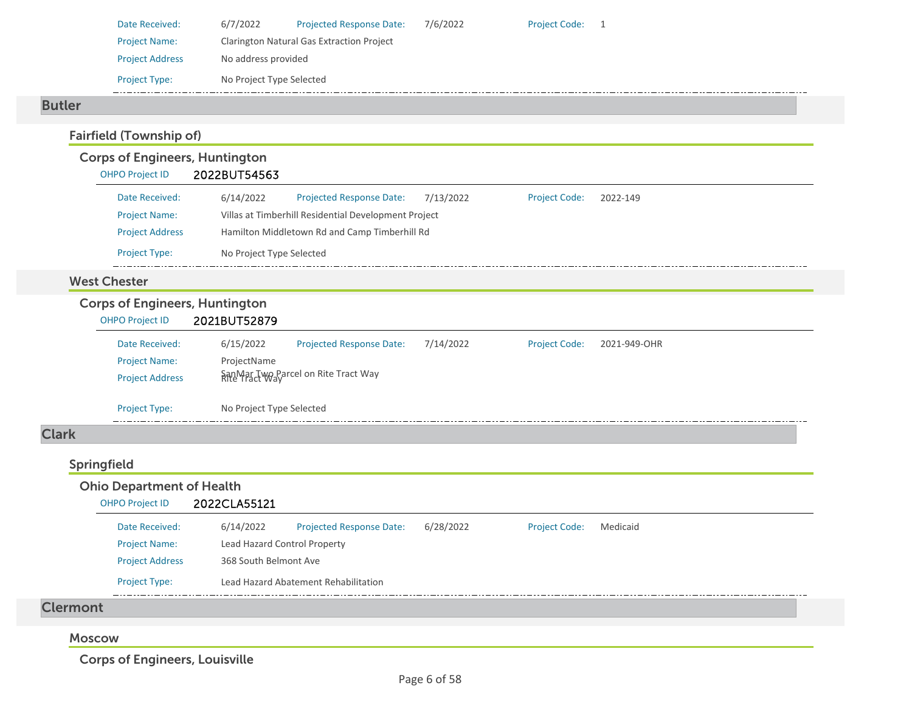| Date Received:         | 6/7/2022                 | <b>Projected Response Date:</b>                  | 7/6/2022 | <b>Project Code:</b> |  |  |  |  |  |
|------------------------|--------------------------|--------------------------------------------------|----------|----------------------|--|--|--|--|--|
| <b>Project Name:</b>   |                          | <b>Clarington Natural Gas Extraction Project</b> |          |                      |  |  |  |  |  |
| <b>Project Address</b> | No address provided      |                                                  |          |                      |  |  |  |  |  |
| <b>Project Type:</b>   | No Project Type Selected |                                                  |          |                      |  |  |  |  |  |
|                        |                          |                                                  |          |                      |  |  |  |  |  |

#### Butler

## Fairfield (Township of)

### Corps of Engineers, Huntington

| <b>OHPO Project ID</b> | 2022BUT54563             |                                                      |           |                      |          |  |  |  |
|------------------------|--------------------------|------------------------------------------------------|-----------|----------------------|----------|--|--|--|
| Date Received:         | 6/14/2022                | <b>Projected Response Date:</b>                      | 7/13/2022 | <b>Project Code:</b> | 2022-149 |  |  |  |
| <b>Project Name:</b>   |                          | Villas at Timberhill Residential Development Project |           |                      |          |  |  |  |
| <b>Project Address</b> |                          | Hamilton Middletown Rd and Camp Timberhill Rd        |           |                      |          |  |  |  |
| <b>Project Type:</b>   | No Project Type Selected |                                                      |           |                      |          |  |  |  |

#### West Chester

### Corps of Engineers, Huntington

| <b>OHPO Project ID</b> | 2021BUT52879 |  |
|------------------------|--------------|--|
|                        |              |  |

| Date Received:         | 6/15/2022                | <b>Projected Response Date:</b>                       | 7/14/2022 | <b>Project Code:</b> | 2021-949-OHR |  |  |  |  |  |
|------------------------|--------------------------|-------------------------------------------------------|-----------|----------------------|--------------|--|--|--|--|--|
| <b>Project Name:</b>   | ProjectName              |                                                       |           |                      |              |  |  |  |  |  |
| <b>Project Address</b> |                          | SanMar Two Parcel on Rite Tract Way<br>Rite Tract Way |           |                      |              |  |  |  |  |  |
|                        |                          |                                                       |           |                      |              |  |  |  |  |  |
| <b>Project Type:</b>   | No Project Type Selected |                                                       |           |                      |              |  |  |  |  |  |
|                        |                          |                                                       |           |                      |              |  |  |  |  |  |

## Clark

#### Springfield Ohio Department of Health OHPO Project ID 2022CLA55121 6/14/2022 Projected Response Date: 6/28/2022 Date Received:Project Code: Medicaid Project Name: Lead Hazard Control Property Project Address 368 South Belmont Ave Project Type: Lead Hazard Abatement Rehabilitation 44 Clermont

### Moscow

Corps of Engineers, Louisville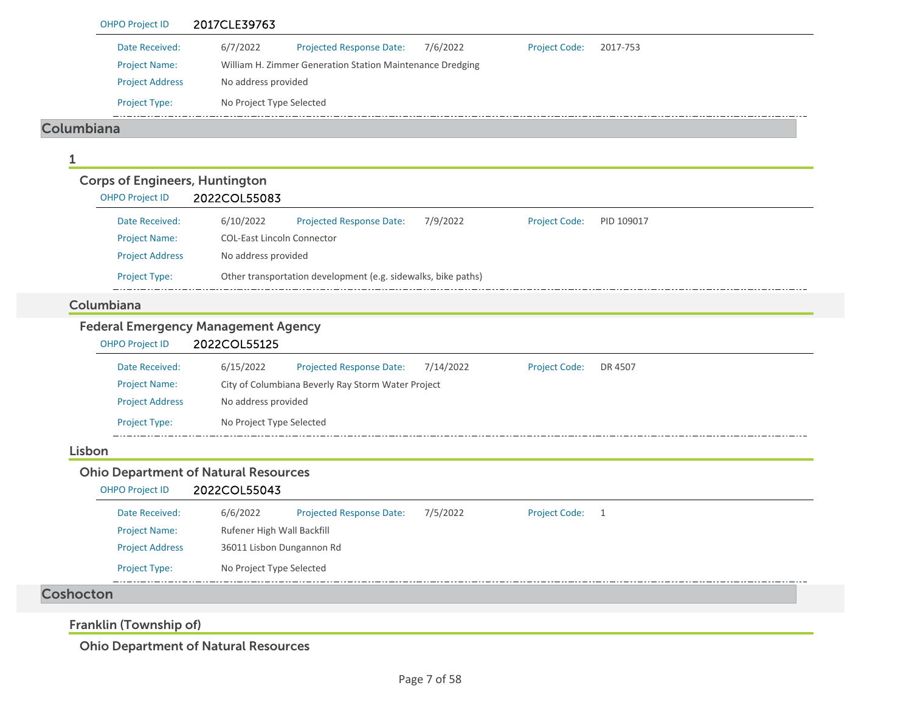|            | <b>OHPO Project ID</b>                | 2017CLE39763                                                                                 |
|------------|---------------------------------------|----------------------------------------------------------------------------------------------|
|            | Date Received:                        | 6/7/2022<br>Projected Response Date:<br>7/6/2022<br><b>Project Code:</b><br>2017-753         |
|            | <b>Project Name:</b>                  | William H. Zimmer Generation Station Maintenance Dredging                                    |
|            | <b>Project Address</b>                | No address provided                                                                          |
|            | Project Type:                         | No Project Type Selected                                                                     |
| Columbiana |                                       |                                                                                              |
| 1          |                                       |                                                                                              |
|            | <b>Corps of Engineers, Huntington</b> |                                                                                              |
|            | <b>OHPO Project ID</b>                | 2022COL55083                                                                                 |
|            | Date Received:                        | 6/10/2022<br>7/9/2022<br>Projected Response Date:<br><b>Project Code:</b><br>PID 109017      |
|            | <b>Project Name:</b>                  | <b>COL-East Lincoln Connector</b>                                                            |
|            | <b>Project Address</b>                | No address provided                                                                          |
|            | Project Type:                         | Other transportation development (e.g. sidewalks, bike paths)                                |
|            | Columbiana                            |                                                                                              |
|            |                                       | <b>Federal Emergency Management Agency</b>                                                   |
|            | <b>OHPO Project ID</b>                | 2022COL55125                                                                                 |
|            | Date Received:                        | 6/15/2022<br><b>Projected Response Date:</b><br>7/14/2022<br><b>Project Code:</b><br>DR 4507 |
|            | <b>Project Name:</b>                  | City of Columbiana Beverly Ray Storm Water Project                                           |
|            | <b>Project Address</b>                | No address provided                                                                          |
|            | <b>Project Type:</b>                  | No Project Type Selected                                                                     |
| Lisbon     |                                       |                                                                                              |
|            |                                       | <b>Ohio Department of Natural Resources</b>                                                  |
|            | <b>OHPO Project ID</b>                | 2022COL55043                                                                                 |
|            | Date Received:                        | 6/6/2022<br>Projected Response Date:<br>7/5/2022<br><b>Project Code:</b><br>1                |
|            | <b>Project Name:</b>                  | Rufener High Wall Backfill                                                                   |
|            | <b>Project Address</b>                | 36011 Lisbon Dungannon Rd                                                                    |
|            | Project Type:                         | No Project Type Selected                                                                     |
| Coshocton  |                                       |                                                                                              |
|            | Franklin (Township of)                |                                                                                              |
|            |                                       |                                                                                              |

Ohio Department of Natural Resources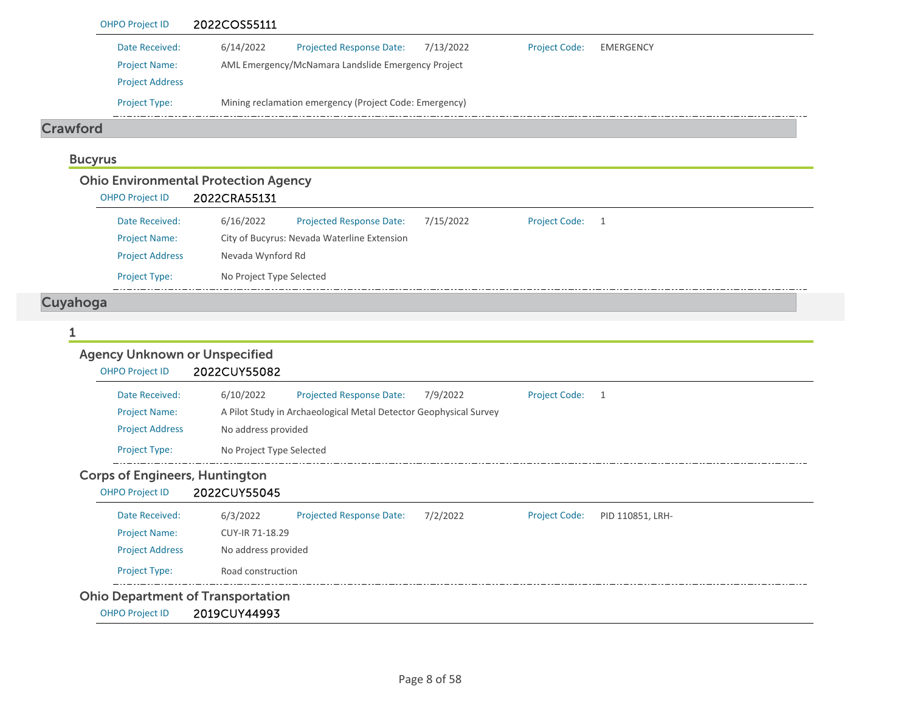|                                                                  | 2022COS55111                                                                                                                                         |
|------------------------------------------------------------------|------------------------------------------------------------------------------------------------------------------------------------------------------|
| Date Received:<br><b>Project Name:</b><br><b>Project Address</b> | 6/14/2022<br>Projected Response Date:<br>7/13/2022<br><b>Project Code:</b><br><b>EMERGENCY</b><br>AML Emergency/McNamara Landslide Emergency Project |
| Project Type:                                                    | Mining reclamation emergency (Project Code: Emergency)                                                                                               |
| <b>Crawford</b>                                                  |                                                                                                                                                      |
| <b>Bucyrus</b>                                                   |                                                                                                                                                      |
|                                                                  | <b>Ohio Environmental Protection Agency</b>                                                                                                          |
| <b>OHPO Project ID</b>                                           | 2022CRA55131                                                                                                                                         |
| Date Received:                                                   | 6/16/2022<br>7/15/2022<br><b>Project Code:</b><br><b>Projected Response Date:</b><br>$\overline{1}$                                                  |
| <b>Project Name:</b>                                             | City of Bucyrus: Nevada Waterline Extension                                                                                                          |
| <b>Project Address</b>                                           | Nevada Wynford Rd                                                                                                                                    |
| Project Type:                                                    | No Project Type Selected                                                                                                                             |
| Cuyahoga<br>1                                                    |                                                                                                                                                      |
| <b>Agency Unknown or Unspecified</b><br><b>OHPO Project ID</b>   | 2022CUY55082                                                                                                                                         |
| Date Received:                                                   | 6/10/2022<br>Projected Response Date:<br>7/9/2022<br><b>Project Code:</b><br>$\overline{1}$                                                          |
| <b>Project Name:</b>                                             | A Pilot Study in Archaeological Metal Detector Geophysical Survey                                                                                    |
| <b>Project Address</b>                                           | No address provided                                                                                                                                  |
| Project Type:                                                    | No Project Type Selected                                                                                                                             |
| <b>Corps of Engineers, Huntington</b>                            |                                                                                                                                                      |
| <b>OHPO Project ID</b>                                           | 2022CUY55045                                                                                                                                         |
| Date Received:                                                   | <b>Projected Response Date:</b><br>6/3/2022<br>7/2/2022<br><b>Project Code:</b><br>PID 110851, LRH-                                                  |
| <b>Project Name:</b>                                             | CUY-IR 71-18.29                                                                                                                                      |
| <b>Project Address</b>                                           | No address provided                                                                                                                                  |
| Project Type:                                                    | Road construction                                                                                                                                    |
| <b>Ohio Department of Transportation</b>                         |                                                                                                                                                      |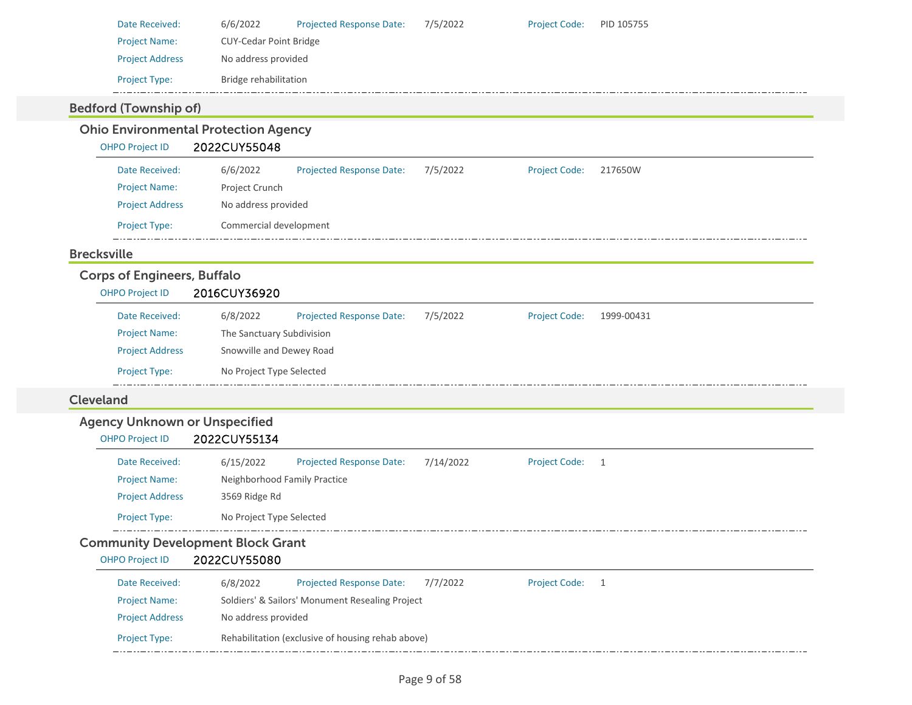| Date Received:         | 6/6/2022                      | <b>Projected Response Date:</b> | 7/5/2022 | <b>Project Code:</b> | PID 105755 |
|------------------------|-------------------------------|---------------------------------|----------|----------------------|------------|
| <b>Project Name:</b>   | <b>CUY-Cedar Point Bridge</b> |                                 |          |                      |            |
| <b>Project Address</b> | No address provided           |                                 |          |                      |            |
| <b>Project Type:</b>   | Bridge rehabilitation         |                                 |          |                      |            |
|                        |                               |                                 |          |                      |            |

### Bedford (Township of)

### Ohio Environmental Protection Agency

OHPO Project ID 2022CUY55048

| Date Received:         | 6/6/2022               | <b>Projected Response Date:</b> | 7/5/2022 | <b>Project Code:</b> | 217650W |
|------------------------|------------------------|---------------------------------|----------|----------------------|---------|
| <b>Project Name:</b>   | Project Crunch         |                                 |          |                      |         |
| <b>Project Address</b> | No address provided    |                                 |          |                      |         |
| <b>Project Type:</b>   | Commercial development |                                 |          |                      |         |

### Brecksville

### Corps of Engineers, Buffalo

| <b>OHPO Project ID</b> | 2016CUY36920              |                                 |          |                      |            |
|------------------------|---------------------------|---------------------------------|----------|----------------------|------------|
| Date Received:         | 6/8/2022                  | <b>Projected Response Date:</b> | 7/5/2022 | <b>Project Code:</b> | 1999-00431 |
| <b>Project Name:</b>   | The Sanctuary Subdivision |                                 |          |                      |            |
| <b>Project Address</b> | Snowville and Dewey Road  |                                 |          |                      |            |
| <b>Project Type:</b>   | No Project Type Selected  |                                 |          |                      |            |

### Cleveland

### Agency Unknown or Unspecified

### OHPO Project ID 2022CUY55134

| Date Received:         | 6/15/2022                    | <b>Projected Response Date:</b> | 7/14/2022 | <b>Project Code:</b> |  |
|------------------------|------------------------------|---------------------------------|-----------|----------------------|--|
| <b>Project Name:</b>   | Neighborhood Family Practice |                                 |           |                      |  |
| <b>Project Address</b> | 3569 Ridge Rd                |                                 |           |                      |  |
| <b>Project Type:</b>   | No Project Type Selected     |                                 |           |                      |  |

### Community Development Block Grant

### OHPO Project ID 2022CUY55080

| Date Received:         | 6/8/2022            | <b>Projected Response Date:</b>                   | 7/7/2022 | <b>Project Code:</b> |  |
|------------------------|---------------------|---------------------------------------------------|----------|----------------------|--|
| <b>Project Name:</b>   |                     | Soldiers' & Sailors' Monument Resealing Project   |          |                      |  |
| <b>Project Address</b> | No address provided |                                                   |          |                      |  |
| <b>Project Type:</b>   |                     | Rehabilitation (exclusive of housing rehab above) |          |                      |  |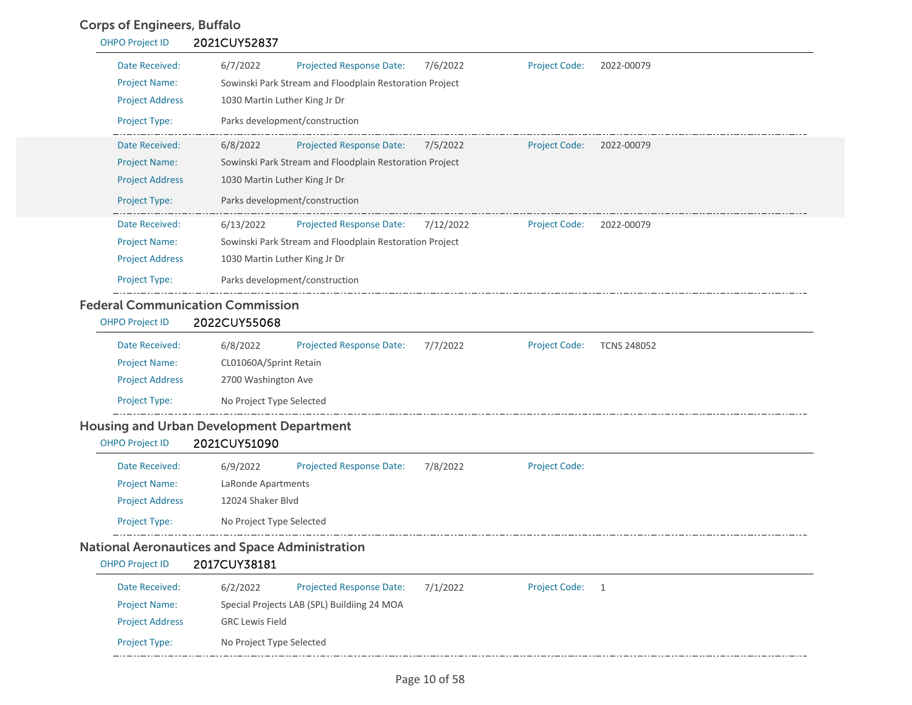### Corps of Engineers, Buffalo

| <b>OHPO Project ID</b> | 2021CUY52837                                                                                    |
|------------------------|-------------------------------------------------------------------------------------------------|
| Date Received:         | 6/7/2022<br>7/6/2022<br><b>Projected Response Date:</b><br><b>Project Code:</b><br>2022-00079   |
| <b>Project Name:</b>   | Sowinski Park Stream and Floodplain Restoration Project                                         |
| <b>Project Address</b> | 1030 Martin Luther King Jr Dr                                                                   |
| <b>Project Type:</b>   | Parks development/construction                                                                  |
| Date Received:         | 6/8/2022<br><b>Projected Response Date:</b><br>7/5/2022<br><b>Project Code:</b><br>2022-00079   |
| <b>Project Name:</b>   | Sowinski Park Stream and Floodplain Restoration Project                                         |
| <b>Project Address</b> | 1030 Martin Luther King Jr Dr                                                                   |
| <b>Project Type:</b>   | Parks development/construction                                                                  |
| Date Received:         | 6/13/2022<br><b>Projected Response Date:</b><br>7/12/2022<br><b>Project Code:</b><br>2022-00079 |
| <b>Project Name:</b>   | Sowinski Park Stream and Floodplain Restoration Project                                         |
| <b>Project Address</b> | 1030 Martin Luther King Jr Dr                                                                   |
| <b>Project Type:</b>   | Parks development/construction                                                                  |

| <b>Project Name:</b>   | CL01060A/Sprint Retain   |  |  |
|------------------------|--------------------------|--|--|
| <b>Project Address</b> | 2700 Washington Ave      |  |  |
| <b>Project Type:</b>   | No Project Type Selected |  |  |

### Housing and Urban Development Department

### OHPO Project ID 2021CUY51090

| Date Received:                              | 6/9/2022                 | <b>Projected Response Date:</b> | 7/8/2022 | <b>Project Code:</b> |
|---------------------------------------------|--------------------------|---------------------------------|----------|----------------------|
| <b>Project Name:</b>                        | LaRonde Apartments       |                                 |          |                      |
| <b>Project Address</b>                      | 12024 Shaker Blyd        |                                 |          |                      |
| <b>Project Type:</b>                        | No Project Type Selected |                                 |          |                      |
| ional Agropoutices and Casso Administration |                          |                                 |          |                      |

### National Aeronautices and Space Administration

| <b>OHPO Project ID</b> | 2017CUY38181             |                                             |          |                      |  |  |
|------------------------|--------------------------|---------------------------------------------|----------|----------------------|--|--|
| Date Received:         | 6/2/2022                 | <b>Projected Response Date:</b>             | 7/1/2022 | <b>Project Code:</b> |  |  |
| <b>Project Name:</b>   |                          | Special Projects LAB (SPL) Buildiing 24 MOA |          |                      |  |  |
| <b>Project Address</b> | <b>GRC Lewis Field</b>   |                                             |          |                      |  |  |
| <b>Project Type:</b>   | No Project Type Selected |                                             |          |                      |  |  |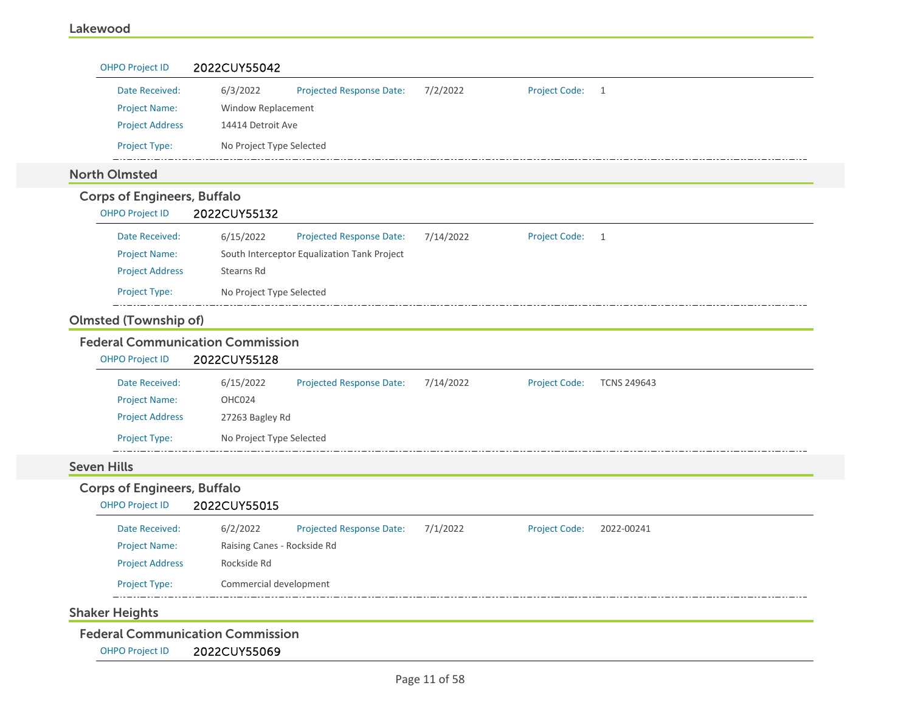| Date Received:                          | 6/3/2022<br><b>Projected Response Date:</b>  | 7/2/2022  | <b>Project Code:</b> | 1                  |
|-----------------------------------------|----------------------------------------------|-----------|----------------------|--------------------|
| <b>Project Name:</b>                    | Window Replacement                           |           |                      |                    |
| <b>Project Address</b>                  | 14414 Detroit Ave                            |           |                      |                    |
| Project Type:                           | No Project Type Selected                     |           |                      |                    |
| <b>North Olmsted</b>                    |                                              |           |                      |                    |
| <b>Corps of Engineers, Buffalo</b>      |                                              |           |                      |                    |
| <b>OHPO Project ID</b>                  | 2022CUY55132                                 |           |                      |                    |
| Date Received:                          | 6/15/2022<br>Projected Response Date:        | 7/14/2022 | <b>Project Code:</b> | $\mathbf{1}$       |
| <b>Project Name:</b>                    | South Interceptor Equalization Tank Project  |           |                      |                    |
| <b>Project Address</b>                  | Stearns Rd                                   |           |                      |                    |
| Project Type:                           | No Project Type Selected                     |           |                      |                    |
| <b>Olmsted (Township of)</b>            |                                              |           |                      |                    |
| <b>Federal Communication Commission</b> |                                              |           |                      |                    |
|                                         |                                              |           |                      |                    |
| <b>OHPO Project ID</b>                  | 2022CUY55128                                 |           |                      |                    |
| Date Received:                          | 6/15/2022<br><b>Projected Response Date:</b> | 7/14/2022 | <b>Project Code:</b> | <b>TCNS 249643</b> |
| <b>Project Name:</b>                    | OHC024                                       |           |                      |                    |
| <b>Project Address</b>                  | 27263 Bagley Rd                              |           |                      |                    |
| Project Type:                           | No Project Type Selected                     |           |                      |                    |
| <b>Seven Hills</b>                      |                                              |           |                      |                    |
| <b>Corps of Engineers, Buffalo</b>      |                                              |           |                      |                    |
| <b>OHPO Project ID</b>                  | 2022CUY55015                                 |           |                      |                    |
| Date Received:                          | 6/2/2022<br><b>Projected Response Date:</b>  | 7/1/2022  | <b>Project Code:</b> | 2022-00241         |
| <b>Project Name:</b>                    | Raising Canes - Rockside Rd                  |           |                      |                    |
| <b>Project Address</b>                  | Rockside Rd                                  |           |                      |                    |
| Project Type:                           | Commercial development                       |           |                      |                    |
| <b>Shaker Heights</b>                   |                                              |           |                      |                    |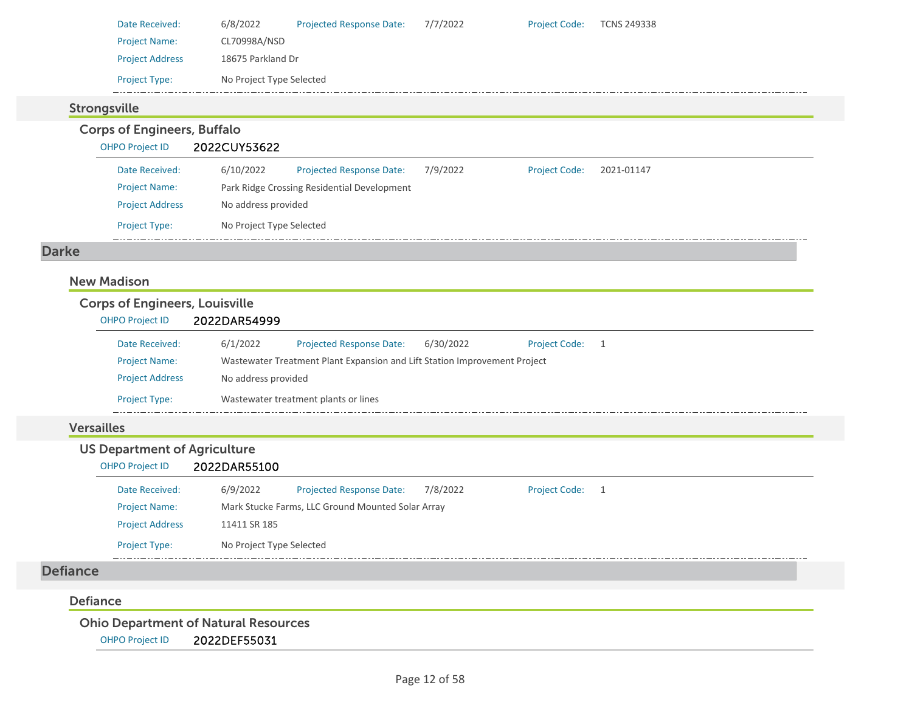| Date Received:         | 6/8/2022                 | <b>Projected Response Date:</b> | 7/7/2022 | <b>Project Code:</b> | TCNS 249338 |
|------------------------|--------------------------|---------------------------------|----------|----------------------|-------------|
| <b>Project Name:</b>   | CL70998A/NSD             |                                 |          |                      |             |
| <b>Project Address</b> | 18675 Parkland Dr        |                                 |          |                      |             |
| <b>Project Type:</b>   | No Project Type Selected |                                 |          |                      |             |
|                        |                          |                                 |          |                      |             |

### Strongsville

Corps of Engineers, Buffalo

### OHPO Project ID 2022CUY53622

| Date Received:         | 6/10/2022                | <b>Projected Response Date:</b>             | 7/9/2022 | <b>Project Code:</b> | 2021-01147 |
|------------------------|--------------------------|---------------------------------------------|----------|----------------------|------------|
| <b>Project Name:</b>   |                          | Park Ridge Crossing Residential Development |          |                      |            |
| <b>Project Address</b> | No address provided      |                                             |          |                      |            |
| <b>Project Type:</b>   | No Project Type Selected |                                             |          |                      |            |

### Darke

### New Madison

#### Corps of Engineers, Louisville OHPO Project ID 2022DAR54999 Projected Response Date: 6/30/2022 Date Received: 6/1/2022 Project Code: 1 Project Name: Wastewater Treatment Plant Expansion and Lift Station Improvement Project Project Address No address provided Project Type: Wastewater treatment plants or lines  $=$   $-$

### Versailles

### US Department of Agriculture

#### OHPO Project ID 2022DAR55100

| Date Received:         | 6/9/2022                 | <b>Projected Response Date:</b>                   | 7/8/2022 | Project Code: 1 |  |
|------------------------|--------------------------|---------------------------------------------------|----------|-----------------|--|
| <b>Project Name:</b>   |                          | Mark Stucke Farms, LLC Ground Mounted Solar Array |          |                 |  |
| <b>Project Address</b> | 11411 SR 185             |                                                   |          |                 |  |
| <b>Project Type:</b>   | No Project Type Selected |                                                   |          |                 |  |

### Defiance

#### Defiance

Ohio Department of Natural Resources

OHPO Project ID 2022DEF55031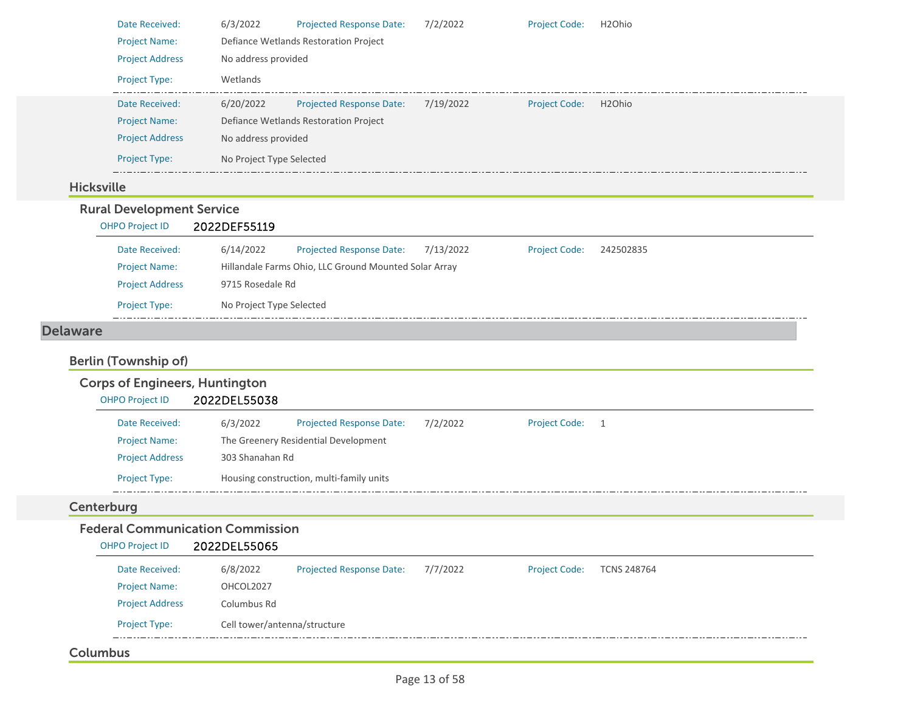|                   | Date Received:                                                       | 6/3/2022                                | Projected Response Date:                              | 7/2/2022  | <b>Project Code:</b> | H <sub>2</sub> Ohio |
|-------------------|----------------------------------------------------------------------|-----------------------------------------|-------------------------------------------------------|-----------|----------------------|---------------------|
|                   | <b>Project Name:</b>                                                 |                                         | Defiance Wetlands Restoration Project                 |           |                      |                     |
|                   | <b>Project Address</b>                                               | No address provided                     |                                                       |           |                      |                     |
|                   | Project Type:                                                        | Wetlands                                |                                                       |           |                      |                     |
|                   | Date Received:                                                       | 6/20/2022                               | <b>Projected Response Date:</b>                       | 7/19/2022 | <b>Project Code:</b> | H <sub>2</sub> Ohio |
|                   | <b>Project Name:</b>                                                 |                                         | Defiance Wetlands Restoration Project                 |           |                      |                     |
|                   | <b>Project Address</b>                                               | No address provided                     |                                                       |           |                      |                     |
|                   | Project Type:                                                        | No Project Type Selected                |                                                       |           |                      |                     |
| <b>Hicksville</b> |                                                                      |                                         |                                                       |           |                      |                     |
|                   | <b>Rural Development Service</b>                                     |                                         |                                                       |           |                      |                     |
|                   | <b>OHPO Project ID</b>                                               | 2022DEF55119                            |                                                       |           |                      |                     |
|                   | Date Received:                                                       | 6/14/2022                               | <b>Projected Response Date:</b>                       | 7/13/2022 | <b>Project Code:</b> | 242502835           |
|                   | <b>Project Name:</b>                                                 |                                         | Hillandale Farms Ohio, LLC Ground Mounted Solar Array |           |                      |                     |
|                   |                                                                      |                                         |                                                       |           |                      |                     |
|                   | <b>Project Address</b>                                               | 9715 Rosedale Rd                        |                                                       |           |                      |                     |
|                   | Project Type:                                                        | No Project Type Selected                |                                                       |           |                      |                     |
| <b>Delaware</b>   |                                                                      |                                         |                                                       |           |                      |                     |
|                   | <b>Berlin (Township of)</b><br><b>Corps of Engineers, Huntington</b> |                                         |                                                       |           |                      |                     |
|                   | <b>OHPO Project ID</b>                                               | 2022DEL55038                            |                                                       |           |                      |                     |
|                   | Date Received:                                                       | 6/3/2022                                | Projected Response Date:                              | 7/2/2022  | <b>Project Code:</b> | 1                   |
|                   | <b>Project Name:</b>                                                 |                                         | The Greenery Residential Development                  |           |                      |                     |
|                   | <b>Project Address</b>                                               | 303 Shanahan Rd                         |                                                       |           |                      |                     |
|                   | Project Type:                                                        |                                         | Housing construction, multi-family units              |           |                      |                     |
| Centerburg        |                                                                      |                                         |                                                       |           |                      |                     |
|                   |                                                                      | <b>Federal Communication Commission</b> |                                                       |           |                      |                     |
|                   | <b>OHPO Project ID</b>                                               | 2022DEL55065                            |                                                       |           |                      |                     |
|                   | Date Received:                                                       | 6/8/2022                                | <b>Projected Response Date:</b>                       | 7/7/2022  | <b>Project Code:</b> | <b>TCNS 248764</b>  |
|                   | <b>Project Name:</b>                                                 | OHCOL2027                               |                                                       |           |                      |                     |
|                   | <b>Project Address</b>                                               | Columbus Rd                             |                                                       |           |                      |                     |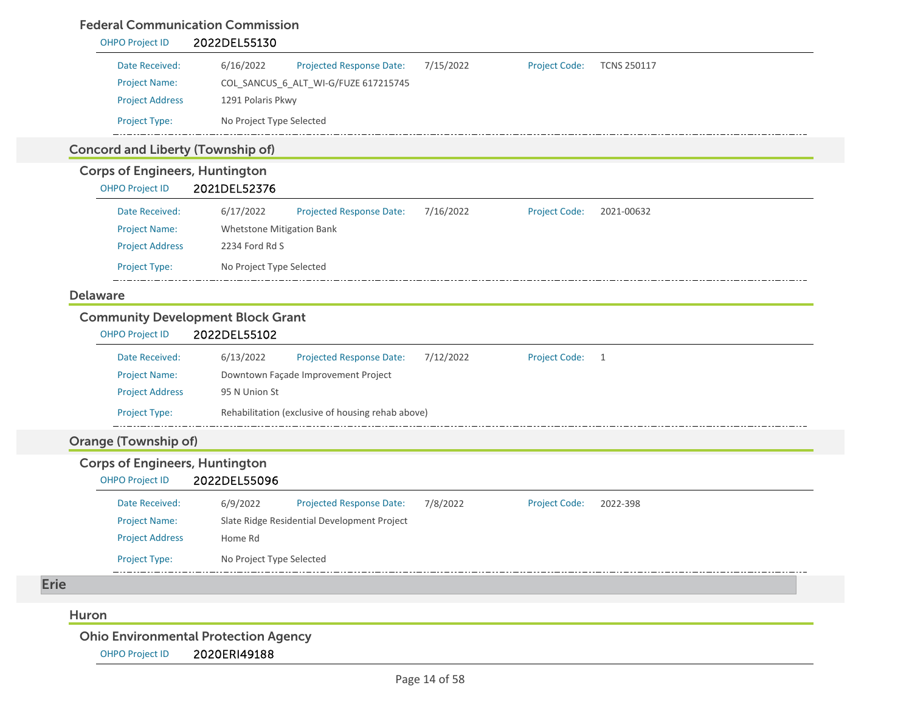### Federal Communication Commission

| <b>OHPO Project ID</b>                   | arat communication communication<br>2022DEL55130  |           |                      |                    |
|------------------------------------------|---------------------------------------------------|-----------|----------------------|--------------------|
| Date Received:                           | 6/16/2022<br><b>Projected Response Date:</b>      | 7/15/2022 | <b>Project Code:</b> | <b>TCNS 250117</b> |
| <b>Project Name:</b>                     | COL_SANCUS_6_ALT_WI-G/FUZE 617215745              |           |                      |                    |
| <b>Project Address</b>                   | 1291 Polaris Pkwy                                 |           |                      |                    |
| Project Type:                            | No Project Type Selected                          |           |                      |                    |
| <b>Concord and Liberty (Township of)</b> |                                                   |           |                      |                    |
| <b>Corps of Engineers, Huntington</b>    |                                                   |           |                      |                    |
| <b>OHPO Project ID</b>                   | 2021DEL52376                                      |           |                      |                    |
| Date Received:                           | 6/17/2022<br><b>Projected Response Date:</b>      | 7/16/2022 | <b>Project Code:</b> | 2021-00632         |
| <b>Project Name:</b>                     | Whetstone Mitigation Bank                         |           |                      |                    |
| <b>Project Address</b>                   | 2234 Ford Rd S                                    |           |                      |                    |
| Project Type:                            | No Project Type Selected                          |           |                      |                    |
| <b>Delaware</b>                          |                                                   |           |                      |                    |
|                                          | <b>Community Development Block Grant</b>          |           |                      |                    |
| <b>OHPO Project ID</b>                   | 2022DEL55102                                      |           |                      |                    |
| Date Received:                           | 6/13/2022<br><b>Projected Response Date:</b>      | 7/12/2022 | <b>Project Code:</b> | $\overline{1}$     |
| <b>Project Name:</b>                     | Downtown Façade Improvement Project               |           |                      |                    |
| <b>Project Address</b>                   | 95 N Union St                                     |           |                      |                    |
| Project Type:                            | Rehabilitation (exclusive of housing rehab above) |           |                      |                    |
| <b>Orange (Township of)</b>              |                                                   |           |                      |                    |
| <b>Corps of Engineers, Huntington</b>    |                                                   |           |                      |                    |
| <b>OHPO Project ID</b>                   | 2022DEL55096                                      |           |                      |                    |
| Date Received:                           | 6/9/2022<br>Projected Response Date:              | 7/8/2022  | <b>Project Code:</b> | 2022-398           |
| <b>Project Name:</b>                     | Slate Ridge Residential Development Project       |           |                      |                    |
| <b>Project Address</b>                   | Home Rd                                           |           |                      |                    |
| <b>Project Type:</b>                     | No Project Type Selected                          |           |                      |                    |
| <b>Erie</b>                              |                                                   |           |                      |                    |
| Huron                                    |                                                   |           |                      |                    |
|                                          | <b>Ohio Environmental Protection Agency</b>       |           |                      |                    |
|                                          |                                                   |           |                      |                    |

OHPO Project ID 2020ERI49188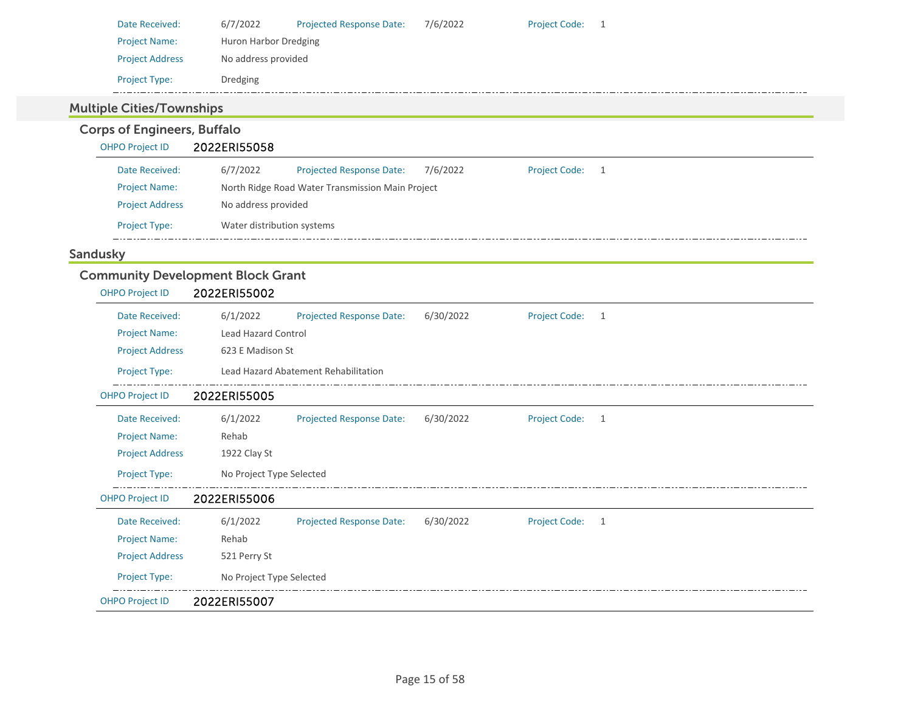| Date Received:         | 6/7/2022              | <b>Projected Response Date:</b> | 7/6/2022 | <b>Project Code:</b> |  |
|------------------------|-----------------------|---------------------------------|----------|----------------------|--|
| <b>Project Name:</b>   | Huron Harbor Dredging |                                 |          |                      |  |
| <b>Project Address</b> | No address provided   |                                 |          |                      |  |
| <b>Project Type:</b>   | Dredging              |                                 |          |                      |  |

### Multiple Cities/Townships

## Corps of Engineers, Buffalo

### OHPO Project ID 2022ERI55058

| Date Received:         | 6/7/2022                   | <b>Projected Response Date:</b>                  | 7/6/2022 | <b>Project Code:</b> |  |  |
|------------------------|----------------------------|--------------------------------------------------|----------|----------------------|--|--|
| <b>Project Name:</b>   |                            | North Ridge Road Water Transmission Main Project |          |                      |  |  |
| <b>Project Address</b> | No address provided        |                                                  |          |                      |  |  |
| <b>Project Type:</b>   | Water distribution systems |                                                  |          |                      |  |  |

### Sandusky

### Community Development Block Grant

| <b>OHPO Project ID</b> | 2022ERI55002                                                                          |
|------------------------|---------------------------------------------------------------------------------------|
| Date Received:         | 6/1/2022<br><b>Projected Response Date:</b><br>6/30/2022<br><b>Project Code:</b><br>1 |
| <b>Project Name:</b>   | Lead Hazard Control                                                                   |
| <b>Project Address</b> | 623 E Madison St                                                                      |
| Project Type:          | Lead Hazard Abatement Rehabilitation                                                  |
| <b>OHPO Project ID</b> | 2022ERI55005                                                                          |
| Date Received:         | 6/1/2022<br>6/30/2022<br><b>Project Code:</b><br><b>Projected Response Date:</b><br>1 |
| <b>Project Name:</b>   | Rehab                                                                                 |
| <b>Project Address</b> | 1922 Clay St                                                                          |
| Project Type:          | No Project Type Selected                                                              |
| <b>OHPO Project ID</b> | 2022ERI55006                                                                          |
| Date Received:         | 6/30/2022<br>6/1/2022<br><b>Projected Response Date:</b><br><b>Project Code:</b><br>1 |
| <b>Project Name:</b>   | Rehab                                                                                 |
| <b>Project Address</b> | 521 Perry St                                                                          |
| Project Type:          | No Project Type Selected                                                              |
| <b>OHPO Project ID</b> | 2022ERI55007                                                                          |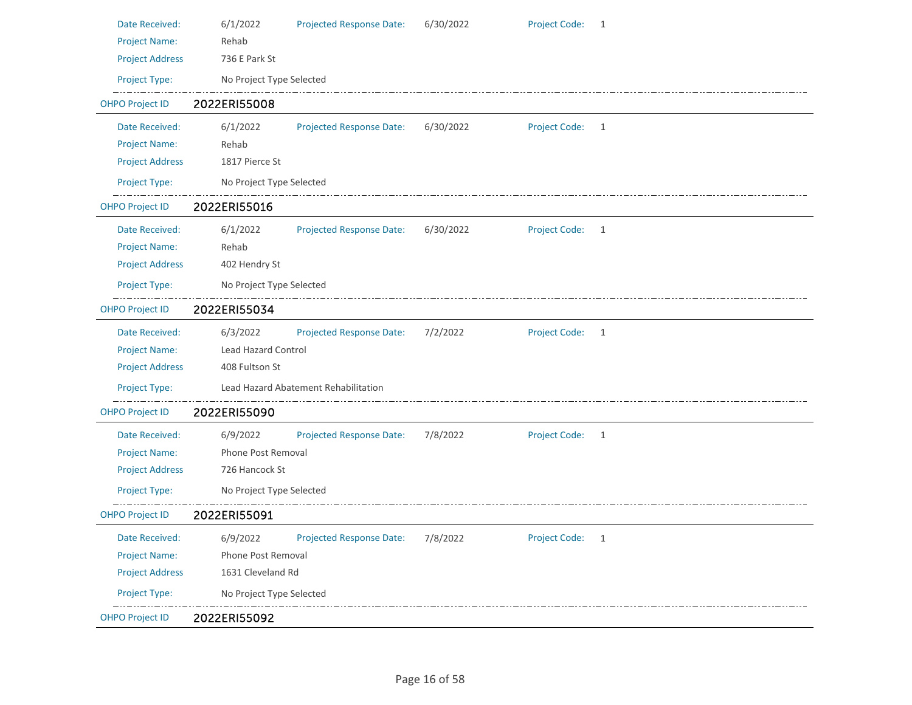| Date Received:         | 6/1/2022                   | <b>Projected Response Date:</b>      | 6/30/2022 | <b>Project Code:</b> | <sup>1</sup>   |  |
|------------------------|----------------------------|--------------------------------------|-----------|----------------------|----------------|--|
| <b>Project Name:</b>   | Rehab                      |                                      |           |                      |                |  |
| <b>Project Address</b> | 736 E Park St              |                                      |           |                      |                |  |
| Project Type:          | No Project Type Selected   |                                      |           |                      |                |  |
| <b>OHPO Project ID</b> | 2022ERI55008               |                                      |           |                      |                |  |
| Date Received:         | 6/1/2022                   | <b>Projected Response Date:</b>      | 6/30/2022 | Project Code: 1      |                |  |
| <b>Project Name:</b>   | Rehab                      |                                      |           |                      |                |  |
| <b>Project Address</b> | 1817 Pierce St             |                                      |           |                      |                |  |
| Project Type:          | No Project Type Selected   |                                      |           |                      |                |  |
| <b>OHPO Project ID</b> | 2022ERI55016               |                                      |           |                      |                |  |
| Date Received:         | 6/1/2022                   | <b>Projected Response Date:</b>      | 6/30/2022 | <b>Project Code:</b> | $\overline{1}$ |  |
| <b>Project Name:</b>   | Rehab                      |                                      |           |                      |                |  |
| <b>Project Address</b> | 402 Hendry St              |                                      |           |                      |                |  |
| Project Type:          | No Project Type Selected   |                                      |           |                      |                |  |
| <b>OHPO Project ID</b> | 2022ERI55034               |                                      |           |                      |                |  |
| Date Received:         | 6/3/2022                   | <b>Projected Response Date:</b>      | 7/2/2022  | Project Code: 1      |                |  |
| <b>Project Name:</b>   | <b>Lead Hazard Control</b> |                                      |           |                      |                |  |
| <b>Project Address</b> | 408 Fultson St             |                                      |           |                      |                |  |
| Project Type:          |                            | Lead Hazard Abatement Rehabilitation |           |                      |                |  |
| <b>OHPO Project ID</b> | 2022ERI55090               |                                      |           |                      |                |  |
| Date Received:         | 6/9/2022                   | <b>Projected Response Date:</b>      | 7/8/2022  | Project Code: 1      |                |  |
| <b>Project Name:</b>   | Phone Post Removal         |                                      |           |                      |                |  |
| <b>Project Address</b> | 726 Hancock St             |                                      |           |                      |                |  |
| Project Type:          | No Project Type Selected   |                                      |           |                      |                |  |
| <b>OHPO Project ID</b> | 2022ERI55091               |                                      |           |                      |                |  |
| Date Received:         | 6/9/2022                   | Projected Response Date:             | 7/8/2022  | Project Code: 1      |                |  |
| <b>Project Name:</b>   | Phone Post Removal         |                                      |           |                      |                |  |
| <b>Project Address</b> | 1631 Cleveland Rd          |                                      |           |                      |                |  |
| Project Type:          | No Project Type Selected   |                                      |           |                      |                |  |
| <b>OHPO Project ID</b> | 2022ERI55092               |                                      |           |                      |                |  |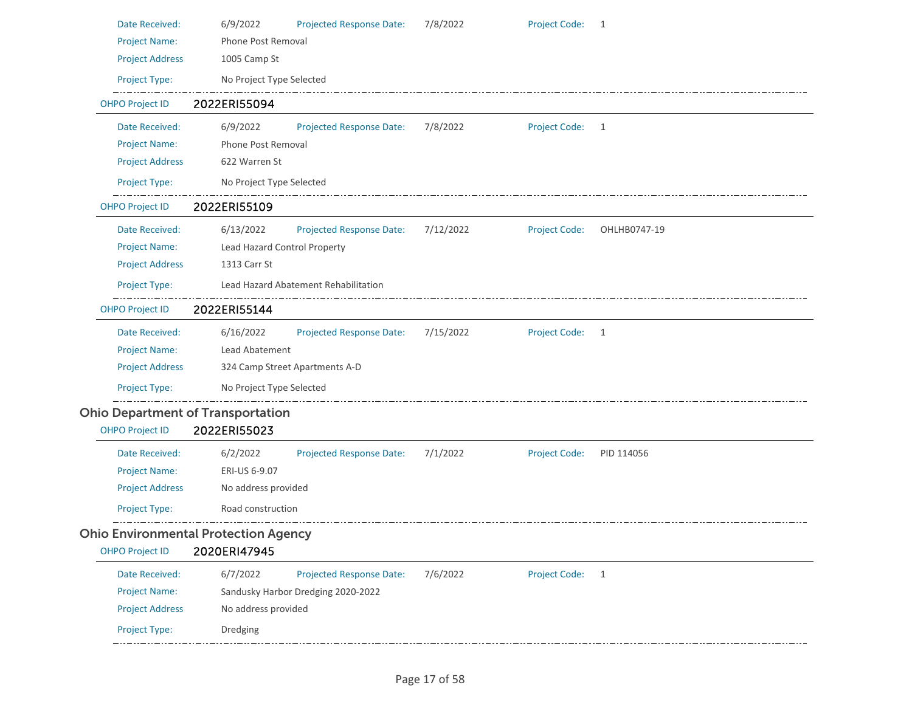| Date Received:         | 6/9/2022                                    | <b>Projected Response Date:</b>      | 7/8/2022  | Project Code: 1      |              |
|------------------------|---------------------------------------------|--------------------------------------|-----------|----------------------|--------------|
| <b>Project Name:</b>   | Phone Post Removal                          |                                      |           |                      |              |
| <b>Project Address</b> | 1005 Camp St                                |                                      |           |                      |              |
| Project Type:          | No Project Type Selected                    |                                      |           |                      |              |
| <b>OHPO Project ID</b> | 2022ERI55094                                |                                      |           |                      |              |
| Date Received:         | 6/9/2022                                    | <b>Projected Response Date:</b>      | 7/8/2022  | Project Code: 1      |              |
| <b>Project Name:</b>   | <b>Phone Post Removal</b>                   |                                      |           |                      |              |
| <b>Project Address</b> | 622 Warren St                               |                                      |           |                      |              |
| Project Type:          | No Project Type Selected                    |                                      |           |                      |              |
| <b>OHPO Project ID</b> | 2022ERI55109                                |                                      |           |                      |              |
| Date Received:         | 6/13/2022                                   | Projected Response Date:             | 7/12/2022 | <b>Project Code:</b> | OHLHB0747-19 |
| <b>Project Name:</b>   | Lead Hazard Control Property                |                                      |           |                      |              |
| <b>Project Address</b> | 1313 Carr St                                |                                      |           |                      |              |
| Project Type:          |                                             | Lead Hazard Abatement Rehabilitation |           |                      |              |
| <b>OHPO Project ID</b> | 2022ERI55144                                |                                      |           |                      |              |
| Date Received:         | 6/16/2022                                   | Projected Response Date:             | 7/15/2022 | <b>Project Code:</b> | 1            |
| <b>Project Name:</b>   | Lead Abatement                              |                                      |           |                      |              |
| <b>Project Address</b> |                                             | 324 Camp Street Apartments A-D       |           |                      |              |
| Project Type:          | No Project Type Selected                    |                                      |           |                      |              |
|                        | <b>Ohio Department of Transportation</b>    |                                      |           |                      |              |
| <b>OHPO Project ID</b> | 2022ERI55023                                |                                      |           |                      |              |
| Date Received:         | 6/2/2022                                    | <b>Projected Response Date:</b>      | 7/1/2022  | <b>Project Code:</b> | PID 114056   |
| <b>Project Name:</b>   | ERI-US 6-9.07                               |                                      |           |                      |              |
| <b>Project Address</b> | No address provided                         |                                      |           |                      |              |
| Project Type:          | Road construction                           |                                      |           |                      |              |
|                        | <b>Ohio Environmental Protection Agency</b> |                                      |           |                      |              |
| <b>OHPO Project ID</b> | 2020ERI47945                                |                                      |           |                      |              |
| Date Received:         | 6/7/2022                                    | <b>Projected Response Date:</b>      | 7/6/2022  | <b>Project Code:</b> | 1            |
| <b>Project Name:</b>   |                                             | Sandusky Harbor Dredging 2020-2022   |           |                      |              |
| <b>Project Address</b> | No address provided                         |                                      |           |                      |              |
|                        |                                             |                                      |           |                      |              |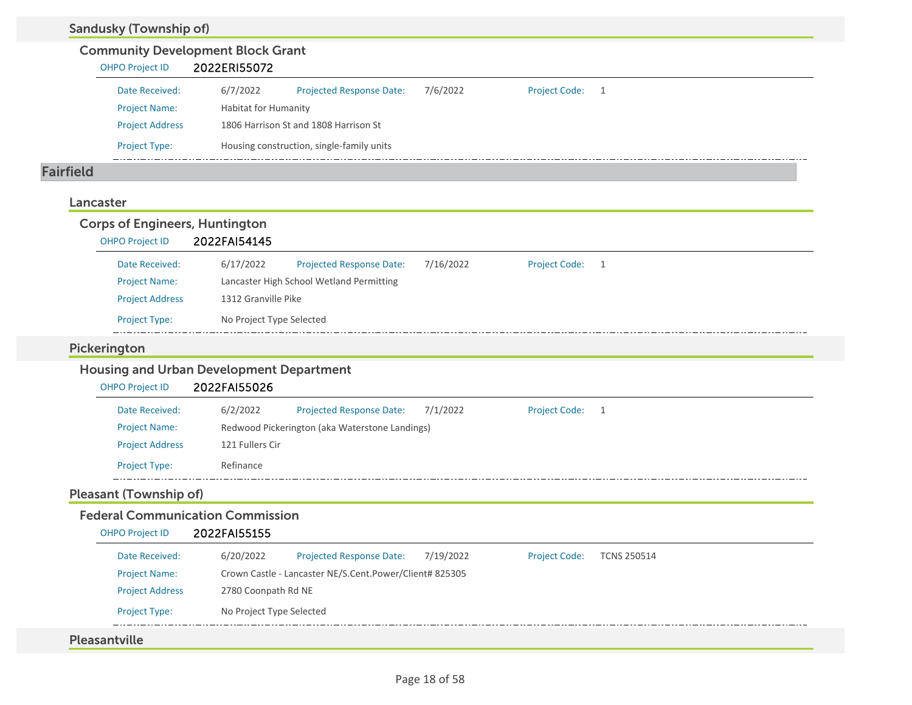| <b>Sandusky (Township of)</b>         |                                                         |           |                      |                    |
|---------------------------------------|---------------------------------------------------------|-----------|----------------------|--------------------|
|                                       | <b>Community Development Block Grant</b>                |           |                      |                    |
| <b>OHPO Project ID</b>                | 2022ERI55072                                            |           |                      |                    |
| Date Received:                        | 6/7/2022<br><b>Projected Response Date:</b>             | 7/6/2022  | <b>Project Code:</b> | $\mathbf{1}$       |
| <b>Project Name:</b>                  | <b>Habitat for Humanity</b>                             |           |                      |                    |
| <b>Project Address</b>                | 1806 Harrison St and 1808 Harrison St                   |           |                      |                    |
| Project Type:                         | Housing construction, single-family units               |           |                      |                    |
| <b>Fairfield</b>                      |                                                         |           |                      |                    |
| Lancaster                             |                                                         |           |                      |                    |
| <b>Corps of Engineers, Huntington</b> |                                                         |           |                      |                    |
| <b>OHPO Project ID</b>                | 2022FAI54145                                            |           |                      |                    |
| Date Received:                        | 6/17/2022<br><b>Projected Response Date:</b>            | 7/16/2022 | Project Code:        | 1                  |
| <b>Project Name:</b>                  | Lancaster High School Wetland Permitting                |           |                      |                    |
| <b>Project Address</b>                | 1312 Granville Pike                                     |           |                      |                    |
| Project Type:                         | No Project Type Selected                                |           |                      |                    |
| Pickerington                          |                                                         |           |                      |                    |
|                                       | <b>Housing and Urban Development Department</b>         |           |                      |                    |
| <b>OHPO Project ID</b>                | 2022FAI55026                                            |           |                      |                    |
| Date Received:                        | 6/2/2022<br><b>Projected Response Date:</b>             | 7/1/2022  | <b>Project Code:</b> | $\mathbf{1}$       |
| <b>Project Name:</b>                  | Redwood Pickerington (aka Waterstone Landings)          |           |                      |                    |
| <b>Project Address</b>                | 121 Fullers Cir                                         |           |                      |                    |
| Project Type:                         | Refinance                                               |           |                      |                    |
| <b>Pleasant (Township of)</b>         |                                                         |           |                      |                    |
|                                       | <b>Federal Communication Commission</b>                 |           |                      |                    |
| <b>OHPO Project ID</b>                | 2022FAI55155                                            |           |                      |                    |
| Date Received:                        | 6/20/2022<br><b>Projected Response Date:</b>            | 7/19/2022 | <b>Project Code:</b> | <b>TCNS 250514</b> |
| <b>Project Name:</b>                  | Crown Castle - Lancaster NE/S.Cent.Power/Client# 825305 |           |                      |                    |
| <b>Project Address</b>                | 2780 Coonpath Rd NE                                     |           |                      |                    |
| Project Type:                         | No Project Type Selected                                |           |                      |                    |
| Pleasantville                         |                                                         |           |                      |                    |
|                                       |                                                         |           |                      |                    |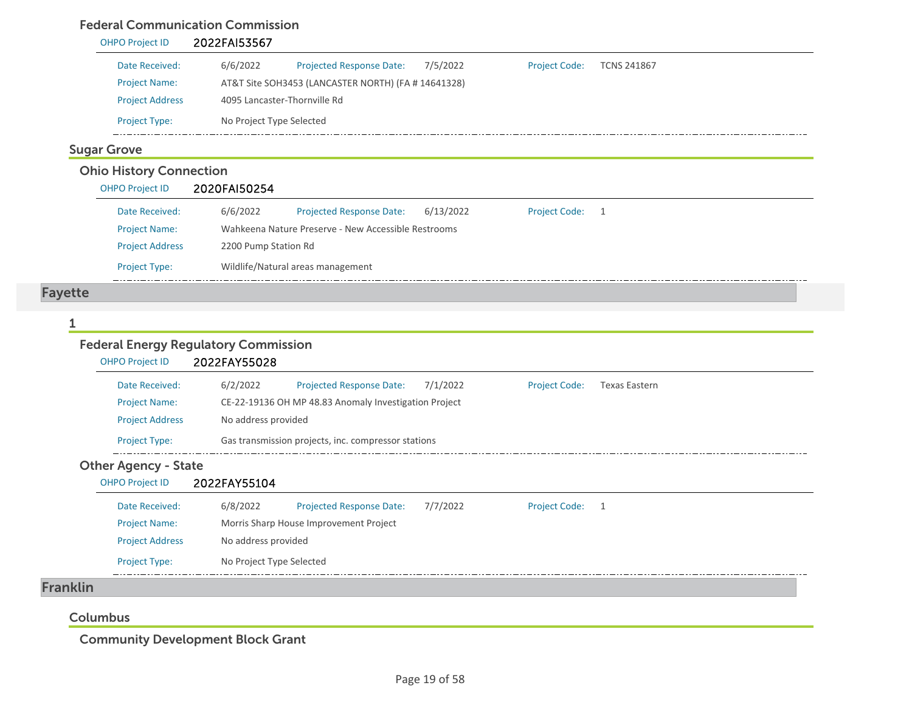### Federal Communication Commission

| <b>OHPO Project ID</b> | 2022FAI53567                 |                                                     |          |                      |                    |
|------------------------|------------------------------|-----------------------------------------------------|----------|----------------------|--------------------|
| Date Received:         | 6/6/2022                     | <b>Projected Response Date:</b>                     | 7/5/2022 | <b>Project Code:</b> | <b>TCNS 241867</b> |
| <b>Project Name:</b>   |                              | AT&T Site SOH3453 (LANCASTER NORTH) (FA # 14641328) |          |                      |                    |
| <b>Project Address</b> | 4095 Lancaster-Thornville Rd |                                                     |          |                      |                    |
| <b>Project Type:</b>   | No Project Type Selected     |                                                     |          |                      |                    |

### Ohio History Connection

| OHPO Project ID        | 2020FAI50254         |                                                     |           |                      |     |
|------------------------|----------------------|-----------------------------------------------------|-----------|----------------------|-----|
| Date Received:         | 6/6/2022             | <b>Projected Response Date:</b>                     | 6/13/2022 | <b>Project Code:</b> | - 1 |
| <b>Project Name:</b>   |                      | Wahkeena Nature Preserve - New Accessible Restrooms |           |                      |     |
| <b>Project Address</b> | 2200 Pump Station Rd |                                                     |           |                      |     |
| <b>Project Type:</b>   |                      | Wildlife/Natural areas management                   |           |                      |     |

## Fayette

#### 1

### Federal Energy Regulatory Commission

| Date Received:                                        | 6/2/2022            | <b>Projected Response Date:</b>                       | 7/1/2022 | <b>Project Code:</b> | <b>Texas Eastern</b> |
|-------------------------------------------------------|---------------------|-------------------------------------------------------|----------|----------------------|----------------------|
| <b>Project Name:</b>                                  |                     | CE-22-19136 OH MP 48.83 Anomaly Investigation Project |          |                      |                      |
| <b>Project Address</b>                                | No address provided |                                                       |          |                      |                      |
| Project Type:                                         |                     | Gas transmission projects, inc. compressor stations   |          |                      |                      |
| <b>Other Agency - State</b><br><b>OHPO Project ID</b> | 2022FAY55104        |                                                       |          |                      |                      |
| Date Received:                                        | 6/8/2022            | Projected Response Date:                              | 7/7/2022 | <b>Project Code:</b> | $\overline{1}$       |
| <b>Project Name:</b>                                  |                     | Morris Sharp House Improvement Project                |          |                      |                      |
| <b>Project Address</b>                                | No address provided |                                                       |          |                      |                      |

#### Columbus

Community Development Block Grant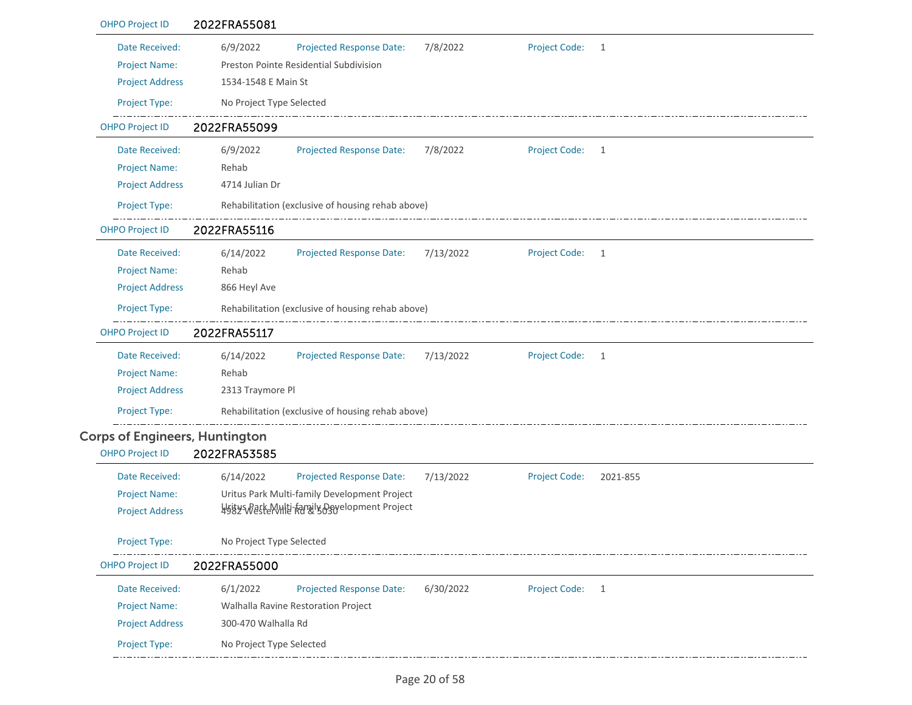| <b>OHPO Project ID</b>                                           | 2022FRA55081                    |                                                                    |           |                      |              |
|------------------------------------------------------------------|---------------------------------|--------------------------------------------------------------------|-----------|----------------------|--------------|
| Date Received:<br><b>Project Name:</b><br><b>Project Address</b> | 6/9/2022<br>1534-1548 E Main St | Projected Response Date:<br>Preston Pointe Residential Subdivision | 7/8/2022  | <b>Project Code:</b> | 1            |
| Project Type:                                                    | No Project Type Selected        |                                                                    |           |                      |              |
| <b>OHPO Project ID</b>                                           | 2022FRA55099                    |                                                                    |           |                      |              |
| Date Received:                                                   | 6/9/2022                        | <b>Projected Response Date:</b>                                    | 7/8/2022  | Project Code:        | 1            |
| <b>Project Name:</b>                                             | Rehab                           |                                                                    |           |                      |              |
| <b>Project Address</b>                                           | 4714 Julian Dr                  |                                                                    |           |                      |              |
| Project Type:                                                    |                                 | Rehabilitation (exclusive of housing rehab above)                  |           |                      |              |
| <b>OHPO Project ID</b>                                           | 2022FRA55116                    |                                                                    |           |                      |              |
| Date Received:                                                   | 6/14/2022                       | <b>Projected Response Date:</b>                                    | 7/13/2022 | <b>Project Code:</b> | 1            |
| <b>Project Name:</b>                                             | Rehab                           |                                                                    |           |                      |              |
| <b>Project Address</b>                                           | 866 Heyl Ave                    |                                                                    |           |                      |              |
| Project Type:                                                    |                                 | Rehabilitation (exclusive of housing rehab above)                  |           |                      |              |
| <b>OHPO Project ID</b>                                           | 2022FRA55117                    |                                                                    |           |                      |              |
| Date Received:                                                   | 6/14/2022                       | <b>Projected Response Date:</b>                                    | 7/13/2022 | <b>Project Code:</b> | $\mathbf{1}$ |
| <b>Project Name:</b>                                             | Rehab                           |                                                                    |           |                      |              |
| <b>Project Address</b>                                           | 2313 Traymore Pl                |                                                                    |           |                      |              |
| Project Type:                                                    |                                 | Rehabilitation (exclusive of housing rehab above)                  |           |                      |              |
| <b>Corps of Engineers, Huntington</b>                            |                                 |                                                                    |           |                      |              |
| <b>OHPO Project ID</b>                                           | 2022FRA53585                    |                                                                    |           |                      |              |
| Date Received:                                                   | 6/14/2022                       | <b>Projected Response Date:</b>                                    | 7/13/2022 | <b>Project Code:</b> | 2021-855     |
| <b>Project Name:</b>                                             |                                 | Uritus Park Multi-family Development Project                       |           |                      |              |
| <b>Project Address</b>                                           |                                 | 4584 Waste Multi-family Development Project                        |           |                      |              |
| <b>Project Type:</b>                                             | No Project Type Selected        |                                                                    |           |                      |              |
| <b>OHPO Project ID</b>                                           | 2022FRA55000                    |                                                                    |           |                      |              |
| Date Received:                                                   | 6/1/2022                        | <b>Projected Response Date:</b>                                    | 6/30/2022 | <b>Project Code:</b> | 1            |
| <b>Project Name:</b>                                             |                                 | Walhalla Ravine Restoration Project                                |           |                      |              |
| <b>Project Address</b>                                           | 300-470 Walhalla Rd             |                                                                    |           |                      |              |
| Project Type:                                                    | No Project Type Selected        |                                                                    |           |                      |              |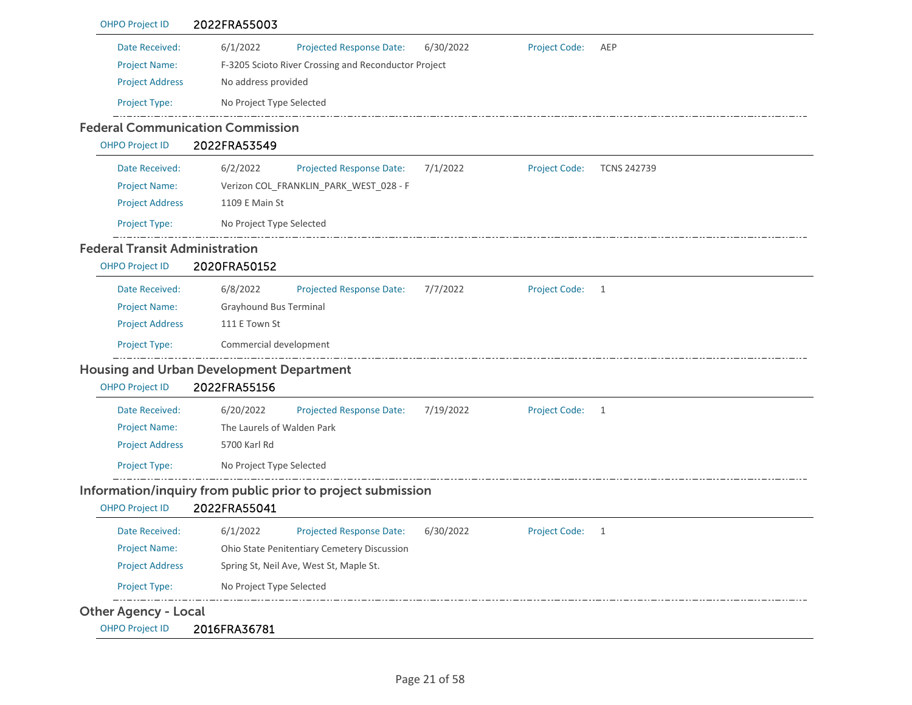| <b>OHPO Project ID</b>                | 2022FRA55003                                                                                   |
|---------------------------------------|------------------------------------------------------------------------------------------------|
| Date Received:                        | 6/1/2022<br><b>Projected Response Date:</b><br>6/30/2022<br><b>Project Code:</b><br>AEP        |
| <b>Project Name:</b>                  | F-3205 Scioto River Crossing and Reconductor Project                                           |
| <b>Project Address</b>                | No address provided                                                                            |
| Project Type:                         | No Project Type Selected                                                                       |
|                                       | <b>Federal Communication Commission</b>                                                        |
| <b>OHPO Project ID</b>                | 2022FRA53549                                                                                   |
| Date Received:                        | 6/2/2022<br>Projected Response Date:<br>7/1/2022<br><b>Project Code:</b><br><b>TCNS 242739</b> |
| <b>Project Name:</b>                  | Verizon COL FRANKLIN PARK WEST 028 - F                                                         |
| <b>Project Address</b>                | 1109 E Main St                                                                                 |
| Project Type:                         | No Project Type Selected                                                                       |
| <b>Federal Transit Administration</b> |                                                                                                |
| <b>OHPO Project ID</b>                | 2020FRA50152                                                                                   |
| Date Received:                        | 6/8/2022<br>Projected Response Date:<br>7/7/2022<br><b>Project Code:</b><br>1                  |
| <b>Project Name:</b>                  | Grayhound Bus Terminal                                                                         |
| <b>Project Address</b>                | 111 E Town St                                                                                  |
| Project Type:                         | Commercial development                                                                         |
|                                       | <b>Housing and Urban Development Department</b>                                                |
| <b>OHPO Project ID</b>                | 2022FRA55156                                                                                   |
| Date Received:                        | 6/20/2022<br><b>Projected Response Date:</b><br>7/19/2022<br><b>Project Code:</b><br>1         |
| <b>Project Name:</b>                  | The Laurels of Walden Park                                                                     |
| <b>Project Address</b>                | 5700 Karl Rd                                                                                   |
| <b>Project Type:</b>                  | No Project Type Selected                                                                       |
|                                       | Information/inquiry from public prior to project submission                                    |
| <b>OHPO Project ID</b>                | 2022FRA55041                                                                                   |
| Date Received:                        | <b>Projected Response Date:</b><br>6/1/2022<br>6/30/2022<br>Project Code:<br>1                 |
| <b>Project Name:</b>                  | Ohio State Penitentiary Cemetery Discussion                                                    |
| <b>Project Address</b>                | Spring St, Neil Ave, West St, Maple St.                                                        |
| Project Type:                         | No Project Type Selected                                                                       |
| <b>Other Agency - Local</b>           |                                                                                                |
| <b>OHPO Project ID</b>                | 2016FRA36781                                                                                   |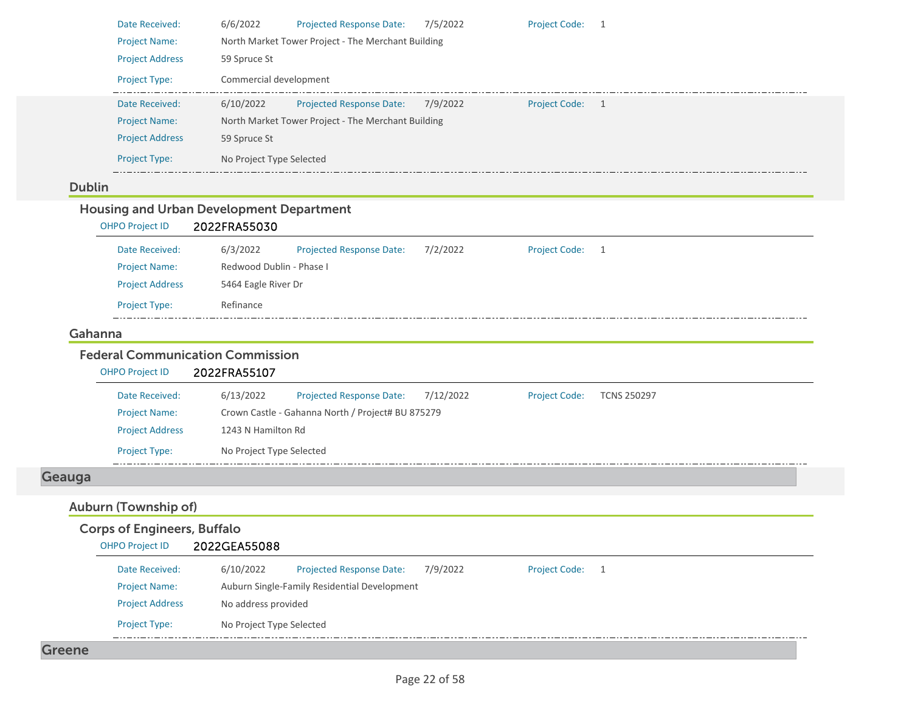| <b>Project Name:</b><br>North Market Tower Project - The Merchant Building<br><b>Project Address</b><br>59 Spruce St<br>Commercial development<br>Project Type:<br>Date Received:<br>6/10/2022<br><b>Projected Response Date:</b><br>7/9/2022<br>Project Code: 1<br>North Market Tower Project - The Merchant Building<br><b>Project Name:</b><br><b>Project Address</b><br>59 Spruce St<br>Project Type:<br>No Project Type Selected<br><b>Dublin</b><br><b>Housing and Urban Development Department</b><br>2022FRA55030<br><b>OHPO Project ID</b><br>6/3/2022<br><b>Project Code:</b><br>Date Received:<br><b>Projected Response Date:</b><br>7/2/2022<br>$\overline{1}$<br>Redwood Dublin - Phase I<br><b>Project Name:</b><br><b>Project Address</b><br>5464 Eagle River Dr<br>Project Type:<br>Refinance<br>Gahanna<br><b>Federal Communication Commission</b><br>2022FRA55107<br>OHPO Project ID<br>6/13/2022<br><b>Projected Response Date:</b><br>7/12/2022<br>Date Received:<br><b>Project Code:</b><br><b>TCNS 250297</b><br><b>Project Name:</b><br>Crown Castle - Gahanna North / Project# BU 875279<br>1243 N Hamilton Rd<br><b>Project Address</b><br><b>Project Type:</b><br>No Project Type Selected<br><b>Auburn (Township of)</b><br><b>Corps of Engineers, Buffalo</b><br>2022GEA55088<br><b>OHPO Project ID</b><br><b>Project Code:</b><br><b>Projected Response Date:</b><br>7/9/2022<br>Date Received:<br>6/10/2022<br>$\overline{1}$<br><b>Project Name:</b><br>Auburn Single-Family Residential Development<br><b>Project Address</b><br>No address provided<br>Project Type:<br>No Project Type Selected<br><b>Greene</b> |        | Date Received: | 6/6/2022<br><b>Projected Response Date:</b><br><b>Project Code:</b><br>7/5/2022<br>$\overline{1}$ |
|----------------------------------------------------------------------------------------------------------------------------------------------------------------------------------------------------------------------------------------------------------------------------------------------------------------------------------------------------------------------------------------------------------------------------------------------------------------------------------------------------------------------------------------------------------------------------------------------------------------------------------------------------------------------------------------------------------------------------------------------------------------------------------------------------------------------------------------------------------------------------------------------------------------------------------------------------------------------------------------------------------------------------------------------------------------------------------------------------------------------------------------------------------------------------------------------------------------------------------------------------------------------------------------------------------------------------------------------------------------------------------------------------------------------------------------------------------------------------------------------------------------------------------------------------------------------------------------------------------------------------------------------------|--------|----------------|---------------------------------------------------------------------------------------------------|
|                                                                                                                                                                                                                                                                                                                                                                                                                                                                                                                                                                                                                                                                                                                                                                                                                                                                                                                                                                                                                                                                                                                                                                                                                                                                                                                                                                                                                                                                                                                                                                                                                                                    |        |                |                                                                                                   |
|                                                                                                                                                                                                                                                                                                                                                                                                                                                                                                                                                                                                                                                                                                                                                                                                                                                                                                                                                                                                                                                                                                                                                                                                                                                                                                                                                                                                                                                                                                                                                                                                                                                    |        |                |                                                                                                   |
|                                                                                                                                                                                                                                                                                                                                                                                                                                                                                                                                                                                                                                                                                                                                                                                                                                                                                                                                                                                                                                                                                                                                                                                                                                                                                                                                                                                                                                                                                                                                                                                                                                                    |        |                |                                                                                                   |
|                                                                                                                                                                                                                                                                                                                                                                                                                                                                                                                                                                                                                                                                                                                                                                                                                                                                                                                                                                                                                                                                                                                                                                                                                                                                                                                                                                                                                                                                                                                                                                                                                                                    |        |                |                                                                                                   |
|                                                                                                                                                                                                                                                                                                                                                                                                                                                                                                                                                                                                                                                                                                                                                                                                                                                                                                                                                                                                                                                                                                                                                                                                                                                                                                                                                                                                                                                                                                                                                                                                                                                    |        |                |                                                                                                   |
|                                                                                                                                                                                                                                                                                                                                                                                                                                                                                                                                                                                                                                                                                                                                                                                                                                                                                                                                                                                                                                                                                                                                                                                                                                                                                                                                                                                                                                                                                                                                                                                                                                                    |        |                |                                                                                                   |
|                                                                                                                                                                                                                                                                                                                                                                                                                                                                                                                                                                                                                                                                                                                                                                                                                                                                                                                                                                                                                                                                                                                                                                                                                                                                                                                                                                                                                                                                                                                                                                                                                                                    |        |                |                                                                                                   |
|                                                                                                                                                                                                                                                                                                                                                                                                                                                                                                                                                                                                                                                                                                                                                                                                                                                                                                                                                                                                                                                                                                                                                                                                                                                                                                                                                                                                                                                                                                                                                                                                                                                    |        |                |                                                                                                   |
|                                                                                                                                                                                                                                                                                                                                                                                                                                                                                                                                                                                                                                                                                                                                                                                                                                                                                                                                                                                                                                                                                                                                                                                                                                                                                                                                                                                                                                                                                                                                                                                                                                                    |        |                |                                                                                                   |
|                                                                                                                                                                                                                                                                                                                                                                                                                                                                                                                                                                                                                                                                                                                                                                                                                                                                                                                                                                                                                                                                                                                                                                                                                                                                                                                                                                                                                                                                                                                                                                                                                                                    |        |                |                                                                                                   |
|                                                                                                                                                                                                                                                                                                                                                                                                                                                                                                                                                                                                                                                                                                                                                                                                                                                                                                                                                                                                                                                                                                                                                                                                                                                                                                                                                                                                                                                                                                                                                                                                                                                    |        |                |                                                                                                   |
|                                                                                                                                                                                                                                                                                                                                                                                                                                                                                                                                                                                                                                                                                                                                                                                                                                                                                                                                                                                                                                                                                                                                                                                                                                                                                                                                                                                                                                                                                                                                                                                                                                                    |        |                |                                                                                                   |
|                                                                                                                                                                                                                                                                                                                                                                                                                                                                                                                                                                                                                                                                                                                                                                                                                                                                                                                                                                                                                                                                                                                                                                                                                                                                                                                                                                                                                                                                                                                                                                                                                                                    |        |                |                                                                                                   |
|                                                                                                                                                                                                                                                                                                                                                                                                                                                                                                                                                                                                                                                                                                                                                                                                                                                                                                                                                                                                                                                                                                                                                                                                                                                                                                                                                                                                                                                                                                                                                                                                                                                    |        |                |                                                                                                   |
|                                                                                                                                                                                                                                                                                                                                                                                                                                                                                                                                                                                                                                                                                                                                                                                                                                                                                                                                                                                                                                                                                                                                                                                                                                                                                                                                                                                                                                                                                                                                                                                                                                                    |        |                |                                                                                                   |
|                                                                                                                                                                                                                                                                                                                                                                                                                                                                                                                                                                                                                                                                                                                                                                                                                                                                                                                                                                                                                                                                                                                                                                                                                                                                                                                                                                                                                                                                                                                                                                                                                                                    |        |                |                                                                                                   |
|                                                                                                                                                                                                                                                                                                                                                                                                                                                                                                                                                                                                                                                                                                                                                                                                                                                                                                                                                                                                                                                                                                                                                                                                                                                                                                                                                                                                                                                                                                                                                                                                                                                    |        |                |                                                                                                   |
|                                                                                                                                                                                                                                                                                                                                                                                                                                                                                                                                                                                                                                                                                                                                                                                                                                                                                                                                                                                                                                                                                                                                                                                                                                                                                                                                                                                                                                                                                                                                                                                                                                                    |        |                |                                                                                                   |
|                                                                                                                                                                                                                                                                                                                                                                                                                                                                                                                                                                                                                                                                                                                                                                                                                                                                                                                                                                                                                                                                                                                                                                                                                                                                                                                                                                                                                                                                                                                                                                                                                                                    |        |                |                                                                                                   |
|                                                                                                                                                                                                                                                                                                                                                                                                                                                                                                                                                                                                                                                                                                                                                                                                                                                                                                                                                                                                                                                                                                                                                                                                                                                                                                                                                                                                                                                                                                                                                                                                                                                    |        |                |                                                                                                   |
|                                                                                                                                                                                                                                                                                                                                                                                                                                                                                                                                                                                                                                                                                                                                                                                                                                                                                                                                                                                                                                                                                                                                                                                                                                                                                                                                                                                                                                                                                                                                                                                                                                                    |        |                |                                                                                                   |
|                                                                                                                                                                                                                                                                                                                                                                                                                                                                                                                                                                                                                                                                                                                                                                                                                                                                                                                                                                                                                                                                                                                                                                                                                                                                                                                                                                                                                                                                                                                                                                                                                                                    |        |                |                                                                                                   |
|                                                                                                                                                                                                                                                                                                                                                                                                                                                                                                                                                                                                                                                                                                                                                                                                                                                                                                                                                                                                                                                                                                                                                                                                                                                                                                                                                                                                                                                                                                                                                                                                                                                    | Geauga |                |                                                                                                   |
|                                                                                                                                                                                                                                                                                                                                                                                                                                                                                                                                                                                                                                                                                                                                                                                                                                                                                                                                                                                                                                                                                                                                                                                                                                                                                                                                                                                                                                                                                                                                                                                                                                                    |        |                |                                                                                                   |
|                                                                                                                                                                                                                                                                                                                                                                                                                                                                                                                                                                                                                                                                                                                                                                                                                                                                                                                                                                                                                                                                                                                                                                                                                                                                                                                                                                                                                                                                                                                                                                                                                                                    |        |                |                                                                                                   |
|                                                                                                                                                                                                                                                                                                                                                                                                                                                                                                                                                                                                                                                                                                                                                                                                                                                                                                                                                                                                                                                                                                                                                                                                                                                                                                                                                                                                                                                                                                                                                                                                                                                    |        |                |                                                                                                   |
|                                                                                                                                                                                                                                                                                                                                                                                                                                                                                                                                                                                                                                                                                                                                                                                                                                                                                                                                                                                                                                                                                                                                                                                                                                                                                                                                                                                                                                                                                                                                                                                                                                                    |        |                |                                                                                                   |
|                                                                                                                                                                                                                                                                                                                                                                                                                                                                                                                                                                                                                                                                                                                                                                                                                                                                                                                                                                                                                                                                                                                                                                                                                                                                                                                                                                                                                                                                                                                                                                                                                                                    |        |                |                                                                                                   |
|                                                                                                                                                                                                                                                                                                                                                                                                                                                                                                                                                                                                                                                                                                                                                                                                                                                                                                                                                                                                                                                                                                                                                                                                                                                                                                                                                                                                                                                                                                                                                                                                                                                    |        |                |                                                                                                   |
|                                                                                                                                                                                                                                                                                                                                                                                                                                                                                                                                                                                                                                                                                                                                                                                                                                                                                                                                                                                                                                                                                                                                                                                                                                                                                                                                                                                                                                                                                                                                                                                                                                                    |        |                |                                                                                                   |
|                                                                                                                                                                                                                                                                                                                                                                                                                                                                                                                                                                                                                                                                                                                                                                                                                                                                                                                                                                                                                                                                                                                                                                                                                                                                                                                                                                                                                                                                                                                                                                                                                                                    |        |                |                                                                                                   |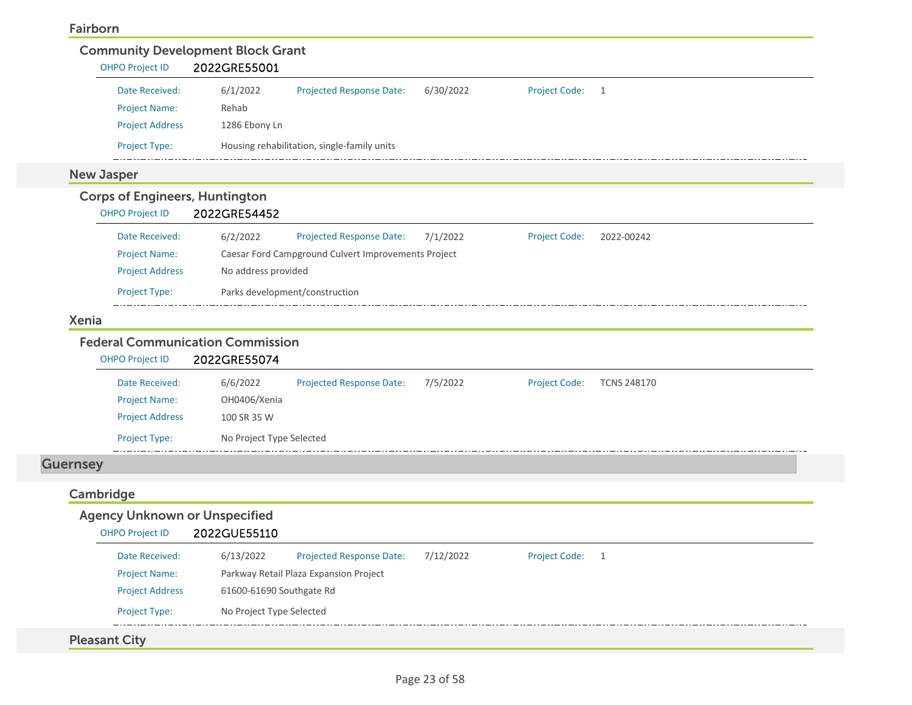#### Fairborn

| <b>OHPO Project ID</b>                                                                                                                    | 2022GRE55001             |                                                     |           |                      |                    |  |
|-------------------------------------------------------------------------------------------------------------------------------------------|--------------------------|-----------------------------------------------------|-----------|----------------------|--------------------|--|
| Date Received:                                                                                                                            | 6/1/2022                 | Projected Response Date:                            | 6/30/2022 | <b>Project Code:</b> | 1                  |  |
| <b>Project Name:</b>                                                                                                                      | Rehab                    |                                                     |           |                      |                    |  |
| <b>Project Address</b>                                                                                                                    | 1286 Ebony Ln            |                                                     |           |                      |                    |  |
| Project Type:                                                                                                                             |                          | Housing rehabilitation, single-family units         |           |                      |                    |  |
| <b>New Jasper</b>                                                                                                                         |                          |                                                     |           |                      |                    |  |
| <b>Corps of Engineers, Huntington</b><br><b>OHPO Project ID</b>                                                                           | 2022GRE54452             |                                                     |           |                      |                    |  |
| Date Received:                                                                                                                            | 6/2/2022                 | <b>Projected Response Date:</b>                     | 7/1/2022  | <b>Project Code:</b> | 2022-00242         |  |
| <b>Project Name:</b>                                                                                                                      |                          | Caesar Ford Campground Culvert Improvements Project |           |                      |                    |  |
| <b>Project Address</b>                                                                                                                    | No address provided      |                                                     |           |                      |                    |  |
| <b>Project Type:</b>                                                                                                                      |                          | Parks development/construction                      |           |                      |                    |  |
|                                                                                                                                           |                          |                                                     |           |                      |                    |  |
|                                                                                                                                           |                          |                                                     |           |                      |                    |  |
| <b>Xenia</b>                                                                                                                              |                          |                                                     |           |                      |                    |  |
| <b>OHPO Project ID</b>                                                                                                                    | 2022GRE55074             |                                                     |           |                      |                    |  |
| Date Received:                                                                                                                            | 6/6/2022                 | Projected Response Date:                            | 7/5/2022  | <b>Project Code:</b> | <b>TCNS 248170</b> |  |
| <b>Project Name:</b>                                                                                                                      | OH0406/Xenia             |                                                     |           |                      |                    |  |
| <b>Project Address</b>                                                                                                                    | 100 SR 35 W              |                                                     |           |                      |                    |  |
| <b>Project Type:</b>                                                                                                                      | No Project Type Selected |                                                     |           |                      |                    |  |
|                                                                                                                                           |                          |                                                     |           |                      |                    |  |
|                                                                                                                                           |                          |                                                     |           |                      |                    |  |
|                                                                                                                                           |                          |                                                     |           |                      |                    |  |
| <b>OHPO Project ID</b>                                                                                                                    | 2022GUE55110             |                                                     |           |                      |                    |  |
| Date Received:                                                                                                                            | 6/13/2022                | <b>Projected Response Date:</b>                     | 7/12/2022 | Project Code: 1      |                    |  |
| Project Name:                                                                                                                             |                          | Parkway Retail Plaza Expansion Project              |           |                      |                    |  |
| <b>Federal Communication Commission</b><br><b>Guernsey</b><br>Cambridge<br><b>Agency Unknown or Unspecified</b><br><b>Project Address</b> | 61600-61690 Southgate Rd |                                                     |           |                      |                    |  |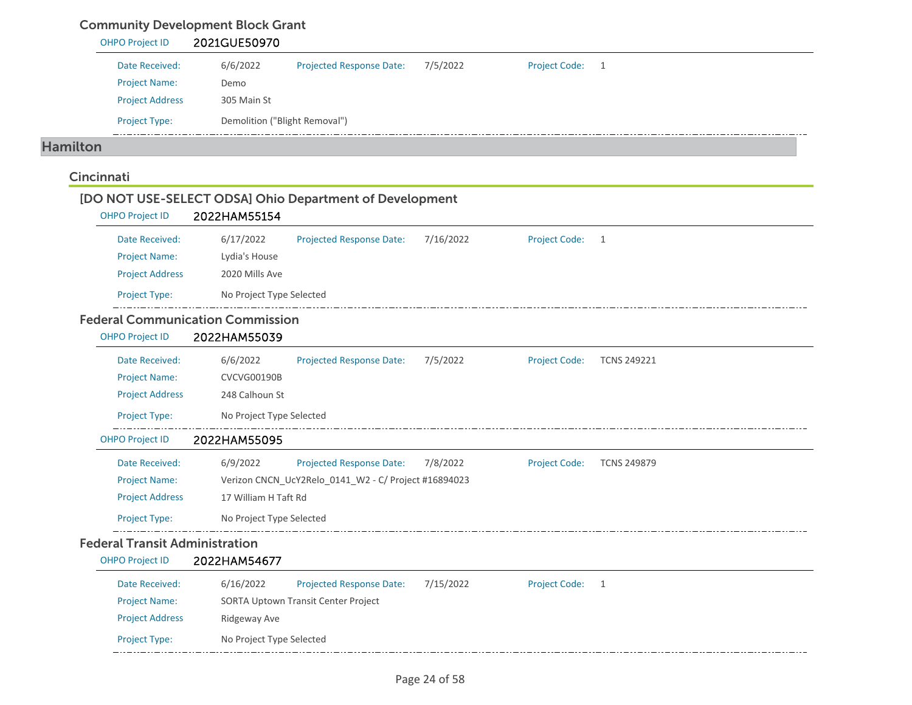### Community Development Block Grant

|                 | <b>OHPO Project ID</b> | 2021GUE50970                            |                                                         |           |                      |                    |
|-----------------|------------------------|-----------------------------------------|---------------------------------------------------------|-----------|----------------------|--------------------|
|                 | Date Received:         | 6/6/2022                                | <b>Projected Response Date:</b>                         | 7/5/2022  | <b>Project Code:</b> | 1                  |
|                 | <b>Project Name:</b>   | Demo                                    |                                                         |           |                      |                    |
|                 | <b>Project Address</b> | 305 Main St                             |                                                         |           |                      |                    |
|                 | Project Type:          | Demolition ("Blight Removal")           |                                                         |           |                      |                    |
| <b>Hamilton</b> |                        |                                         |                                                         |           |                      |                    |
| Cincinnati      |                        |                                         |                                                         |           |                      |                    |
|                 | <b>OHPO Project ID</b> | 2022HAM55154                            | [DO NOT USE-SELECT ODSA] Ohio Department of Development |           |                      |                    |
|                 | Date Received:         | 6/17/2022                               | Projected Response Date:                                | 7/16/2022 | <b>Project Code:</b> | $\mathbf{1}$       |
|                 | <b>Project Name:</b>   | Lydia's House                           |                                                         |           |                      |                    |
|                 | <b>Project Address</b> | 2020 Mills Ave                          |                                                         |           |                      |                    |
|                 | Project Type:          | No Project Type Selected                |                                                         |           |                      |                    |
|                 |                        | <b>Federal Communication Commission</b> |                                                         |           |                      |                    |
|                 | <b>OHPO Project ID</b> | 2022HAM55039                            |                                                         |           |                      |                    |
|                 | Date Received:         | 6/6/2022                                | <b>Projected Response Date:</b>                         | 7/5/2022  | <b>Project Code:</b> | <b>TCNS 249221</b> |
|                 | <b>Project Name:</b>   | <b>CVCVG00190B</b>                      |                                                         |           |                      |                    |
|                 | <b>Project Address</b> | 248 Calhoun St                          |                                                         |           |                      |                    |
|                 | Project Type:          | No Project Type Selected                |                                                         |           |                      |                    |
|                 | <b>OHPO Project ID</b> | 2022HAM55095                            |                                                         |           |                      |                    |
|                 | Date Received:         | 6/9/2022                                | Projected Response Date:                                | 7/8/2022  | <b>Project Code:</b> | <b>TCNS 249879</b> |
|                 | <b>Project Name:</b>   |                                         | Verizon CNCN_UcY2Relo_0141_W2 - C/ Project #16894023    |           |                      |                    |
|                 | <b>Project Address</b> | 17 William H Taft Rd                    |                                                         |           |                      |                    |
|                 | Project Type:          | No Project Type Selected                |                                                         |           |                      |                    |
|                 |                        | <b>Federal Transit Administration</b>   |                                                         |           |                      |                    |
|                 | <b>OHPO Project ID</b> | 2022HAM54677                            |                                                         |           |                      |                    |
|                 | Date Received:         | 6/16/2022                               | Projected Response Date:                                | 7/15/2022 | <b>Project Code:</b> | $\overline{1}$     |
|                 |                        |                                         |                                                         |           |                      |                    |
|                 | Project Name:          |                                         | SORTA Uptown Transit Center Project                     |           |                      |                    |
|                 | <b>Project Address</b> | Ridgeway Ave                            |                                                         |           |                      |                    |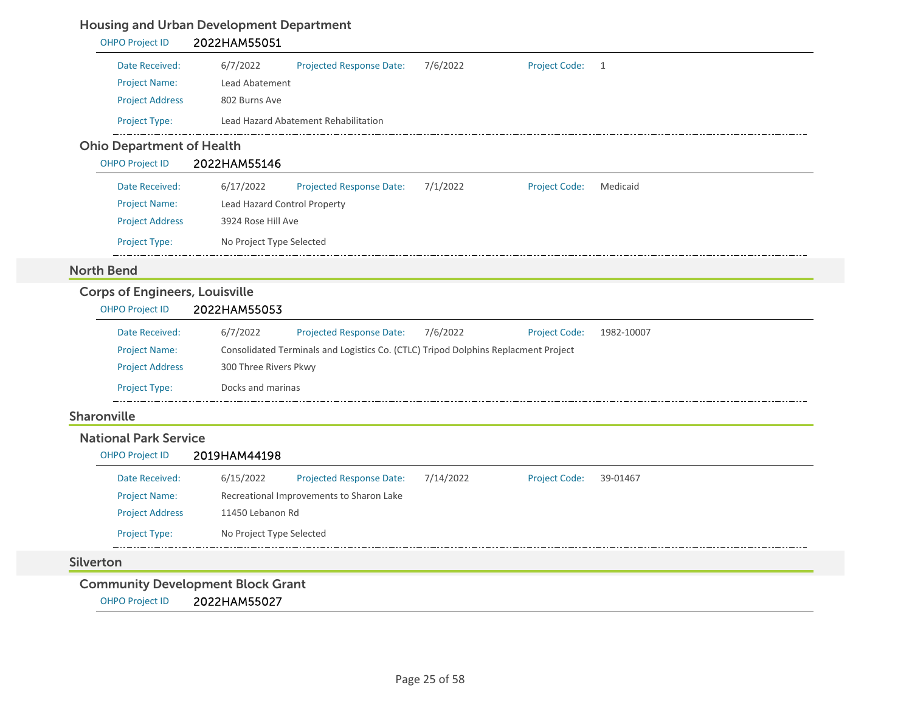### Housing and Urban Development Department

| <b>OHPO Project ID</b>                | 2022HAM55051                                                                                  |
|---------------------------------------|-----------------------------------------------------------------------------------------------|
| Date Received:                        | 6/7/2022<br>7/6/2022<br><b>Project Code:</b><br><b>Projected Response Date:</b><br>1          |
| <b>Project Name:</b>                  | Lead Abatement                                                                                |
| <b>Project Address</b>                | 802 Burns Ave                                                                                 |
| Project Type:                         | Lead Hazard Abatement Rehabilitation                                                          |
| <b>Ohio Department of Health</b>      |                                                                                               |
| <b>OHPO Project ID</b>                | 2022HAM55146                                                                                  |
| Date Received:                        | 6/17/2022<br>Projected Response Date:<br>7/1/2022<br><b>Project Code:</b><br>Medicaid         |
| <b>Project Name:</b>                  | Lead Hazard Control Property                                                                  |
| <b>Project Address</b>                | 3924 Rose Hill Ave                                                                            |
| Project Type:                         | No Project Type Selected                                                                      |
| <b>North Bend</b>                     |                                                                                               |
| <b>Corps of Engineers, Louisville</b> |                                                                                               |
| <b>OHPO Project ID</b>                | 2022HAM55053                                                                                  |
| Date Received:                        | 6/7/2022<br>7/6/2022<br>1982-10007<br>Projected Response Date:<br><b>Project Code:</b>        |
| <b>Project Name:</b>                  | Consolidated Terminals and Logistics Co. (CTLC) Tripod Dolphins Replacment Project            |
| <b>Project Address</b>                | 300 Three Rivers Pkwy                                                                         |
| Project Type:                         | Docks and marinas                                                                             |
| Sharonville                           |                                                                                               |
| <b>National Park Service</b>          |                                                                                               |
| <b>OHPO Project ID</b>                | 2019HAM44198                                                                                  |
| Date Received:                        | 6/15/2022<br><b>Projected Response Date:</b><br>7/14/2022<br><b>Project Code:</b><br>39-01467 |
| <b>Project Name:</b>                  | Recreational Improvements to Sharon Lake                                                      |
| <b>Project Address</b>                | 11450 Lebanon Rd                                                                              |
| Project Type:                         | No Project Type Selected                                                                      |
| <b>Silverton</b>                      |                                                                                               |
| <b>OHPO Project ID</b>                | <b>Community Development Block Grant</b><br>2022HAM55027                                      |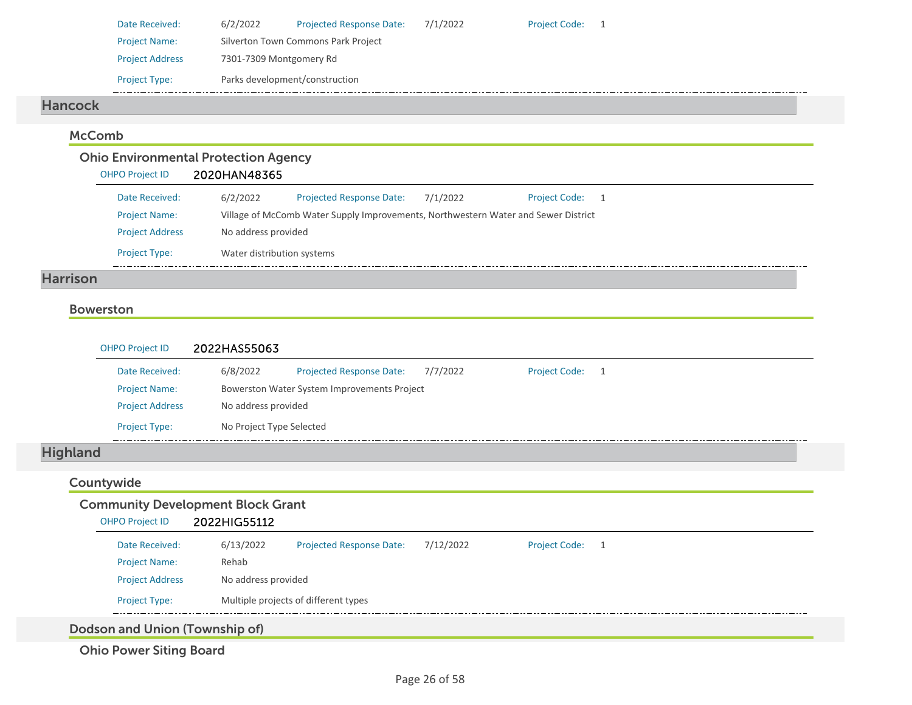| Date Received:         | 6/2/2022                       | <b>Projected Response Date:</b>     | 7/1/2022 | Project Code: 1 |  |  |  |
|------------------------|--------------------------------|-------------------------------------|----------|-----------------|--|--|--|
| <b>Project Name:</b>   |                                | Silverton Town Commons Park Project |          |                 |  |  |  |
| <b>Project Address</b> | 7301-7309 Montgomery Rd        |                                     |          |                 |  |  |  |
| <b>Project Type:</b>   | Parks development/construction |                                     |          |                 |  |  |  |

#### Hancock

#### McComb

## Ohio Environmental Protection Agency

| <b>OHPO Project ID</b> | 2020HAN48365               |                                                                                    |          |                      |                |
|------------------------|----------------------------|------------------------------------------------------------------------------------|----------|----------------------|----------------|
| Date Received:         | 6/2/2022                   | <b>Projected Response Date:</b>                                                    | 7/1/2022 | <b>Project Code:</b> | $\overline{1}$ |
| <b>Project Name:</b>   |                            | Village of McComb Water Supply Improvements, Northwestern Water and Sewer District |          |                      |                |
| <b>Project Address</b> | No address provided        |                                                                                    |          |                      |                |
| <b>Project Type:</b>   | Water distribution systems |                                                                                    |          |                      |                |

#### Harrison

#### Bowerston

| <b>OHPO Project ID</b> | 2022HAS55063             |                                             |          |                      |  |  |
|------------------------|--------------------------|---------------------------------------------|----------|----------------------|--|--|
| Date Received:         | 6/8/2022                 | <b>Projected Response Date:</b>             | 7/7/2022 | <b>Project Code:</b> |  |  |
| <b>Project Name:</b>   |                          | Bowerston Water System Improvements Project |          |                      |  |  |
| <b>Project Address</b> |                          | No address provided                         |          |                      |  |  |
| <b>Project Type:</b>   | No Project Type Selected |                                             |          |                      |  |  |

## Highland

### Countywide

| <b>Community Development Block Grant</b><br>2022HIG55112<br><b>OHPO Project ID</b> |                                                |                              |                                      |           |                      |                |  |
|------------------------------------------------------------------------------------|------------------------------------------------|------------------------------|--------------------------------------|-----------|----------------------|----------------|--|
|                                                                                    | Date Received:                                 | 6/13/2022                    | <b>Projected Response Date:</b>      | 7/12/2022 | <b>Project Code:</b> | $\overline{1}$ |  |
|                                                                                    | <b>Project Name:</b><br><b>Project Address</b> | Rehab<br>No address provided |                                      |           |                      |                |  |
|                                                                                    | <b>Project Type:</b>                           |                              | Multiple projects of different types |           |                      |                |  |
|                                                                                    | .                                              |                              |                                      |           |                      |                |  |

Dodson and Union (Township of)

Ohio Power Siting Board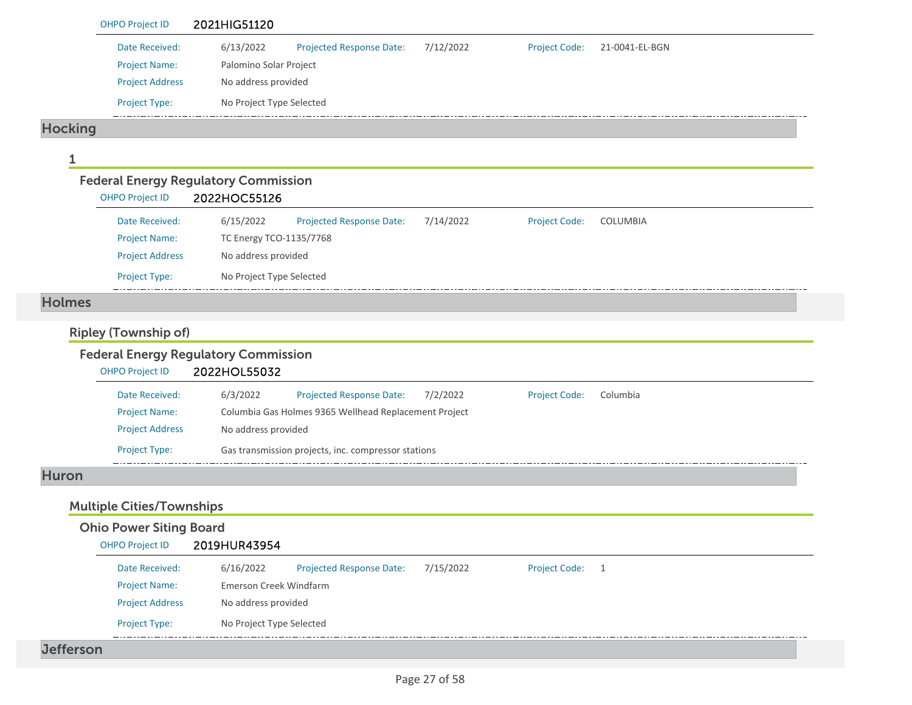|                | <b>OHPO Project ID</b> | 2021HIG51120                                                |                                 |             |                      |                                             |
|----------------|------------------------|-------------------------------------------------------------|---------------------------------|-------------|----------------------|---------------------------------------------|
|                | Date Received:         | 6/13/2022                                                   | <b>Projected Response Date:</b> | 7/12/2022   | <b>Project Code:</b> | 21-0041-EL-BGN                              |
|                | <b>Project Name:</b>   | Palomino Solar Project                                      |                                 |             |                      |                                             |
|                | <b>Project Address</b> | No address provided                                         |                                 |             |                      |                                             |
|                | <b>Project Type:</b>   | No Project Type Selected                                    |                                 |             |                      |                                             |
| <b>Hocking</b> |                        |                                                             |                                 |             |                      |                                             |
|                |                        |                                                             |                                 |             |                      |                                             |
|                | <b>OHPO Project ID</b> | <b>Federal Energy Regulatory Commission</b><br>2022HOC55126 |                                 |             |                      |                                             |
|                | Date Received:         | 6/15/2022                                                   | <b>Projected Response Date:</b> | $7/11/2022$ | <b>Droject Code:</b> | $C$ $O$ $I$ $I$ $I$ $I$ $R$ $I$ $R$ $I$ $A$ |

| Date Received:         | 6/15/2022                | <b>Projected Response Date:</b> | 7/14/2022 | <b>Project Code:</b> | COLUMBIA |
|------------------------|--------------------------|---------------------------------|-----------|----------------------|----------|
| <b>Project Name:</b>   | TC Energy TCO-1135/7768  |                                 |           |                      |          |
| <b>Project Address</b> | No address provided      |                                 |           |                      |          |
| <b>Project Type:</b>   | No Project Type Selected |                                 |           |                      |          |
|                        |                          |                                 |           |                      |          |

#### Holmes

### Ripley (Township of)

#### Federal Energy Regulatory Commission OHPO Project ID 2022HOL55032 Date Received: 6/3/2022 Projected Response Date: 7/2/2022 Project Code: Columbia Project Name: Columbia Gas Holmes 9365 Wellhead Replacement Project Project Address No address provided Project Type: Gas transmission projects, inc. compressor stations ده د د د د

#### Huron

### Multiple Cities/Townships

| <b>OHPO Project ID</b> | 2019HUR43954             |                                 |           |                 |  |
|------------------------|--------------------------|---------------------------------|-----------|-----------------|--|
| Date Received:         | 6/16/2022                | <b>Projected Response Date:</b> | 7/15/2022 | Project Code: 1 |  |
| <b>Project Name:</b>   | Emerson Creek Windfarm   |                                 |           |                 |  |
| <b>Project Address</b> | No address provided      |                                 |           |                 |  |
| <b>Project Type:</b>   | No Project Type Selected |                                 |           |                 |  |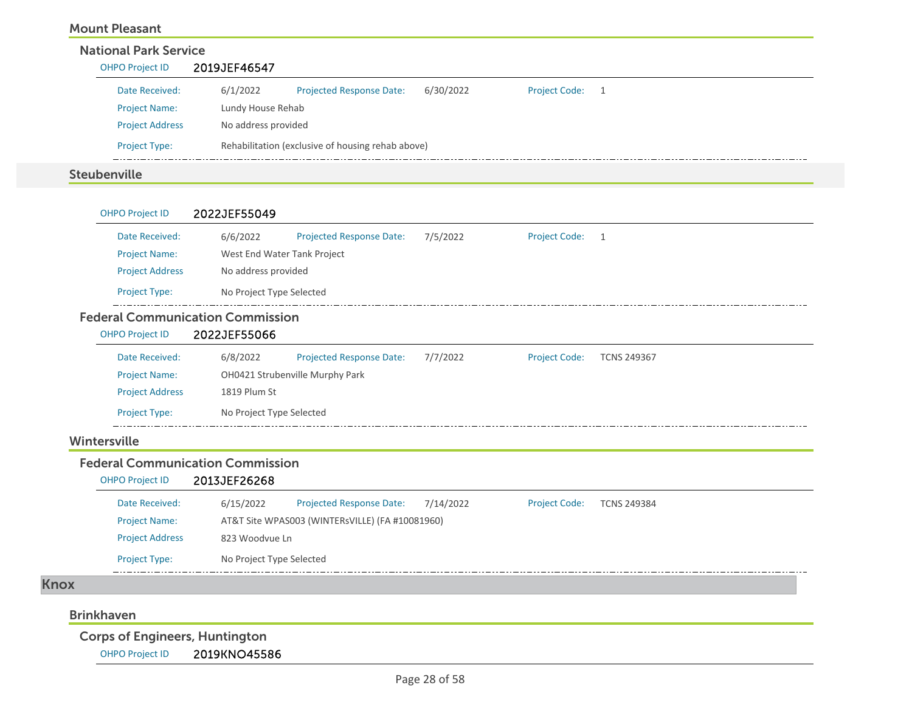| <b>Mount Pleasant</b>        |                     |                                                   |           |                 |  |  |  |  |  |
|------------------------------|---------------------|---------------------------------------------------|-----------|-----------------|--|--|--|--|--|
| <b>National Park Service</b> |                     |                                                   |           |                 |  |  |  |  |  |
| <b>OHPO Project ID</b>       | 2019JEF46547        |                                                   |           |                 |  |  |  |  |  |
| Date Received:               | 6/1/2022            | <b>Projected Response Date:</b>                   | 6/30/2022 | Project Code: 1 |  |  |  |  |  |
| <b>Project Name:</b>         | Lundy House Rehab   |                                                   |           |                 |  |  |  |  |  |
| <b>Project Address</b>       | No address provided |                                                   |           |                 |  |  |  |  |  |
| <b>Project Type:</b>         |                     | Rehabilitation (exclusive of housing rehab above) |           |                 |  |  |  |  |  |
| <b>Steubenville</b>          |                     |                                                   |           |                 |  |  |  |  |  |

| Date Received:                                                    | 6/6/2022                 | <b>Projected Response Date:</b> | 7/5/2022 | <b>Project Code:</b> | 1                  |  |
|-------------------------------------------------------------------|--------------------------|---------------------------------|----------|----------------------|--------------------|--|
| <b>Project Name:</b>                                              |                          | West End Water Tank Project     |          |                      |                    |  |
| <b>Project Address</b>                                            | No address provided      |                                 |          |                      |                    |  |
| Project Type:                                                     | No Project Type Selected |                                 |          |                      |                    |  |
| <b>Federal Communication Commission</b><br><b>OHPO Project ID</b> | 2022JEF55066             |                                 |          |                      |                    |  |
|                                                                   |                          |                                 |          |                      |                    |  |
| Date Received:                                                    | 6/8/2022                 | <b>Projected Response Date:</b> | 7/7/2022 | <b>Project Code:</b> | <b>TCNS 249367</b> |  |
| <b>Project Name:</b>                                              |                          | OH0421 Strubenville Murphy Park |          |                      |                    |  |
| <b>Project Address</b>                                            | 1819 Plum St             |                                 |          |                      |                    |  |

#### Federal Communication Commission

| OHPO Project ID        | 2013JEF26268             |                                                 |           |                      |                    |
|------------------------|--------------------------|-------------------------------------------------|-----------|----------------------|--------------------|
| Date Received:         | 6/15/2022                | <b>Projected Response Date:</b>                 | 7/14/2022 | <b>Project Code:</b> | <b>TCNS 249384</b> |
| <b>Project Name:</b>   |                          | AT&T Site WPAS003 (WINTERsVILLE) (FA #10081960) |           |                      |                    |
| <b>Project Address</b> | 823 Woodvue Ln           |                                                 |           |                      |                    |
| <b>Project Type:</b>   | No Project Type Selected |                                                 |           |                      |                    |

#### Knox

#### Brinkhaven

<u>in</u>

Corps of Engineers, Huntington

OHPO Project ID 2019KNO45586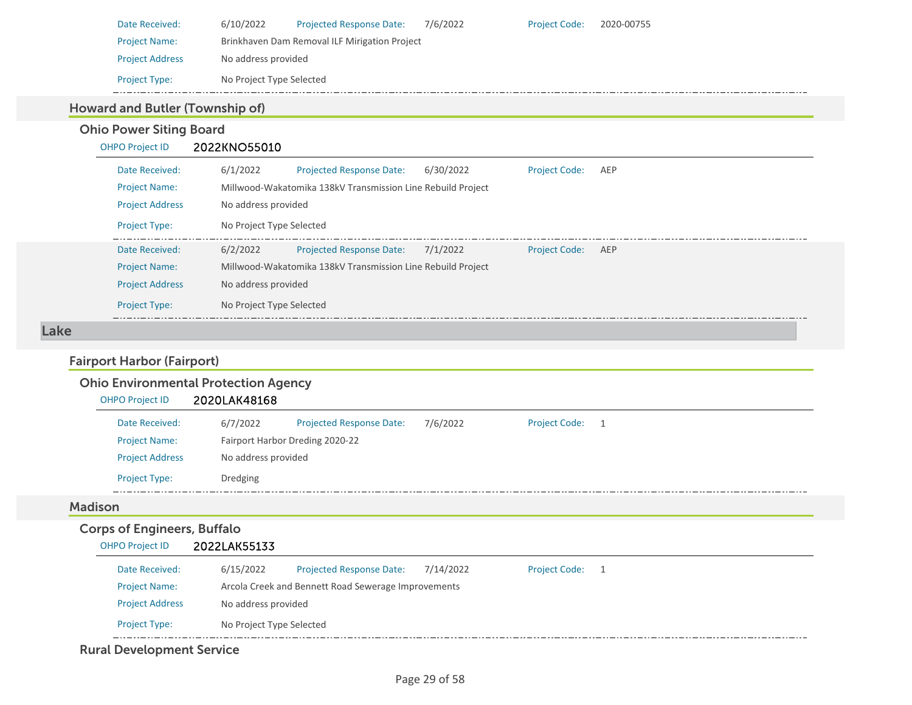| Date Received:         | 6/10/2022                | <b>Projected Response Date:</b>               | 7/6/2022 | <b>Project Code:</b> | 2020-00755 |
|------------------------|--------------------------|-----------------------------------------------|----------|----------------------|------------|
| <b>Project Name:</b>   |                          | Brinkhaven Dam Removal ILF Mirigation Project |          |                      |            |
| <b>Project Address</b> | No address provided      |                                               |          |                      |            |
| <b>Project Type:</b>   | No Project Type Selected |                                               |          |                      |            |

### Howard and Butler (Township of)

Ohio Power Siting Board

### OHPO Project ID 2022KNO55010  $6/1/2022$

| Date Received:         | 6/1/2022<br><b>Projected Response Date:</b>                 | 6/30/2022 | <b>Project Code:</b> | AEP |  |  |  |  |
|------------------------|-------------------------------------------------------------|-----------|----------------------|-----|--|--|--|--|
| <b>Project Name:</b>   | Millwood-Wakatomika 138kV Transmission Line Rebuild Project |           |                      |     |  |  |  |  |
| <b>Project Address</b> | No address provided                                         |           |                      |     |  |  |  |  |
| <b>Project Type:</b>   | No Project Type Selected                                    |           |                      |     |  |  |  |  |
| Date Received:         | 6/2/2022<br><b>Projected Response Date:</b>                 | 7/1/2022  | <b>Project Code:</b> | AEP |  |  |  |  |
| <b>Project Name:</b>   | Millwood-Wakatomika 138kV Transmission Line Rebuild Project |           |                      |     |  |  |  |  |
| <b>Project Address</b> | No address provided                                         |           |                      |     |  |  |  |  |
| <b>Project Type:</b>   | No Project Type Selected                                    |           |                      |     |  |  |  |  |

#### Lake

## Fairport Harbor (Fairport)

### Ohio Environmental Protection Agency

| <b>OHPO Project ID</b> | 2020LAK48168        |                                 |          |                      |  |
|------------------------|---------------------|---------------------------------|----------|----------------------|--|
| Date Received:         | 6/7/2022            | <b>Projected Response Date:</b> | 7/6/2022 | <b>Project Code:</b> |  |
| <b>Project Name:</b>   |                     | Fairport Harbor Dreding 2020-22 |          |                      |  |
| <b>Project Address</b> | No address provided |                                 |          |                      |  |
| <b>Project Type:</b>   | Dredging            |                                 |          |                      |  |

#### Madison

### Corps of Engineers, Buffalo

| <b>OHPO Project ID</b> | 2022LAK55133             |                                                     |           |                 |  |
|------------------------|--------------------------|-----------------------------------------------------|-----------|-----------------|--|
| Date Received:         | 6/15/2022                | <b>Projected Response Date:</b>                     | 7/14/2022 | Project Code: 1 |  |
| <b>Project Name:</b>   |                          | Arcola Creek and Bennett Road Sewerage Improvements |           |                 |  |
| <b>Project Address</b> | No address provided      |                                                     |           |                 |  |
| <b>Project Type:</b>   | No Project Type Selected |                                                     |           |                 |  |

### Rural Development Service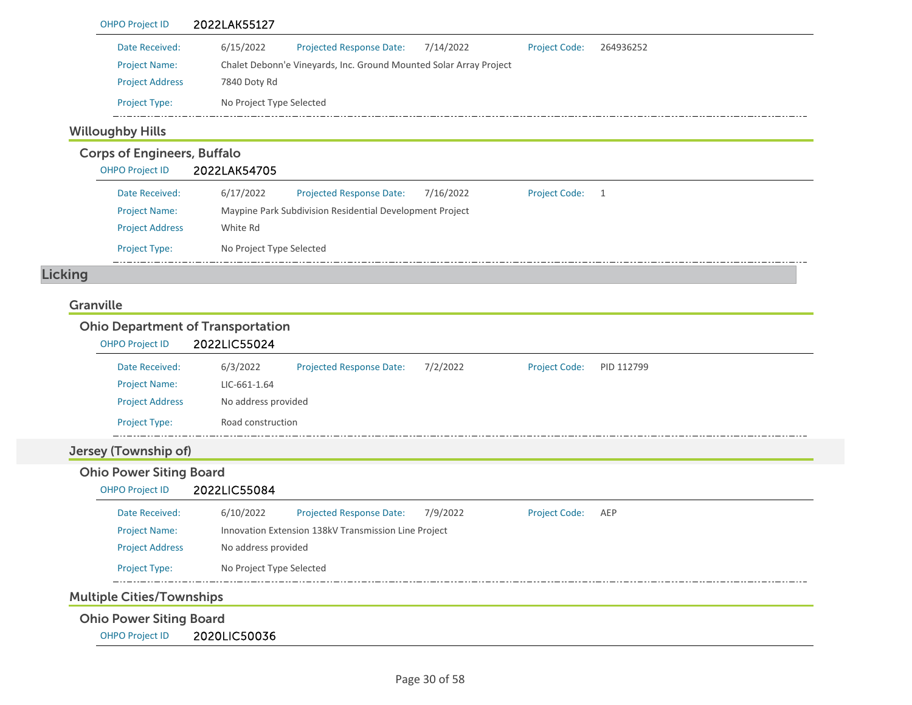| Date Received:                     | 6/15/2022                                                | <b>Projected Response Date:</b>                                    | 7/14/2022 | <b>Project Code:</b> | 264936252  |
|------------------------------------|----------------------------------------------------------|--------------------------------------------------------------------|-----------|----------------------|------------|
| <b>Project Name:</b>               |                                                          | Chalet Debonn'e Vineyards, Inc. Ground Mounted Solar Array Project |           |                      |            |
| <b>Project Address</b>             | 7840 Doty Rd                                             |                                                                    |           |                      |            |
| Project Type:                      | No Project Type Selected                                 |                                                                    |           |                      |            |
| <b>Willoughby Hills</b>            |                                                          |                                                                    |           |                      |            |
| <b>Corps of Engineers, Buffalo</b> |                                                          |                                                                    |           |                      |            |
| <b>OHPO Project ID</b>             | 2022LAK54705                                             |                                                                    |           |                      |            |
| Date Received:                     | 6/17/2022                                                | Projected Response Date:                                           | 7/16/2022 | <b>Project Code:</b> | 1          |
| <b>Project Name:</b>               |                                                          | Maypine Park Subdivision Residential Development Project           |           |                      |            |
| <b>Project Address</b>             | White Rd                                                 |                                                                    |           |                      |            |
| Project Type:                      | No Project Type Selected                                 |                                                                    |           |                      |            |
| Licking                            |                                                          |                                                                    |           |                      |            |
|                                    |                                                          |                                                                    |           |                      |            |
| Granville                          |                                                          |                                                                    |           |                      |            |
|                                    |                                                          |                                                                    |           |                      |            |
| <b>OHPO Project ID</b>             | <b>Ohio Department of Transportation</b><br>2022LIC55024 |                                                                    |           |                      |            |
| Date Received:                     | 6/3/2022                                                 | <b>Projected Response Date:</b>                                    | 7/2/2022  | <b>Project Code:</b> | PID 112799 |
| <b>Project Name:</b>               | LIC-661-1.64                                             |                                                                    |           |                      |            |
| <b>Project Address</b>             | No address provided                                      |                                                                    |           |                      |            |
| Project Type:                      | Road construction                                        |                                                                    |           |                      |            |
| Jersey (Township of)               |                                                          |                                                                    |           |                      |            |
| <b>Ohio Power Siting Board</b>     |                                                          |                                                                    |           |                      |            |
| <b>OHPO Project ID</b>             | 2022LIC55084                                             |                                                                    |           |                      |            |
| Date Received:                     | 6/10/2022                                                | <b>Projected Response Date:</b>                                    | 7/9/2022  | <b>Project Code:</b> | AEP        |
| <b>Project Name:</b>               |                                                          | Innovation Extension 138kV Transmission Line Project               |           |                      |            |
| <b>Project Address</b>             | No address provided                                      |                                                                    |           |                      |            |
| Project Type:                      | No Project Type Selected                                 |                                                                    |           |                      |            |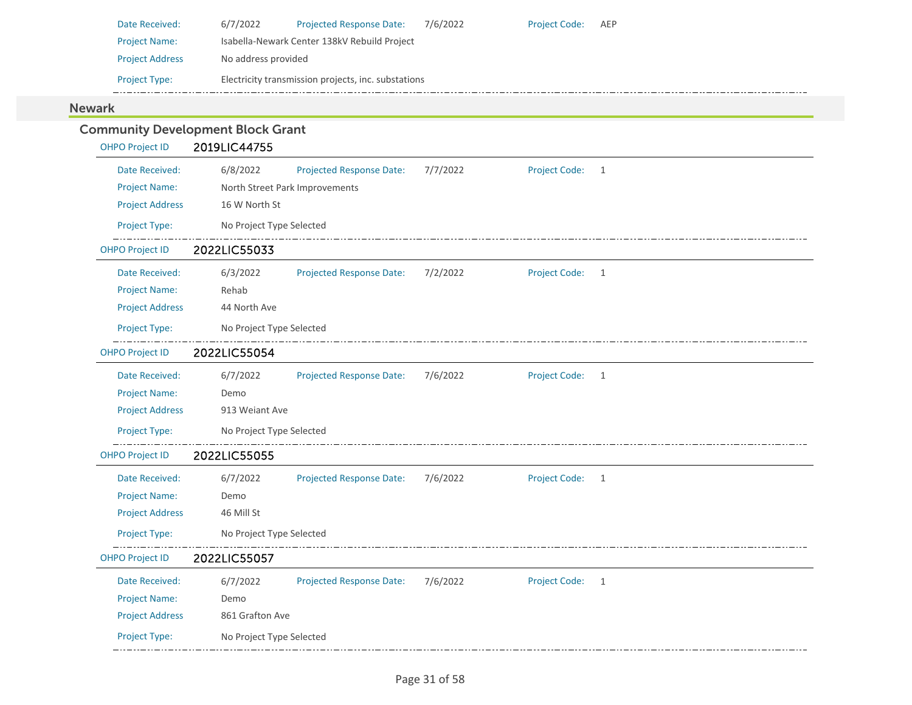| Date Received:         | 6/7/2022            | <b>Projected Response Date:</b>                     | 7/6/2022 | <b>Project Code:</b> | AEP |
|------------------------|---------------------|-----------------------------------------------------|----------|----------------------|-----|
| <b>Project Name:</b>   |                     | Isabella-Newark Center 138kV Rebuild Project        |          |                      |     |
| <b>Project Address</b> | No address provided |                                                     |          |                      |     |
| <b>Project Type:</b>   |                     | Electricity transmission projects, inc. substations |          |                      |     |

### Newark

|                        | <b>Community Development Block Grant</b> |                                 |          |                      |   |
|------------------------|------------------------------------------|---------------------------------|----------|----------------------|---|
| <b>OHPO Project ID</b> | 2019LIC44755                             |                                 |          |                      |   |
| Date Received:         | 6/8/2022                                 | <b>Projected Response Date:</b> | 7/7/2022 | Project Code:        | 1 |
| <b>Project Name:</b>   | North Street Park Improvements           |                                 |          |                      |   |
| <b>Project Address</b> | 16 W North St                            |                                 |          |                      |   |
| Project Type:          | No Project Type Selected                 |                                 |          |                      |   |
| <b>OHPO Project ID</b> | 2022LIC55033                             |                                 |          |                      |   |
| Date Received:         | 6/3/2022                                 | Projected Response Date:        | 7/2/2022 | <b>Project Code:</b> | 1 |
| <b>Project Name:</b>   | Rehab                                    |                                 |          |                      |   |
| <b>Project Address</b> | 44 North Ave                             |                                 |          |                      |   |
| Project Type:          | No Project Type Selected                 |                                 |          |                      |   |
| <b>OHPO Project ID</b> | 2022LIC55054                             |                                 |          |                      |   |
| Date Received:         | 6/7/2022                                 | <b>Projected Response Date:</b> | 7/6/2022 | <b>Project Code:</b> | 1 |
| <b>Project Name:</b>   | Demo                                     |                                 |          |                      |   |
| <b>Project Address</b> | 913 Weiant Ave                           |                                 |          |                      |   |
| Project Type:          | No Project Type Selected                 |                                 |          |                      |   |
| <b>OHPO Project ID</b> | 2022LIC55055                             |                                 |          |                      |   |
| Date Received:         | 6/7/2022                                 | <b>Projected Response Date:</b> | 7/6/2022 | <b>Project Code:</b> | 1 |
| <b>Project Name:</b>   | Demo                                     |                                 |          |                      |   |
| <b>Project Address</b> | 46 Mill St                               |                                 |          |                      |   |
| Project Type:          | No Project Type Selected                 |                                 |          |                      |   |
| <b>OHPO Project ID</b> | 2022LIC55057                             |                                 |          |                      |   |
| Date Received:         | 6/7/2022                                 | Projected Response Date:        | 7/6/2022 | <b>Project Code:</b> | 1 |
| <b>Project Name:</b>   | Demo                                     |                                 |          |                      |   |
| <b>Project Address</b> | 861 Grafton Ave                          |                                 |          |                      |   |
| Project Type:          | No Project Type Selected                 |                                 |          |                      |   |
|                        |                                          |                                 |          |                      |   |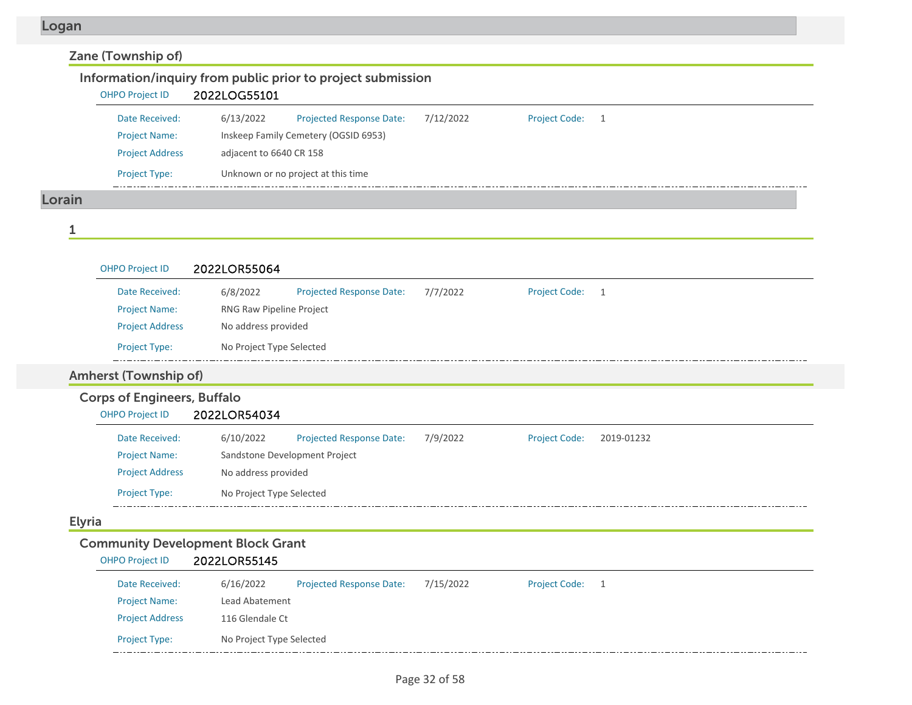### Zane (Township of) Information/inquiry from public prior to project submission OHPO Project ID 2022LOG55101 6/13/2022 Projected Response Date: 7/12/2022 Date Received:Project Code: 1 Project Name: Inskeep Family Cemetery (OGSID 6953) Project Address adjacent to 6640 CR 158 Project Type: Unknown or no project at this time  $-$  - -  $-$ Lorain

1

|               | <b>OHPO Project ID</b>             | 2022LOR55064             |                                 |          |                      |              |
|---------------|------------------------------------|--------------------------|---------------------------------|----------|----------------------|--------------|
|               | Date Received:                     | 6/8/2022                 | <b>Projected Response Date:</b> | 7/7/2022 | <b>Project Code:</b> | $\mathbf{1}$ |
|               | <b>Project Name:</b>               | RNG Raw Pipeline Project |                                 |          |                      |              |
|               | <b>Project Address</b>             | No address provided      |                                 |          |                      |              |
|               | Project Type:                      | No Project Type Selected |                                 |          |                      |              |
|               | <b>Amherst (Township of)</b>       |                          |                                 |          |                      |              |
|               | <b>Corps of Engineers, Buffalo</b> |                          |                                 |          |                      |              |
|               | <b>OHPO Project ID</b>             | 2022LOR54034             |                                 |          |                      |              |
|               | Date Received:                     | 6/10/2022                | <b>Projected Response Date:</b> | 7/9/2022 | <b>Project Code:</b> | 2019-01232   |
|               | <b>Project Name:</b>               |                          | Sandstone Development Project   |          |                      |              |
|               | <b>Project Address</b>             | No address provided      |                                 |          |                      |              |
|               | Project Type:                      | No Project Type Selected |                                 |          |                      |              |
| <b>Elyria</b> |                                    |                          |                                 |          |                      |              |

### Community Development Block Grant

| <b>OHPO Project ID</b> | 2022LOR55145 |
|------------------------|--------------|
|------------------------|--------------|

| Date Received:         | 6/16/2022                | <b>Projected Response Date:</b> | 7/15/2022 | <b>Project Code:</b> |  |
|------------------------|--------------------------|---------------------------------|-----------|----------------------|--|
| <b>Project Name:</b>   | Lead Abatement           |                                 |           |                      |  |
| <b>Project Address</b> | 116 Glendale Ct          |                                 |           |                      |  |
| <b>Project Type:</b>   | No Project Type Selected |                                 |           |                      |  |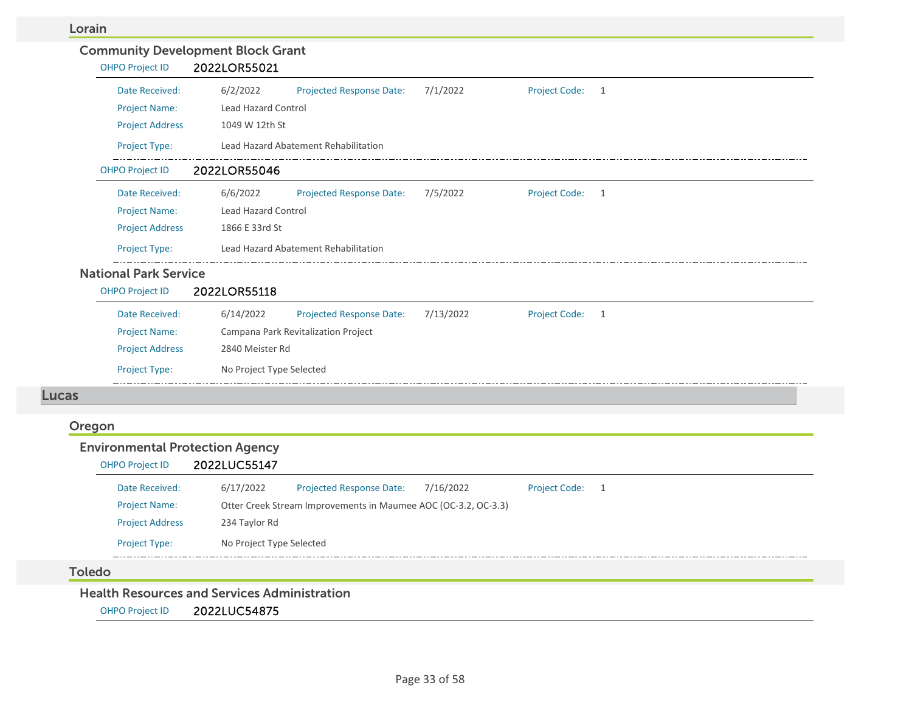#### Lorain

| <b>OHPO Project ID</b>                 | <b>Community Development Block Grant</b><br>2022LOR55021                                        |
|----------------------------------------|-------------------------------------------------------------------------------------------------|
| Date Received:                         | 6/2/2022<br><b>Projected Response Date:</b><br>7/1/2022<br>Project Code: 1                      |
| <b>Project Name:</b>                   | Lead Hazard Control                                                                             |
| <b>Project Address</b>                 | 1049 W 12th St                                                                                  |
| Project Type:                          | Lead Hazard Abatement Rehabilitation                                                            |
| <b>OHPO Project ID</b>                 | 2022LOR55046                                                                                    |
| Date Received:                         | 6/6/2022<br>7/5/2022<br><b>Project Code:</b><br><b>Projected Response Date:</b><br>$\mathbf{1}$ |
| <b>Project Name:</b>                   | <b>Lead Hazard Control</b>                                                                      |
| <b>Project Address</b>                 | 1866 E 33rd St                                                                                  |
| Project Type:                          | Lead Hazard Abatement Rehabilitation                                                            |
| <b>National Park Service</b>           |                                                                                                 |
| <b>OHPO Project ID</b>                 | 2022LOR55118                                                                                    |
| Date Received:                         | 6/14/2022<br><b>Projected Response Date:</b><br>7/13/2022<br>Project Code: 1                    |
| <b>Project Name:</b>                   | Campana Park Revitalization Project                                                             |
| <b>Project Address</b>                 | 2840 Meister Rd                                                                                 |
| <b>Project Type:</b>                   | No Project Type Selected                                                                        |
| <b>Lucas</b>                           |                                                                                                 |
| Oregon                                 |                                                                                                 |
| <b>Environmental Protection Agency</b> | 2022LUC55147                                                                                    |
| <b>OHPO Project ID</b>                 |                                                                                                 |
| Date Received:                         | <b>Projected Response Date:</b><br>Project Code: 1<br>6/17/2022<br>7/16/2022                    |
| <b>Project Name:</b>                   | Otter Creek Stream Improvements in Maumee AOC (OC-3.2, OC-3.3)                                  |
| <b>Project Address</b>                 | 234 Taylor Rd                                                                                   |
| <b>Project Type:</b>                   | No Project Type Selected                                                                        |

#### Toledo

Health Resources and Services Administration

OHPO Project ID 2022LUC54875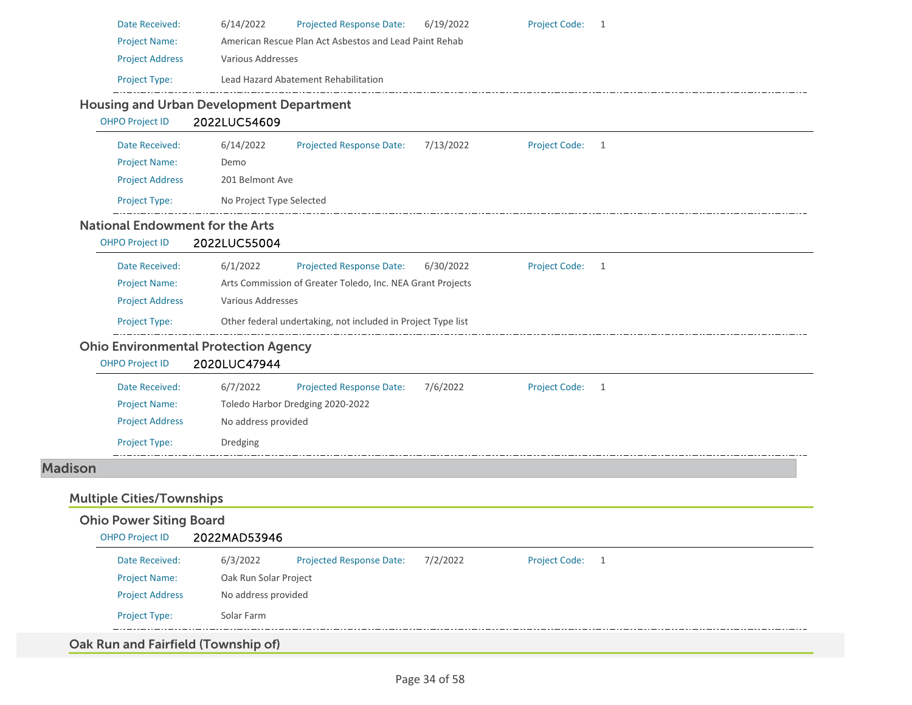| <b>Project Name:</b><br><b>Project Address</b><br>Project Type:<br><b>OHPO Project ID</b><br>Date Received:<br><b>Project Name:</b><br><b>Project Address</b><br>Project Type:<br><b>OHPO Project ID</b><br>Date Received:<br><b>Project Name:</b><br><b>Project Address</b><br>Project Type: | American Rescue Plan Act Asbestos and Lead Paint Rehab<br>Various Addresses<br>Lead Hazard Abatement Rehabilitation<br><b>Housing and Urban Development Department</b><br>2022LUC54609<br>6/14/2022<br><b>Projected Response Date:</b><br>Demo<br>201 Belmont Ave<br>No Project Type Selected<br><b>National Endowment for the Arts</b><br>2022LUC55004<br>6/1/2022<br><b>Projected Response Date:</b><br>Arts Commission of Greater Toledo, Inc. NEA Grant Projects<br>Various Addresses<br>Other federal undertaking, not included in Project Type list<br><b>Ohio Environmental Protection Agency</b><br>2020LUC47944 | 7/13/2022<br>6/30/2022                         | <b>Project Code:</b><br><b>Project Code:</b> | -1<br>$\mathbf{1}$          |                |  |
|-----------------------------------------------------------------------------------------------------------------------------------------------------------------------------------------------------------------------------------------------------------------------------------------------|--------------------------------------------------------------------------------------------------------------------------------------------------------------------------------------------------------------------------------------------------------------------------------------------------------------------------------------------------------------------------------------------------------------------------------------------------------------------------------------------------------------------------------------------------------------------------------------------------------------------------|------------------------------------------------|----------------------------------------------|-----------------------------|----------------|--|
|                                                                                                                                                                                                                                                                                               |                                                                                                                                                                                                                                                                                                                                                                                                                                                                                                                                                                                                                          |                                                |                                              |                             |                |  |
|                                                                                                                                                                                                                                                                                               |                                                                                                                                                                                                                                                                                                                                                                                                                                                                                                                                                                                                                          |                                                |                                              |                             |                |  |
|                                                                                                                                                                                                                                                                                               |                                                                                                                                                                                                                                                                                                                                                                                                                                                                                                                                                                                                                          |                                                |                                              |                             |                |  |
|                                                                                                                                                                                                                                                                                               |                                                                                                                                                                                                                                                                                                                                                                                                                                                                                                                                                                                                                          |                                                |                                              |                             |                |  |
|                                                                                                                                                                                                                                                                                               |                                                                                                                                                                                                                                                                                                                                                                                                                                                                                                                                                                                                                          |                                                |                                              |                             |                |  |
|                                                                                                                                                                                                                                                                                               |                                                                                                                                                                                                                                                                                                                                                                                                                                                                                                                                                                                                                          |                                                |                                              |                             |                |  |
|                                                                                                                                                                                                                                                                                               |                                                                                                                                                                                                                                                                                                                                                                                                                                                                                                                                                                                                                          |                                                |                                              |                             |                |  |
|                                                                                                                                                                                                                                                                                               |                                                                                                                                                                                                                                                                                                                                                                                                                                                                                                                                                                                                                          |                                                |                                              |                             |                |  |
|                                                                                                                                                                                                                                                                                               |                                                                                                                                                                                                                                                                                                                                                                                                                                                                                                                                                                                                                          |                                                |                                              |                             |                |  |
|                                                                                                                                                                                                                                                                                               |                                                                                                                                                                                                                                                                                                                                                                                                                                                                                                                                                                                                                          |                                                |                                              |                             |                |  |
|                                                                                                                                                                                                                                                                                               |                                                                                                                                                                                                                                                                                                                                                                                                                                                                                                                                                                                                                          |                                                |                                              |                             |                |  |
|                                                                                                                                                                                                                                                                                               |                                                                                                                                                                                                                                                                                                                                                                                                                                                                                                                                                                                                                          |                                                |                                              |                             |                |  |
|                                                                                                                                                                                                                                                                                               |                                                                                                                                                                                                                                                                                                                                                                                                                                                                                                                                                                                                                          |                                                |                                              |                             |                |  |
|                                                                                                                                                                                                                                                                                               |                                                                                                                                                                                                                                                                                                                                                                                                                                                                                                                                                                                                                          |                                                |                                              |                             |                |  |
|                                                                                                                                                                                                                                                                                               |                                                                                                                                                                                                                                                                                                                                                                                                                                                                                                                                                                                                                          |                                                |                                              |                             |                |  |
|                                                                                                                                                                                                                                                                                               |                                                                                                                                                                                                                                                                                                                                                                                                                                                                                                                                                                                                                          |                                                |                                              |                             |                |  |
| <b>OHPO Project ID</b>                                                                                                                                                                                                                                                                        |                                                                                                                                                                                                                                                                                                                                                                                                                                                                                                                                                                                                                          |                                                |                                              |                             |                |  |
| Date Received:                                                                                                                                                                                                                                                                                | 6/7/2022<br><b>Projected Response Date:</b>                                                                                                                                                                                                                                                                                                                                                                                                                                                                                                                                                                              | 7/6/2022                                       | <b>Project Code:</b>                         | $\overline{1}$              |                |  |
| <b>Project Name:</b>                                                                                                                                                                                                                                                                          | Toledo Harbor Dredging 2020-2022                                                                                                                                                                                                                                                                                                                                                                                                                                                                                                                                                                                         |                                                |                                              |                             |                |  |
| <b>Project Address</b>                                                                                                                                                                                                                                                                        | No address provided                                                                                                                                                                                                                                                                                                                                                                                                                                                                                                                                                                                                      |                                                |                                              |                             |                |  |
| Project Type:                                                                                                                                                                                                                                                                                 | Dredging                                                                                                                                                                                                                                                                                                                                                                                                                                                                                                                                                                                                                 |                                                |                                              |                             |                |  |
|                                                                                                                                                                                                                                                                                               |                                                                                                                                                                                                                                                                                                                                                                                                                                                                                                                                                                                                                          |                                                |                                              |                             |                |  |
|                                                                                                                                                                                                                                                                                               |                                                                                                                                                                                                                                                                                                                                                                                                                                                                                                                                                                                                                          |                                                |                                              |                             |                |  |
| <b>Multiple Cities/Townships</b>                                                                                                                                                                                                                                                              |                                                                                                                                                                                                                                                                                                                                                                                                                                                                                                                                                                                                                          |                                                |                                              |                             |                |  |
|                                                                                                                                                                                                                                                                                               |                                                                                                                                                                                                                                                                                                                                                                                                                                                                                                                                                                                                                          |                                                |                                              |                             |                |  |
|                                                                                                                                                                                                                                                                                               |                                                                                                                                                                                                                                                                                                                                                                                                                                                                                                                                                                                                                          |                                                |                                              |                             |                |  |
|                                                                                                                                                                                                                                                                                               | 6/3/2022<br><b>Projected Response Date:</b>                                                                                                                                                                                                                                                                                                                                                                                                                                                                                                                                                                              | 7/2/2022                                       | <b>Project Code:</b>                         |                             |                |  |
| Date Received:                                                                                                                                                                                                                                                                                | Oak Run Solar Project                                                                                                                                                                                                                                                                                                                                                                                                                                                                                                                                                                                                    |                                                |                                              |                             |                |  |
| <b>Project Name:</b>                                                                                                                                                                                                                                                                          | No address provided                                                                                                                                                                                                                                                                                                                                                                                                                                                                                                                                                                                                      |                                                |                                              |                             |                |  |
| <b>Project Address</b>                                                                                                                                                                                                                                                                        |                                                                                                                                                                                                                                                                                                                                                                                                                                                                                                                                                                                                                          |                                                |                                              |                             |                |  |
|                                                                                                                                                                                                                                                                                               | <b>OHPO Project ID</b>                                                                                                                                                                                                                                                                                                                                                                                                                                                                                                                                                                                                   | <b>Ohio Power Siting Board</b><br>2022MAD53946 |                                              | Project Type:<br>Solar Farm | $\overline{1}$ |  |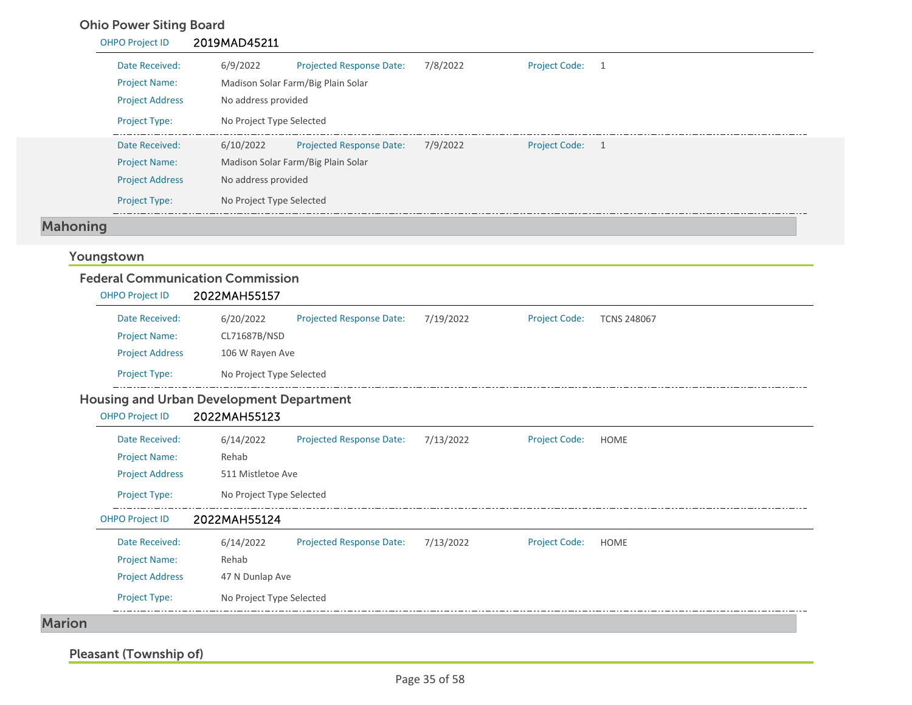## Ohio Power Siting Board

| <b>OHPO Project ID</b> | 2019MAD45211                                             |                 |
|------------------------|----------------------------------------------------------|-----------------|
| Date Received:         | 7/8/2022<br>6/9/2022<br><b>Projected Response Date:</b>  | Project Code: 1 |
| <b>Project Name:</b>   | Madison Solar Farm/Big Plain Solar                       |                 |
| <b>Project Address</b> | No address provided                                      |                 |
| <b>Project Type:</b>   | No Project Type Selected                                 |                 |
| Date Received:         | 6/10/2022<br>7/9/2022<br><b>Projected Response Date:</b> | Project Code: 1 |
| <b>Project Name:</b>   | Madison Solar Farm/Big Plain Solar                       |                 |
| <b>Project Address</b> | No address provided                                      |                 |
| <b>Project Type:</b>   | No Project Type Selected                                 |                 |

# Mahoning

## Youngstown

| <b>OHPO Project ID</b>                          | 2022MAH55157             |                                 |           |                      |                    |
|-------------------------------------------------|--------------------------|---------------------------------|-----------|----------------------|--------------------|
| Date Received:                                  | 6/20/2022                | <b>Projected Response Date:</b> | 7/19/2022 | <b>Project Code:</b> | <b>TCNS 248067</b> |
| <b>Project Name:</b>                            | CL71687B/NSD             |                                 |           |                      |                    |
| <b>Project Address</b>                          | 106 W Rayen Ave          |                                 |           |                      |                    |
| <b>Project Type:</b>                            | No Project Type Selected |                                 |           |                      |                    |
| <b>Housing and Urban Development Department</b> |                          |                                 |           |                      |                    |
| <b>OHPO Project ID</b>                          | 2022MAH55123             |                                 |           |                      |                    |
| Date Received:                                  | 6/14/2022                | <b>Projected Response Date:</b> | 7/13/2022 | <b>Project Code:</b> | <b>HOME</b>        |
| <b>Project Name:</b>                            | Rehab                    |                                 |           |                      |                    |
| <b>Project Address</b>                          | 511 Mistletoe Ave        |                                 |           |                      |                    |
| Project Type:                                   | No Project Type Selected |                                 |           |                      |                    |
| <b>OHPO Project ID</b>                          | 2022MAH55124             |                                 |           |                      |                    |
| Date Received:                                  | 6/14/2022                | <b>Projected Response Date:</b> | 7/13/2022 | <b>Project Code:</b> | <b>HOME</b>        |
| <b>Project Name:</b>                            | Rehab                    |                                 |           |                      |                    |
| <b>Project Address</b>                          | 47 N Dunlap Ave          |                                 |           |                      |                    |
| <b>Project Type:</b>                            | No Project Type Selected |                                 |           |                      |                    |

Pleasant (Township of)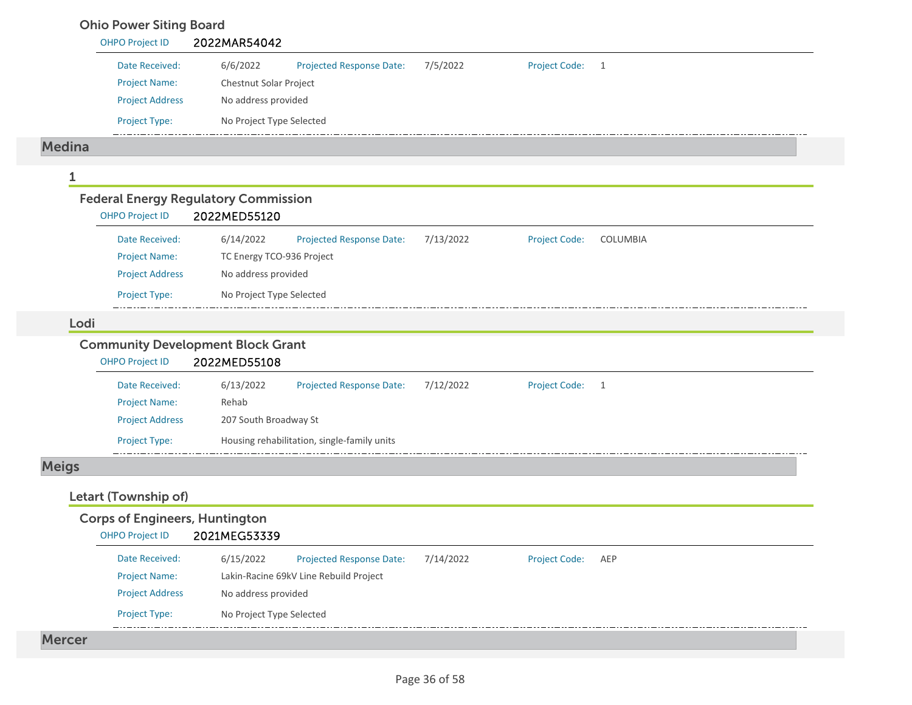### Ohio Power Siting Board

|               | <b>OHPO Project ID</b>                      | 2022MAR54042             |                                 |           |                      |          |
|---------------|---------------------------------------------|--------------------------|---------------------------------|-----------|----------------------|----------|
|               | Date Received:                              | 6/6/2022                 | <b>Projected Response Date:</b> | 7/5/2022  | <b>Project Code:</b> | 1        |
|               | <b>Project Name:</b>                        | Chestnut Solar Project   |                                 |           |                      |          |
|               | <b>Project Address</b>                      | No address provided      |                                 |           |                      |          |
|               | Project Type:                               | No Project Type Selected |                                 |           |                      |          |
|               |                                             |                          |                                 |           |                      |          |
|               |                                             |                          |                                 |           |                      |          |
| <b>Medina</b> |                                             |                          |                                 |           |                      |          |
|               |                                             |                          |                                 |           |                      |          |
|               | <b>Federal Energy Regulatory Commission</b> |                          |                                 |           |                      |          |
|               | <b>OHPO Project ID</b>                      | 2022MED55120             |                                 |           |                      |          |
|               | Date Received:                              | 6/14/2022                | <b>Projected Response Date:</b> | 7/13/2022 | <b>Project Code:</b> | COLUMBIA |
|               | <b>Project Name:</b>                        |                          | TC Energy TCO-936 Project       |           |                      |          |
|               | <b>Project Address</b>                      | No address provided      |                                 |           |                      |          |

#### Lodi

### Community Development Block Grant

| <b>OHPO Project ID</b> | 2022MED55108          |                                             |           |                      |  |
|------------------------|-----------------------|---------------------------------------------|-----------|----------------------|--|
| Date Received:         | 6/13/2022             | <b>Projected Response Date:</b>             | 7/12/2022 | <b>Project Code:</b> |  |
| <b>Project Name:</b>   | Rehab                 |                                             |           |                      |  |
| <b>Project Address</b> | 207 South Broadway St |                                             |           |                      |  |
| <b>Project Type:</b>   |                       | Housing rehabilitation, single-family units |           |                      |  |

## Meigs

## Letart (Township of)

| <b>OHPO Project ID</b> | 2021MEG53339             |                                        |           |                      |     |
|------------------------|--------------------------|----------------------------------------|-----------|----------------------|-----|
| Date Received:         | 6/15/2022                | <b>Projected Response Date:</b>        | 7/14/2022 | <b>Project Code:</b> | AEP |
| <b>Project Name:</b>   |                          | Lakin-Racine 69kV Line Rebuild Project |           |                      |     |
| <b>Project Address</b> | No address provided      |                                        |           |                      |     |
| <b>Project Type:</b>   | No Project Type Selected |                                        |           |                      |     |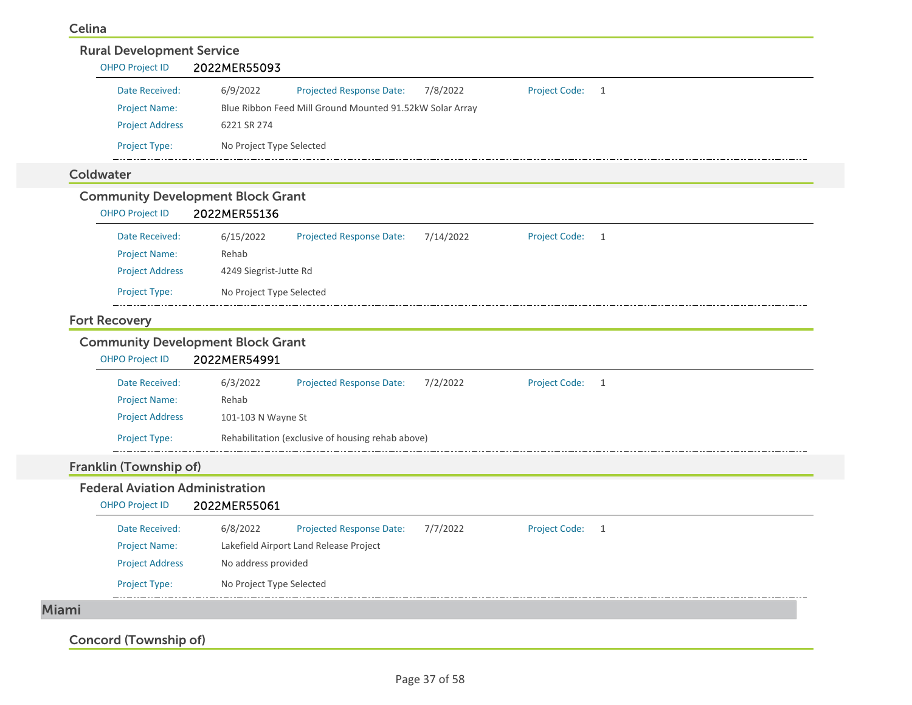#### Celina

| Date Received:                                                     | 6/9/2022<br><b>Projected Response Date:</b><br>7/8/2022<br><b>Project Code:</b><br>$\overline{1}$   |
|--------------------------------------------------------------------|-----------------------------------------------------------------------------------------------------|
| <b>Project Name:</b>                                               | Blue Ribbon Feed Mill Ground Mounted 91.52kW Solar Array                                            |
| <b>Project Address</b>                                             | 6221 SR 274                                                                                         |
| Project Type:                                                      | No Project Type Selected                                                                            |
| Coldwater                                                          |                                                                                                     |
| <b>Community Development Block Grant</b><br><b>OHPO Project ID</b> | 2022MER55136                                                                                        |
| Date Received:                                                     | <b>Projected Response Date:</b><br>7/14/2022<br><b>Project Code:</b><br>6/15/2022<br>$\overline{1}$ |
| <b>Project Name:</b>                                               | Rehab                                                                                               |
| <b>Project Address</b>                                             | 4249 Siegrist-Jutte Rd                                                                              |
| Project Type:                                                      | No Project Type Selected                                                                            |
| <b>Fort Recovery</b>                                               |                                                                                                     |
| <b>Community Development Block Grant</b><br><b>OHPO Project ID</b> | 2022MER54991                                                                                        |
| Date Received:                                                     | 6/3/2022<br><b>Projected Response Date:</b><br>7/2/2022<br><b>Project Code:</b><br>$\overline{1}$   |
| <b>Project Name:</b>                                               | Rehab                                                                                               |
| <b>Project Address</b>                                             | 101-103 N Wayne St                                                                                  |
| Project Type:                                                      | Rehabilitation (exclusive of housing rehab above)                                                   |
|                                                                    |                                                                                                     |
|                                                                    |                                                                                                     |
| <b>Federal Aviation Administration</b><br><b>OHPO Project ID</b>   | 2022MER55061                                                                                        |
| Date Received:                                                     | <b>Projected Response Date:</b><br>7/7/2022<br>Project Code: 1<br>6/8/2022                          |
| Franklin (Township of)<br><b>Project Name:</b>                     | Lakefield Airport Land Release Project                                                              |
| <b>Project Address</b>                                             | No address provided                                                                                 |

Concord (Township of)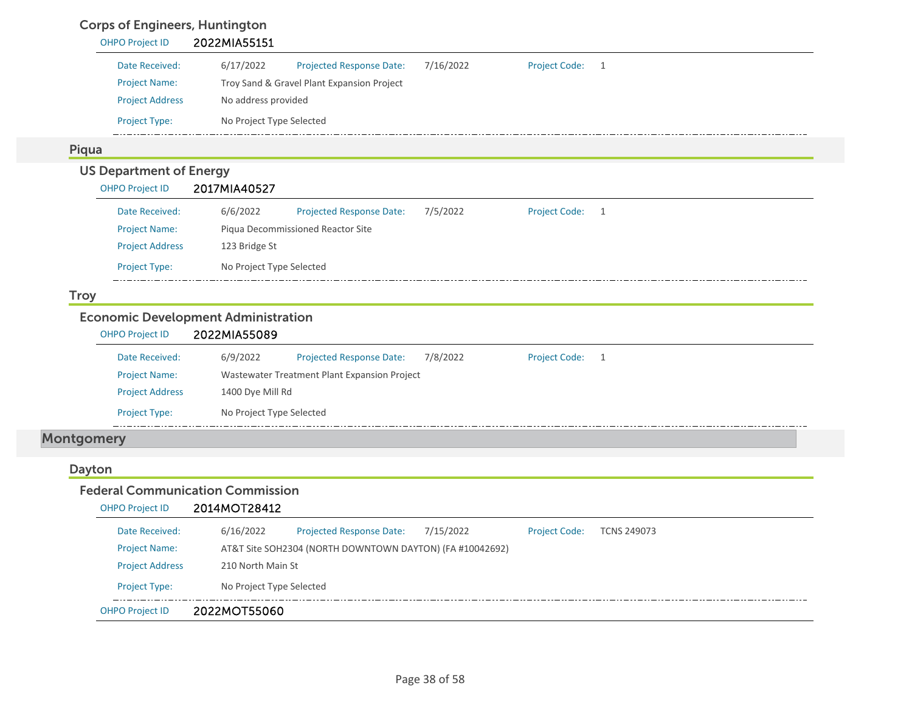### Corps of Engineers, Huntington

| <b>OHPO Project ID</b>         | 2022MIA55151                                                                                        |
|--------------------------------|-----------------------------------------------------------------------------------------------------|
| Date Received:                 | 6/17/2022<br>7/16/2022<br><b>Project Code:</b><br><b>Projected Response Date:</b><br>$\overline{1}$ |
| <b>Project Name:</b>           | Troy Sand & Gravel Plant Expansion Project                                                          |
| <b>Project Address</b>         | No address provided                                                                                 |
| Project Type:                  | No Project Type Selected                                                                            |
| Piqua                          |                                                                                                     |
| <b>US Department of Energy</b> |                                                                                                     |
| <b>OHPO Project ID</b>         | 2017MIA40527                                                                                        |
| Date Received:                 | 6/6/2022<br>7/5/2022<br><b>Project Code:</b><br>Projected Response Date:<br>$\overline{1}$          |
| <b>Project Name:</b>           | Piqua Decommissioned Reactor Site                                                                   |
| <b>Project Address</b>         | 123 Bridge St                                                                                       |
| Project Type:                  | No Project Type Selected                                                                            |
| <b>Troy</b>                    |                                                                                                     |
|                                | <b>Economic Development Administration</b>                                                          |
| <b>OHPO Project ID</b>         | 2022MIA55089                                                                                        |
| Date Received:                 | 6/9/2022<br>Projected Response Date:<br>7/8/2022<br><b>Project Code:</b><br>$\overline{1}$          |
| <b>Project Name:</b>           | Wastewater Treatment Plant Expansion Project                                                        |
| <b>Project Address</b>         | 1400 Dye Mill Rd                                                                                    |
| Project Type:                  | No Project Type Selected                                                                            |
|                                |                                                                                                     |

### Dayton

| Federal Communication Commission |                          |                                                          |           |                      |                    |
|----------------------------------|--------------------------|----------------------------------------------------------|-----------|----------------------|--------------------|
| <b>OHPO Project ID</b>           | 2014MOT28412             |                                                          |           |                      |                    |
| Date Received:                   | 6/16/2022                | Projected Response Date:                                 | 7/15/2022 | <b>Project Code:</b> | <b>TCNS 249073</b> |
| <b>Project Name:</b>             |                          | AT&T Site SOH2304 (NORTH DOWNTOWN DAYTON) (FA #10042692) |           |                      |                    |
| <b>Project Address</b>           | 210 North Main St        |                                                          |           |                      |                    |
| <b>Project Type:</b>             | No Project Type Selected |                                                          |           |                      |                    |
| <b>OHPO Project ID</b>           | 2022MOT55060             |                                                          |           |                      |                    |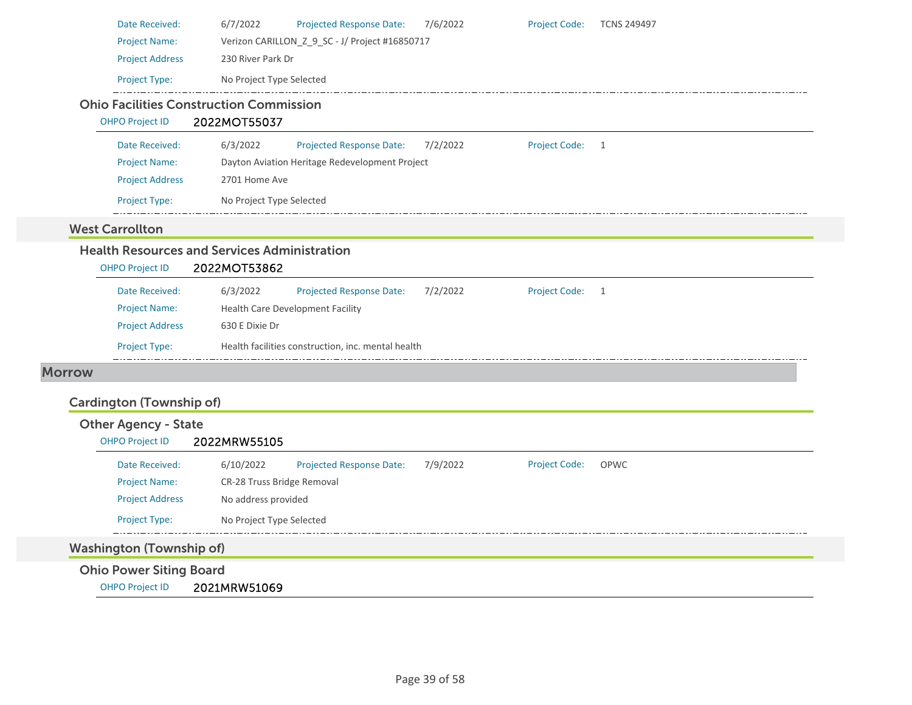|               | Date Received:                                        | 6/7/2022<br>Projected Response Date:<br>7/6/2022<br><b>Project Code:</b><br><b>TCNS 249497</b>  |  |
|---------------|-------------------------------------------------------|-------------------------------------------------------------------------------------------------|--|
|               | <b>Project Name:</b>                                  | Verizon CARILLON_Z_9_SC - J/ Project #16850717                                                  |  |
|               | <b>Project Address</b>                                | 230 River Park Dr                                                                               |  |
|               | Project Type:                                         | No Project Type Selected                                                                        |  |
|               | <b>Ohio Facilities Construction Commission</b>        |                                                                                                 |  |
|               | <b>OHPO Project ID</b>                                | 2022MOT55037                                                                                    |  |
|               | Date Received:                                        | <b>Project Code:</b><br>6/3/2022<br><b>Projected Response Date:</b><br>7/2/2022<br>$\mathbf{1}$ |  |
|               | <b>Project Name:</b>                                  | Dayton Aviation Heritage Redevelopment Project                                                  |  |
|               | <b>Project Address</b>                                | 2701 Home Ave                                                                                   |  |
|               | Project Type:                                         | No Project Type Selected                                                                        |  |
|               | <b>West Carrollton</b>                                |                                                                                                 |  |
|               |                                                       | <b>Health Resources and Services Administration</b>                                             |  |
|               | <b>OHPO Project ID</b>                                | 2022MOT53862                                                                                    |  |
|               | Date Received:                                        | 6/3/2022<br>7/2/2022<br><b>Project Code:</b><br>Projected Response Date:<br>1                   |  |
|               | <b>Project Name:</b>                                  | Health Care Development Facility                                                                |  |
|               | <b>Project Address</b>                                | 630 E Dixie Dr                                                                                  |  |
|               | Project Type:                                         | Health facilities construction, inc. mental health                                              |  |
| <b>Morrow</b> |                                                       |                                                                                                 |  |
|               |                                                       |                                                                                                 |  |
|               | <b>Cardington (Township of)</b>                       |                                                                                                 |  |
|               | <b>Other Agency - State</b><br><b>OHPO Project ID</b> | 2022MRW55105                                                                                    |  |
|               |                                                       |                                                                                                 |  |
|               | Date Received:                                        | 6/10/2022<br>Projected Response Date:<br>7/9/2022<br><b>Project Code:</b><br>OPWC               |  |
|               | <b>Project Name:</b>                                  | CR-28 Truss Bridge Removal                                                                      |  |
|               | <b>Project Address</b>                                | No address provided                                                                             |  |
|               | Project Type:                                         | No Project Type Selected                                                                        |  |
|               | <b>Washington (Township of)</b>                       |                                                                                                 |  |
|               | <b>Ohio Power Siting Board</b>                        |                                                                                                 |  |

OHPO Project ID 2021MRW51069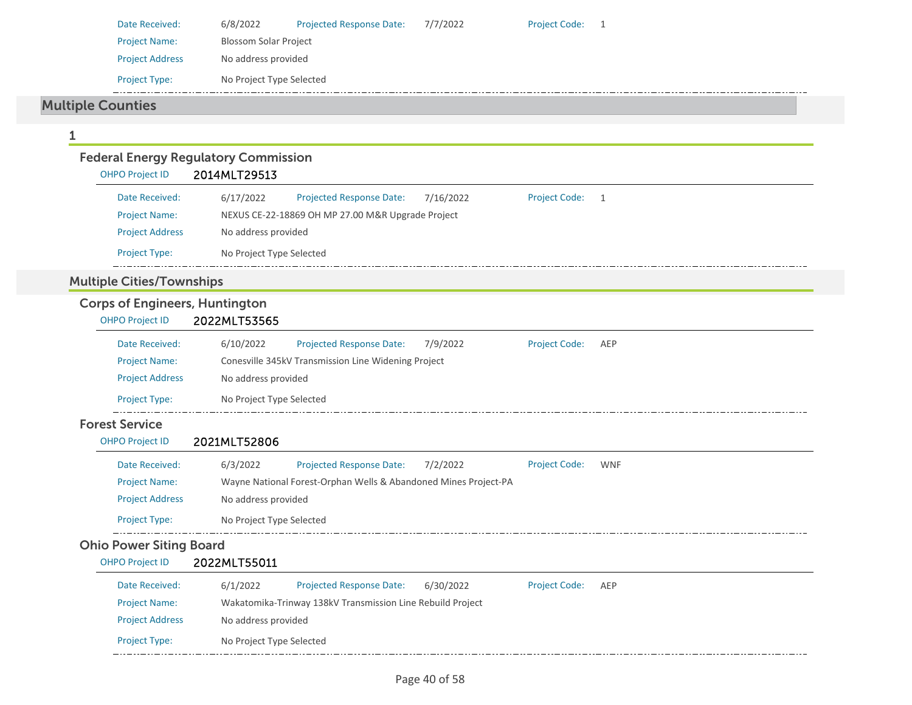| Date Received:                                 | 6/8/2022<br><b>Projected Response Date:</b><br>7/7/2022                                                        | <b>Project Code:</b> | $\overline{1}$ |
|------------------------------------------------|----------------------------------------------------------------------------------------------------------------|----------------------|----------------|
| <b>Project Name:</b>                           | <b>Blossom Solar Project</b>                                                                                   |                      |                |
| <b>Project Address</b>                         | No address provided                                                                                            |                      |                |
| Project Type:                                  | No Project Type Selected                                                                                       |                      |                |
| <b>Multiple Counties</b>                       |                                                                                                                |                      |                |
|                                                |                                                                                                                |                      |                |
| 1                                              |                                                                                                                |                      |                |
| <b>OHPO Project ID</b>                         | <b>Federal Energy Regulatory Commission</b><br>2014MLT29513                                                    |                      |                |
|                                                |                                                                                                                |                      |                |
| Date Received:                                 | 6/17/2022<br><b>Projected Response Date:</b><br>7/16/2022<br>NEXUS CE-22-18869 OH MP 27.00 M&R Upgrade Project | <b>Project Code:</b> | $\overline{1}$ |
| <b>Project Name:</b><br><b>Project Address</b> | No address provided                                                                                            |                      |                |
| Project Type:                                  | No Project Type Selected                                                                                       |                      |                |
|                                                |                                                                                                                |                      |                |
| <b>Multiple Cities/Townships</b>               |                                                                                                                |                      |                |
| <b>Corps of Engineers, Huntington</b>          |                                                                                                                |                      |                |
| <b>OHPO Project ID</b>                         | 2022MLT53565                                                                                                   |                      |                |
| Date Received:                                 | 6/10/2022<br>Projected Response Date:<br>7/9/2022                                                              | <b>Project Code:</b> | AEP            |
| <b>Project Name:</b>                           | Conesville 345kV Transmission Line Widening Project                                                            |                      |                |
| <b>Project Address</b>                         | No address provided                                                                                            |                      |                |
| Project Type:                                  | No Project Type Selected                                                                                       |                      |                |
| <b>Forest Service</b>                          |                                                                                                                |                      |                |
| <b>OHPO Project ID</b>                         | 2021MLT52806                                                                                                   |                      |                |
| Date Received:                                 | 6/3/2022<br><b>Projected Response Date:</b><br>7/2/2022                                                        | <b>Project Code:</b> | <b>WNF</b>     |
| <b>Project Name:</b>                           | Wayne National Forest-Orphan Wells & Abandoned Mines Project-PA                                                |                      |                |
| <b>Project Address</b>                         | No address provided                                                                                            |                      |                |
| Project Type:                                  | No Project Type Selected                                                                                       |                      |                |
| <b>Ohio Power Siting Board</b>                 |                                                                                                                |                      |                |
| <b>OHPO Project ID</b>                         | 2022MLT55011                                                                                                   |                      |                |
| Date Received:                                 | 6/1/2022<br>Projected Response Date:<br>6/30/2022                                                              | Project Code:        | AEP            |
| <b>Project Name:</b>                           | Wakatomika-Trinway 138kV Transmission Line Rebuild Project                                                     |                      |                |
| <b>Project Address</b>                         | No address provided                                                                                            |                      |                |
| Project Type:                                  | No Project Type Selected                                                                                       |                      |                |
|                                                |                                                                                                                |                      |                |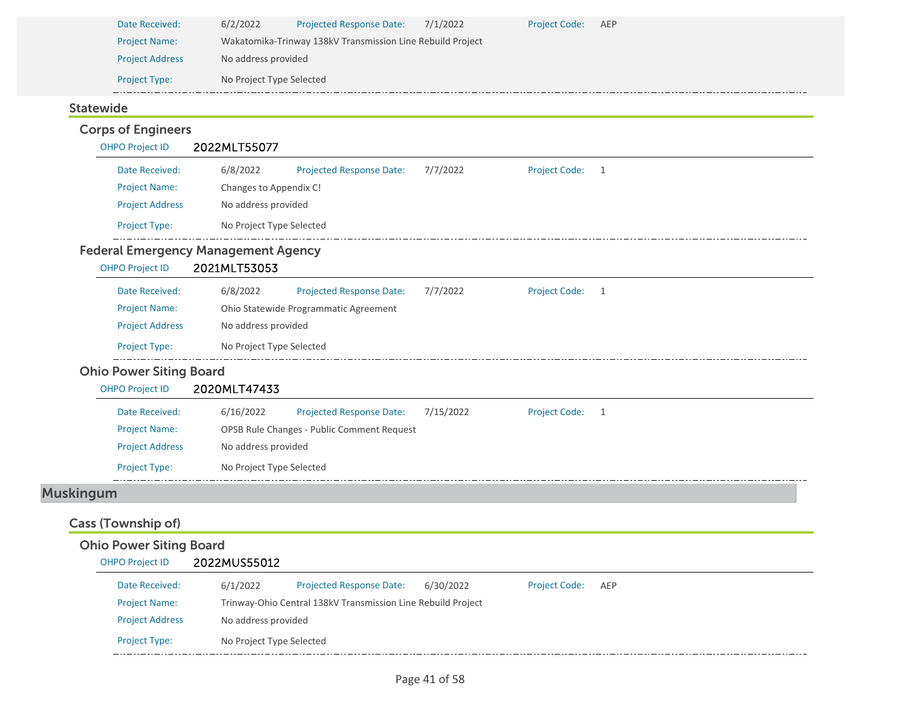| Date Received:         | 6/2/2022                                                   | <b>Projected Response Date:</b> | 7/1/2022 | <b>Project Code:</b> | AEP |  |  |  |
|------------------------|------------------------------------------------------------|---------------------------------|----------|----------------------|-----|--|--|--|
| <b>Project Name:</b>   | Wakatomika-Trinway 138kV Transmission Line Rebuild Project |                                 |          |                      |     |  |  |  |
| <b>Project Address</b> | No address provided                                        |                                 |          |                      |     |  |  |  |
| <b>Project Type:</b>   | No Project Type Selected                                   |                                 |          |                      |     |  |  |  |

### Statewide

#### Corps of Engineers OHPO Project ID 2022MLT55077 Date Received: 6/8/2022 Projected Response Date: 7/7/2022 Project Code: 1 Project Name: Changes to Appendix C! Project Address No address provided Project Type: No Project Type Selected L. Federal Emergency Management Agency OHPO Project ID 2021MLT53053 Date Received: 6/8/2022 Projected Response Date: 7/7/2022 Project Code: 1 Project Name: Ohio Statewide Programmatic Agreement Project Address No address provided Project Type: No Project Type Selected Ohio Power Siting Board OHPO Project ID 2020MLT47433 Date Received: 6/16/2022 Projected Response Date: 7/15/2022 Project Code: 1 Project Name: OPSB Rule Changes ‐ Public Comment Request Project Address No address provided Project Type: No Project Type Selected Muskingum Cass (Township of) Ohio Power Siting Board OHPO Project ID 2022MUS55012 Date Received: 6/1/2022 Projected Response Date: 6/30/2022 Project Code: AEP Project Name: Trinway‐Ohio Central 138kV Transmission Line Rebuild Project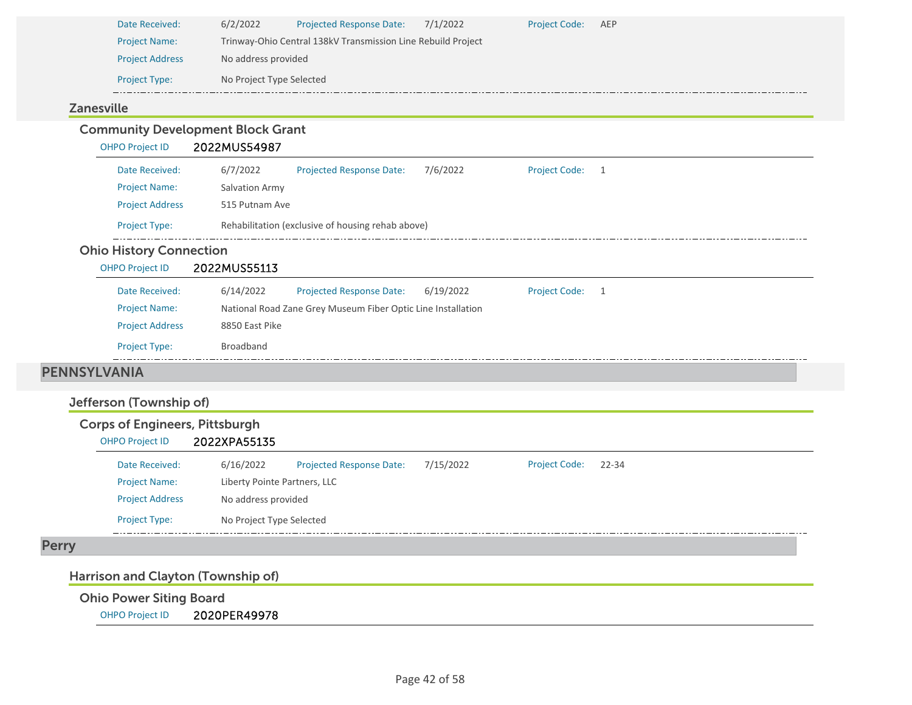| Date Received:         | 6/2/2022                 | <b>Projected Response Date:</b>                              | 7/1/2022 | <b>Project Code:</b> | AEP |  |  |  |  |
|------------------------|--------------------------|--------------------------------------------------------------|----------|----------------------|-----|--|--|--|--|
| <b>Project Name:</b>   |                          | Trinway-Ohio Central 138kV Transmission Line Rebuild Project |          |                      |     |  |  |  |  |
| <b>Project Address</b> |                          | No address provided                                          |          |                      |     |  |  |  |  |
| <b>Project Type:</b>   | No Project Type Selected |                                                              |          |                      |     |  |  |  |  |

### Zanesville

#### Community Development Block Grant OHPO Project ID 2022MUS54987 Date Received: 6/7/2022 Projected Response Date: 7/6/2022 Project Code: 1 Project Name: Salvation Army Project Address 515 Putnam Ave Project Type: Rehabilitation (exclusive of housing rehab above)  $\frac{1}{2}$ Ohio History Connection OHPO Project ID 2022MUS55113 Projected Response Date: 6/19/2022 Date Received: 6/14/2022 Project Code: 1 Project Name: National Road Zane Grey Museum Fiber Optic Line Installation Project Address 8850 East Pike Project Type: Broadband PENNSYLVANIA Jefferson (Township of) Corps of Engineers, Pittsburgh OHPO Project ID 2022XPA55135 Date Received: $6/16/2022$ Projected Response Date: 7/15/2022 Project Code: 22‐34

| Date Received:         | 6/16/2022                    | <b>Projected Response Date:</b> | 7/15/2022 | <b>Project Code:</b> | 22-34 |
|------------------------|------------------------------|---------------------------------|-----------|----------------------|-------|
| <b>Project Name:</b>   | Liberty Pointe Partners, LLC |                                 |           |                      |       |
| <b>Project Address</b> | No address provided          |                                 |           |                      |       |
| <b>Project Type:</b>   | No Project Type Selected     |                                 |           |                      |       |
|                        |                              |                                 |           |                      |       |

### Perry

### Harrison and Clayton (Township of)

Ohio Power Siting Board

OHPO Project ID 2020PER49978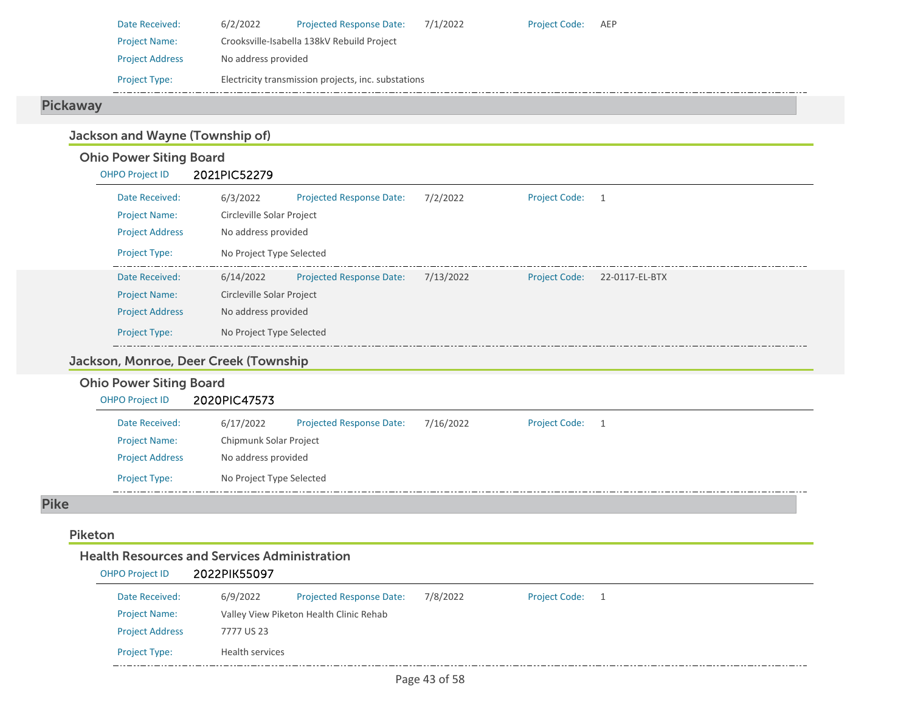| Date Received:         | 6/2/2022                                            | <b>Projected Response Date:</b> | 7/1/2022 | <b>Project Code:</b> | AEP |  |  |  |
|------------------------|-----------------------------------------------------|---------------------------------|----------|----------------------|-----|--|--|--|
| <b>Project Name:</b>   | Crooksville-Isabella 138kV Rebuild Project          |                                 |          |                      |     |  |  |  |
| <b>Project Address</b> | No address provided                                 |                                 |          |                      |     |  |  |  |
| <b>Project Type:</b>   | Electricity transmission projects, inc. substations |                                 |          |                      |     |  |  |  |

د د د د د

### Pickaway

### Jackson and Wayne (Township of)

### Ohio Power Siting Board

| <b>OHPO Project ID</b> | 2021PIC52279 |                                 |           |                      |                |  |  |  |  |
|------------------------|--------------|---------------------------------|-----------|----------------------|----------------|--|--|--|--|
| Date Received:         | 6/3/2022     | <b>Projected Response Date:</b> | 7/2/2022  | Project Code: 1      |                |  |  |  |  |
| <b>Project Name:</b>   |              | Circleville Solar Project       |           |                      |                |  |  |  |  |
| <b>Project Address</b> |              | No address provided             |           |                      |                |  |  |  |  |
| <b>Project Type:</b>   |              | No Project Type Selected        |           |                      |                |  |  |  |  |
| Date Received:         | 6/14/2022    | <b>Projected Response Date:</b> | 7/13/2022 | <b>Project Code:</b> | 22-0117-EL-BTX |  |  |  |  |
| <b>Project Name:</b>   |              | Circleville Solar Project       |           |                      |                |  |  |  |  |
| <b>Project Address</b> |              | No address provided             |           |                      |                |  |  |  |  |
| <b>Project Type:</b>   |              | No Project Type Selected        |           |                      |                |  |  |  |  |

### Jackson, Monroe, Deer Creek (Township

#### Ohio Power Siting Board OHPO Project ID 2020PIC47573 Date Received: 6/17/2022 Project Name: Chipmunk Solar Project Projected Response Date: 7/16/2022 Project Address No address provided Project Code: 1

Pike

#### Piketon

#### Health Resources and Services Administration

Project Type: No Project Type Selected

#### OHPO Project ID 2022PIK55097

| Date Received:         | 6/9/2022                                | <b>Projected Response Date:</b> | 7/8/2022 | <b>Project Code:</b> |  |  |
|------------------------|-----------------------------------------|---------------------------------|----------|----------------------|--|--|
| <b>Project Name:</b>   | Valley View Piketon Health Clinic Rehab |                                 |          |                      |  |  |
| <b>Project Address</b> | 7777 US 23                              |                                 |          |                      |  |  |
| <b>Project Type:</b>   | Health services                         |                                 |          |                      |  |  |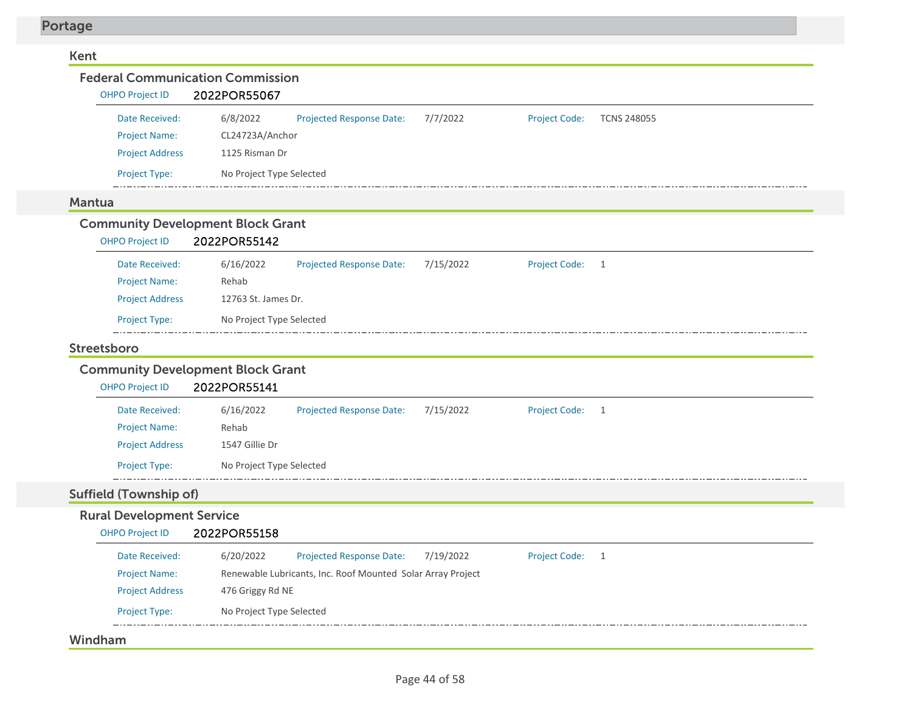| <b>Federal Communication Commission</b><br><b>OHPO Project ID</b> | 2022POR55067                      |                                                             |           |                      |                    |
|-------------------------------------------------------------------|-----------------------------------|-------------------------------------------------------------|-----------|----------------------|--------------------|
|                                                                   |                                   |                                                             |           |                      |                    |
| Date Received:                                                    | 6/8/2022                          | Projected Response Date:                                    | 7/7/2022  | <b>Project Code:</b> | <b>TCNS 248055</b> |
| <b>Project Name:</b>                                              | CL24723A/Anchor<br>1125 Risman Dr |                                                             |           |                      |                    |
| <b>Project Address</b>                                            |                                   |                                                             |           |                      |                    |
| Project Type:                                                     | No Project Type Selected          |                                                             |           |                      |                    |
| <b>Mantua</b>                                                     |                                   |                                                             |           |                      |                    |
| <b>Community Development Block Grant</b>                          |                                   |                                                             |           |                      |                    |
| <b>OHPO Project ID</b>                                            | 2022POR55142                      |                                                             |           |                      |                    |
| Date Received:                                                    | 6/16/2022                         | Projected Response Date:                                    | 7/15/2022 | <b>Project Code:</b> | 1                  |
| <b>Project Name:</b>                                              | Rehab                             |                                                             |           |                      |                    |
| <b>Project Address</b>                                            | 12763 St. James Dr.               |                                                             |           |                      |                    |
| Project Type:                                                     | No Project Type Selected          |                                                             |           |                      |                    |
| Streetsboro                                                       |                                   |                                                             |           |                      |                    |
| <b>Community Development Block Grant</b>                          |                                   |                                                             |           |                      |                    |
|                                                                   |                                   |                                                             |           |                      |                    |
| <b>OHPO Project ID</b>                                            | 2022POR55141                      |                                                             |           |                      |                    |
| Date Received:                                                    | 6/16/2022                         | <b>Projected Response Date:</b>                             | 7/15/2022 | <b>Project Code:</b> | 1                  |
| <b>Project Name:</b>                                              | Rehab                             |                                                             |           |                      |                    |
| <b>Project Address</b>                                            | 1547 Gillie Dr                    |                                                             |           |                      |                    |
| Project Type:                                                     | No Project Type Selected          |                                                             |           |                      |                    |
| <b>Suffield (Township of)</b>                                     |                                   |                                                             |           |                      |                    |
| <b>Rural Development Service</b>                                  |                                   |                                                             |           |                      |                    |
| <b>OHPO Project ID</b>                                            | 2022POR55158                      |                                                             |           |                      |                    |
| Date Received:                                                    | 6/20/2022                         | <b>Projected Response Date:</b>                             | 7/19/2022 | Project Code: 1      |                    |
| <b>Project Name:</b>                                              |                                   | Renewable Lubricants, Inc. Roof Mounted Solar Array Project |           |                      |                    |
| <b>Project Address</b>                                            | 476 Griggy Rd NE                  |                                                             |           |                      |                    |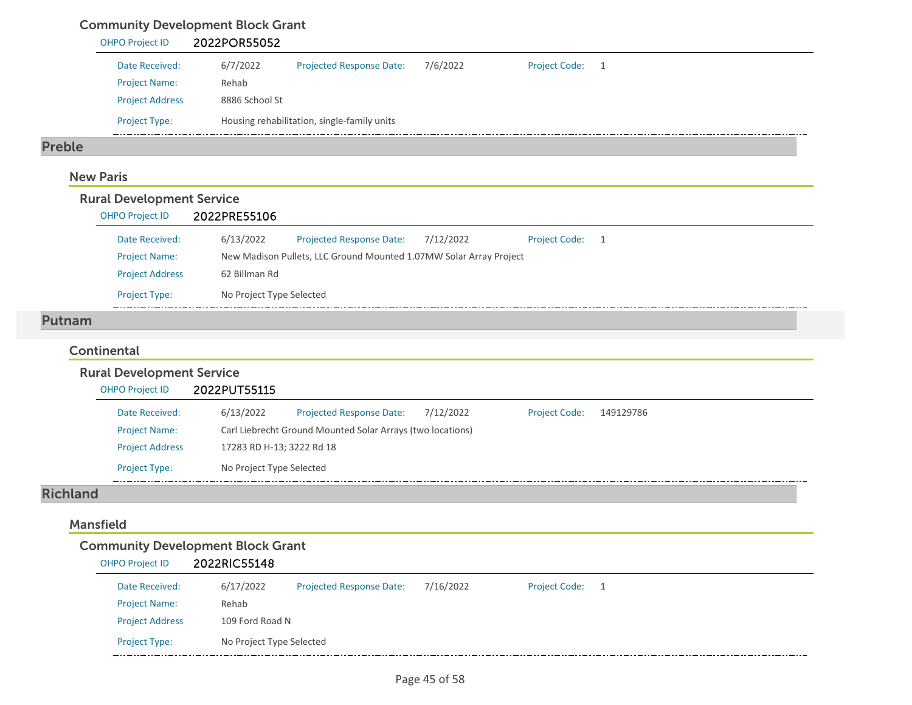# Community Development Block Grant

|               | <b>OHPO Project ID</b> | 2022POR55052   |                                             |          |                 |  |
|---------------|------------------------|----------------|---------------------------------------------|----------|-----------------|--|
|               | Date Received:         | 6/7/2022       | <b>Projected Response Date:</b>             | 7/6/2022 | Project Code: 1 |  |
|               | <b>Project Name:</b>   | Rehab          |                                             |          |                 |  |
|               | <b>Project Address</b> | 8886 School St |                                             |          |                 |  |
|               | <b>Project Type:</b>   |                | Housing rehabilitation, single-family units |          |                 |  |
| <b>Preble</b> |                        |                |                                             |          |                 |  |

### New Paris

| Date Received:<br><b>Project Name:</b> | 6/13/2022     | <b>Projected Response Date:</b>                                    | 7/12/2022                |                      |    |
|----------------------------------------|---------------|--------------------------------------------------------------------|--------------------------|----------------------|----|
|                                        |               |                                                                    |                          | <b>Project Code:</b> | -1 |
|                                        |               | New Madison Pullets, LLC Ground Mounted 1.07MW Solar Array Project |                          |                      |    |
| <b>Project Address</b>                 | 62 Billman Rd |                                                                    |                          |                      |    |
| <b>Project Type:</b>                   |               |                                                                    |                          |                      |    |
|                                        |               |                                                                    | No Project Type Selected |                      |    |

### **Continental**

| <b>Rural Development Service</b> |                                                                                                |  |
|----------------------------------|------------------------------------------------------------------------------------------------|--|
| <b>OHPO Project ID</b>           | 2022PUT55115                                                                                   |  |
| Date Received:                   | 6/13/2022<br><b>Projected Response Date:</b><br>7/12/2022<br><b>Project Code:</b><br>149129786 |  |
| <b>Project Name:</b>             | Carl Liebrecht Ground Mounted Solar Arrays (two locations)                                     |  |
| <b>Project Address</b>           | 17283 RD H-13; 3222 Rd 18                                                                      |  |
| <b>Project Type:</b>             | No Project Type Selected                                                                       |  |

#### Richland

#### Mansfield

#### Community Development Block Grant OHPO Project ID 2022RIC55148

| $0.00011$ $0.00011$    | <b>LULLINGJJITU</b>      |                                 |           |                      |  |
|------------------------|--------------------------|---------------------------------|-----------|----------------------|--|
| Date Received:         | 6/17/2022                | <b>Projected Response Date:</b> | 7/16/2022 | <b>Project Code:</b> |  |
| <b>Project Name:</b>   | Rehab                    |                                 |           |                      |  |
| <b>Project Address</b> | 109 Ford Road N          |                                 |           |                      |  |
| <b>Project Type:</b>   | No Project Type Selected |                                 |           |                      |  |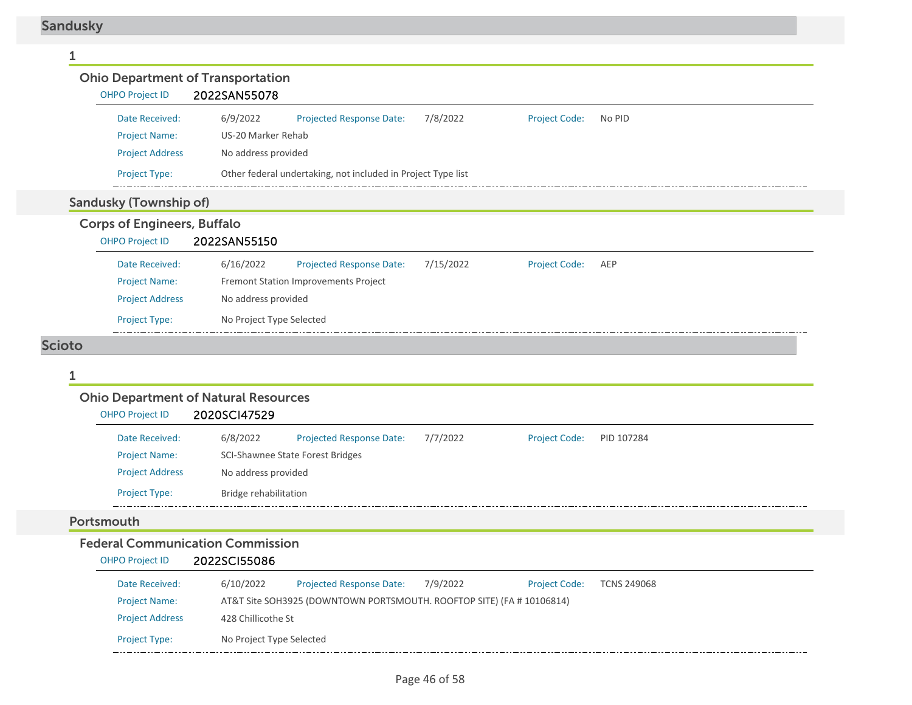| <b>Ohio Department of Transportation</b>                     |                                                              |                   |                      |            |
|--------------------------------------------------------------|--------------------------------------------------------------|-------------------|----------------------|------------|
| <b>OHPO Project ID</b>                                       | 2022SAN55078                                                 |                   |                      |            |
| Date Received:                                               | 6/9/2022<br><b>Projected Response Date:</b>                  | 7/8/2022          | <b>Project Code:</b> | No PID     |
| <b>Project Name:</b>                                         | US-20 Marker Rehab                                           |                   |                      |            |
| <b>Project Address</b>                                       | No address provided                                          |                   |                      |            |
| Project Type:                                                | Other federal undertaking, not included in Project Type list |                   |                      |            |
| <b>Sandusky (Township of)</b>                                |                                                              |                   |                      |            |
| <b>Corps of Engineers, Buffalo</b><br><b>OHPO Project ID</b> | 2022SAN55150                                                 |                   |                      |            |
| Date Received:                                               | 6/16/2022<br><b>Projected Response Date:</b>                 | 7/15/2022         | <b>Project Code:</b> | AEP        |
| <b>Project Name:</b>                                         | Fremont Station Improvements Project                         |                   |                      |            |
| <b>Project Address</b>                                       | No address provided                                          |                   |                      |            |
| Project Type:                                                | No Project Type Selected                                     |                   |                      |            |
| <b>Scioto</b>                                                |                                                              |                   |                      |            |
| 1                                                            |                                                              |                   |                      |            |
| <b>Ohio Department of Natural Resources</b>                  |                                                              |                   |                      |            |
| <b>OHPO Project ID</b>                                       | 2020SCI47529                                                 |                   |                      |            |
| Date Received:                                               | <b>Projected Response Date:</b><br>6/8/2022                  | 7/7/2022          | <b>Project Code:</b> | PID 107284 |
| <b>Project Name:</b>                                         | SCI-Shawnee State Forest Bridges                             |                   |                      |            |
| <b>Project Address</b>                                       | No address provided                                          |                   |                      |            |
| <b>Project Type:</b>                                         | Bridge rehabilitation                                        |                   |                      |            |
| Portsmouth                                                   |                                                              |                   |                      |            |
| <b>Federal Communication Commission</b>                      |                                                              |                   |                      |            |
| <b>OHPO Project ID</b>                                       | 2022SCI55086                                                 |                   |                      |            |
| .                                                            | 0 l100000<br><b>Profit 1999</b>                              | $= 10 \times 200$ |                      |            |

| Date Received:         | 6/10/2022                | <b>Projected Response Date:</b>                                       | 7/9/2022 | <b>Project Code:</b> | <b>TCNS 249068</b> |
|------------------------|--------------------------|-----------------------------------------------------------------------|----------|----------------------|--------------------|
| <b>Project Name:</b>   |                          | AT&T Site SOH3925 (DOWNTOWN PORTSMOUTH. ROOFTOP SITE) (FA # 10106814) |          |                      |                    |
| <b>Project Address</b> | 428 Chillicothe St       |                                                                       |          |                      |                    |
| <b>Project Type:</b>   | No Project Type Selected |                                                                       |          |                      |                    |
|                        |                          |                                                                       |          |                      |                    |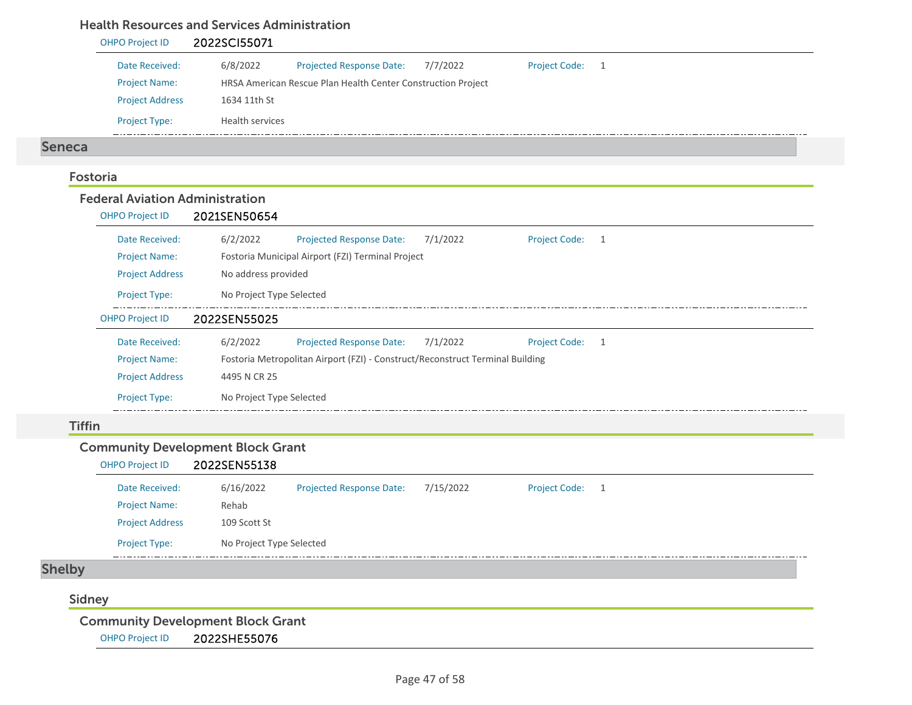#### Health Resources and Services Administration

#### OHPO Project ID 2022SCI55071 Date Received: 6/8/2022 Project Name: HRSA American Rescue Plan Health Center Construction Project Projected Response Date: 7/7/2022 Project Address 1634 11th St Project Type: Health services Project Code: 1 Seneca FostoriaFederal Aviation AdministrationOHPO Project ID 2021SEN50654 Date Received: 6/2/2022 Project Name: Fostoria Municipal Airport (FZI) Terminal Project Projected Response Date: 7/1/2022 Project Address No address provided Project Type: No Project Type Selected Project Code: 1 OHPO Project ID 2022SEN55025 Date Received: $6/2/2022$ Projected Response Date: 7/1/2022 Project Code: 1

| Date Received:         | 6/2/2022                 | <b>Projected Response Date:</b>                                               | 7/1/2022 | Project Code: |  |  |
|------------------------|--------------------------|-------------------------------------------------------------------------------|----------|---------------|--|--|
| <b>Project Name:</b>   |                          | Fostoria Metropolitan Airport (FZI) - Construct/Reconstruct Terminal Building |          |               |  |  |
| <b>Project Address</b> | 4495 N CR 25             |                                                                               |          |               |  |  |
| <b>Project Type:</b>   | No Project Type Selected |                                                                               |          |               |  |  |

#### **Tiffin**

#### Community Development Block Grant

#### OHPO Project ID 2022SEN55138 Date Received: 6/16/2022 Projected Response Date: 7/15/2022 Project Code: 1 Project Name: Rehab Project Address 109 Scott St Project Type: No Project Type Selected  $-$  . . . . . . . . . . . . . . . .

### Shelby

### Sidney

Community Development Block Grant

OHPO Project ID 2022SHE55076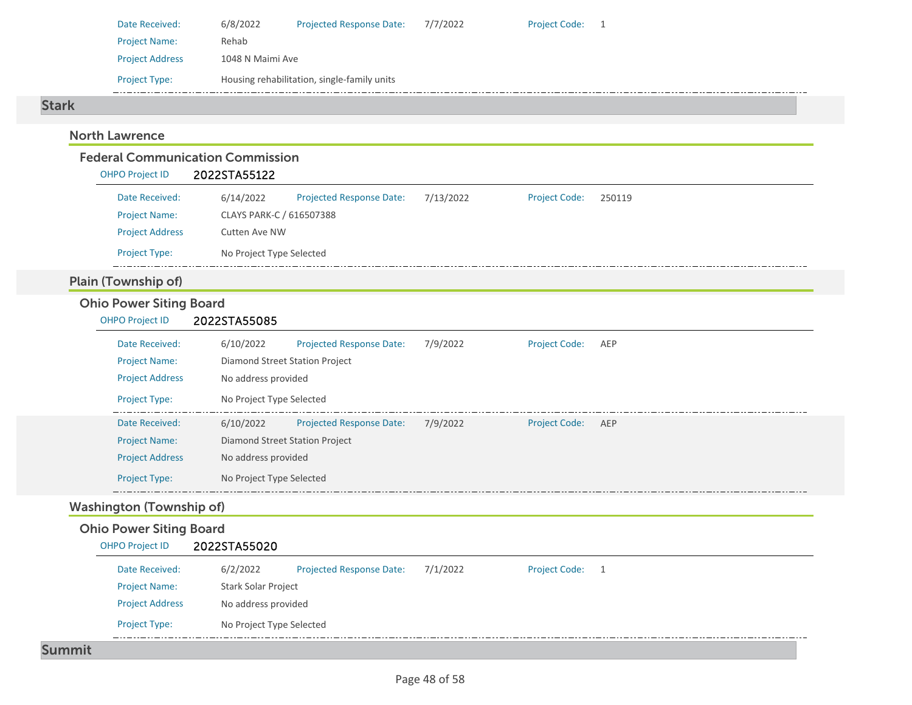| Date Received:         | 6/8/2022         | <b>Projected Response Date:</b>             | 7/7/2022 | <b>Project Code:</b> |  |
|------------------------|------------------|---------------------------------------------|----------|----------------------|--|
| <b>Project Name:</b>   | Rehab            |                                             |          |                      |  |
| <b>Project Address</b> | 1048 N Maimi Ave |                                             |          |                      |  |
| <b>Project Type:</b>   |                  | Housing rehabilitation, single-family units |          |                      |  |

#### Stark

### North Lawrence

### Federal Communication Commission

| <b>OHPO Project ID</b> | 2022STA55122             |                                 |           |                      |        |
|------------------------|--------------------------|---------------------------------|-----------|----------------------|--------|
| Date Received:         | 6/14/2022                | <b>Projected Response Date:</b> | 7/13/2022 | <b>Project Code:</b> | 250119 |
| <b>Project Name:</b>   | CLAYS PARK-C / 616507388 |                                 |           |                      |        |
| <b>Project Address</b> | Cutten Ave NW            |                                 |           |                      |        |
| <b>Project Type:</b>   | No Project Type Selected |                                 |           |                      |        |

### Plain (Township of)

### Ohio Power Siting Board

OHPO Project ID 2022STA55085

| Date Received:<br><b>Project Name:</b><br><b>Project Address</b><br><b>Project Type:</b> | 6/10/2022<br>No address provided<br>No Project Type Selected | <b>Projected Response Date:</b><br>Diamond Street Station Project | 7/9/2022 | <b>Project Code:</b> | AEP |
|------------------------------------------------------------------------------------------|--------------------------------------------------------------|-------------------------------------------------------------------|----------|----------------------|-----|
| Date Received:<br><b>Project Name:</b><br><b>Project Address</b><br><b>Project Type:</b> | 6/10/2022<br>No address provided<br>No Project Type Selected | <b>Projected Response Date:</b><br>Diamond Street Station Project | 7/9/2022 | <b>Project Code:</b> | AEP |

### Washington (Township of)

### Ohio Power Siting Board

| <b>OHPO Project ID</b> | 2022STA55020             |                                 |          |                      |    |
|------------------------|--------------------------|---------------------------------|----------|----------------------|----|
| Date Received:         | 6/2/2022                 | <b>Projected Response Date:</b> | 7/1/2022 | <b>Project Code:</b> | -1 |
| <b>Project Name:</b>   | Stark Solar Project      |                                 |          |                      |    |
| <b>Project Address</b> | No address provided      |                                 |          |                      |    |
| <b>Project Type:</b>   | No Project Type Selected |                                 |          |                      |    |

#### Summit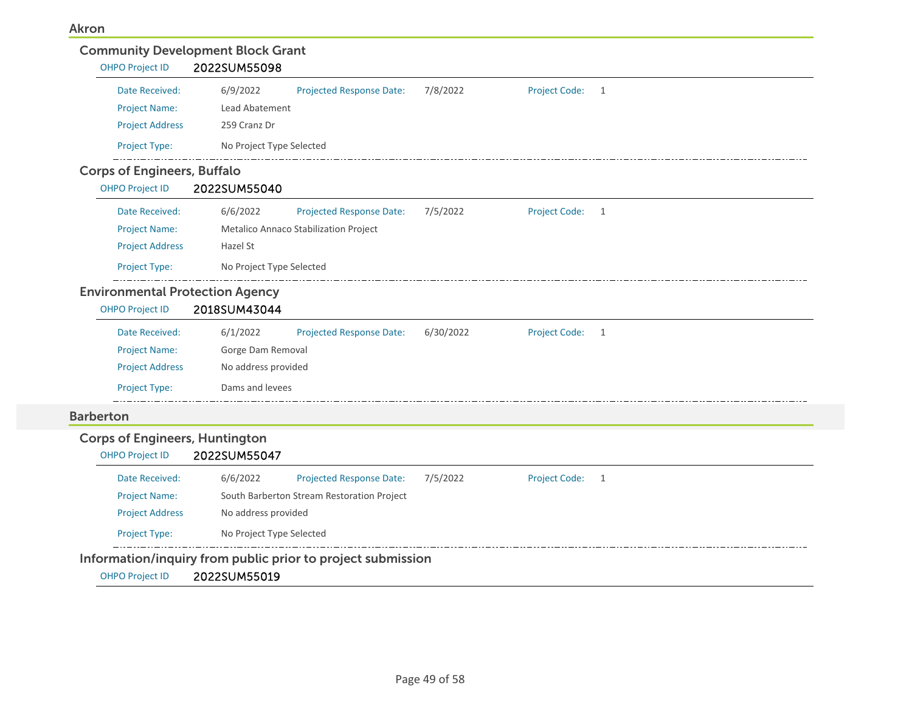| Date Received:                         | 6/9/2022                 | Projected Response Date:                   | 7/8/2022  | Project Code: 1 |  |
|----------------------------------------|--------------------------|--------------------------------------------|-----------|-----------------|--|
| <b>Project Name:</b>                   | Lead Abatement           |                                            |           |                 |  |
| <b>Project Address</b>                 | 259 Cranz Dr             |                                            |           |                 |  |
| Project Type:                          | No Project Type Selected |                                            |           |                 |  |
| <b>Corps of Engineers, Buffalo</b>     |                          |                                            |           |                 |  |
| <b>OHPO Project ID</b>                 | 2022SUM55040             |                                            |           |                 |  |
| Date Received:                         | 6/6/2022                 | Projected Response Date:                   | 7/5/2022  | Project Code: 1 |  |
| <b>Project Name:</b>                   |                          | Metalico Annaco Stabilization Project      |           |                 |  |
| <b>Project Address</b>                 | Hazel St                 |                                            |           |                 |  |
| Project Type:                          | No Project Type Selected |                                            |           |                 |  |
| <b>Environmental Protection Agency</b> |                          |                                            |           |                 |  |
| <b>OHPO Project ID</b>                 | 2018SUM43044             |                                            |           |                 |  |
| Date Received:                         | 6/1/2022                 | Projected Response Date:                   | 6/30/2022 | Project Code: 1 |  |
| <b>Project Name:</b>                   | Gorge Dam Removal        |                                            |           |                 |  |
| <b>Project Address</b>                 | No address provided      |                                            |           |                 |  |
| Project Type:                          | Dams and levees          |                                            |           |                 |  |
| <b>Barberton</b>                       |                          |                                            |           |                 |  |
| <b>Corps of Engineers, Huntington</b>  |                          |                                            |           |                 |  |
| <b>OHPO Project ID</b>                 | 2022SUM55047             |                                            |           |                 |  |
| Date Received:                         | 6/6/2022                 | Projected Response Date:                   | 7/5/2022  | Project Code: 1 |  |
| <b>Project Name:</b>                   |                          | South Barberton Stream Restoration Project |           |                 |  |
| <b>Project Address</b>                 | No address provided      |                                            |           |                 |  |
|                                        |                          |                                            |           |                 |  |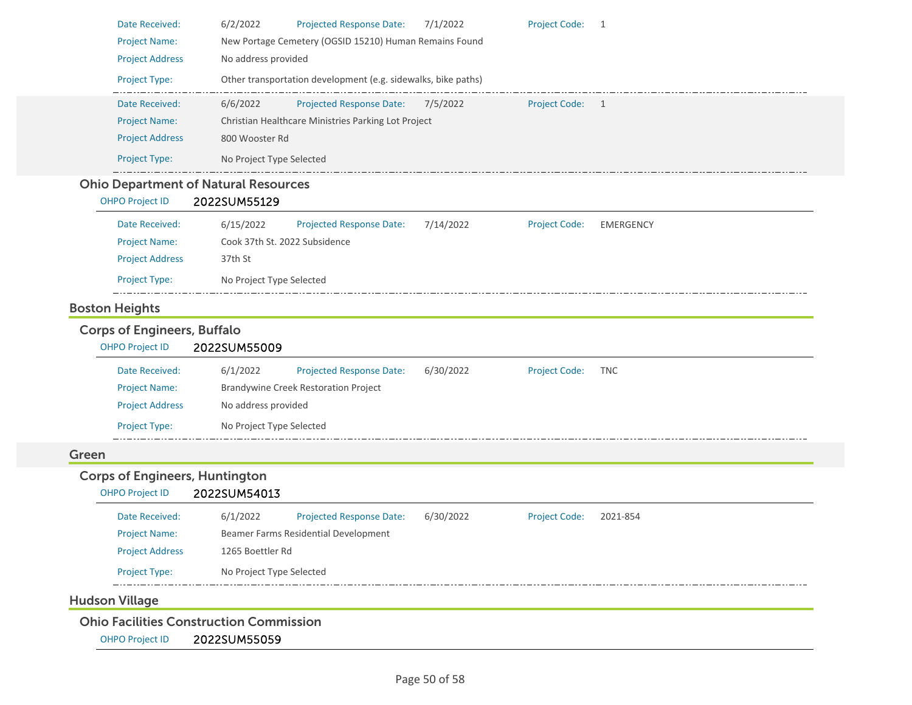| Date Received:                                                  | <b>Projected Response Date:</b><br>Project Code: 1                                                    |
|-----------------------------------------------------------------|-------------------------------------------------------------------------------------------------------|
| <b>Project Name:</b>                                            | New Portage Cemetery (OGSID 15210) Human Remains Found                                                |
| <b>Project Address</b>                                          | No address provided                                                                                   |
| Project Type:                                                   | Other transportation development (e.g. sidewalks, bike paths)                                         |
| Date Received:                                                  | 6/6/2022<br><b>Projected Response Date:</b><br>7/5/2022<br>Project Code: 1                            |
| <b>Project Name:</b>                                            | Christian Healthcare Ministries Parking Lot Project                                                   |
| <b>Project Address</b>                                          | 800 Wooster Rd                                                                                        |
| Project Type:                                                   | No Project Type Selected                                                                              |
| <b>Ohio Department of Natural Resources</b><br>OHPO Project ID  | 2022SUM55129                                                                                          |
| Date Received:                                                  | 6/15/2022<br>7/14/2022<br><b>Projected Response Date:</b><br><b>Project Code:</b><br><b>EMERGENCY</b> |
| <b>Project Name:</b>                                            | Cook 37th St. 2022 Subsidence                                                                         |
| <b>Project Address</b>                                          | 37th St                                                                                               |
| <b>Project Type:</b>                                            | No Project Type Selected                                                                              |
| <b>Boston Heights</b>                                           |                                                                                                       |
| <b>Corps of Engineers, Buffalo</b><br><b>OHPO Project ID</b>    | 2022SUM55009                                                                                          |
| Date Received:                                                  | 6/1/2022<br><b>Projected Response Date:</b><br>6/30/2022<br><b>Project Code:</b><br><b>TNC</b>        |
| <b>Project Name:</b>                                            | <b>Brandywine Creek Restoration Project</b>                                                           |
| <b>Project Address</b>                                          | No address provided                                                                                   |
| <b>Project Type:</b>                                            | No Project Type Selected                                                                              |
| Green                                                           |                                                                                                       |
| <b>Corps of Engineers, Huntington</b><br><b>OHPO Project ID</b> | 2022SUM54013                                                                                          |
| Date Received:                                                  | <b>Projected Response Date:</b><br>6/1/2022<br>6/30/2022<br><b>Project Code:</b><br>2021-854          |
| <b>Project Name:</b>                                            | Beamer Farms Residential Development                                                                  |
| <b>Project Address</b>                                          | 1265 Boettler Rd                                                                                      |
| Project Type:                                                   | No Project Type Selected                                                                              |
| <b>Hudson Village</b>                                           |                                                                                                       |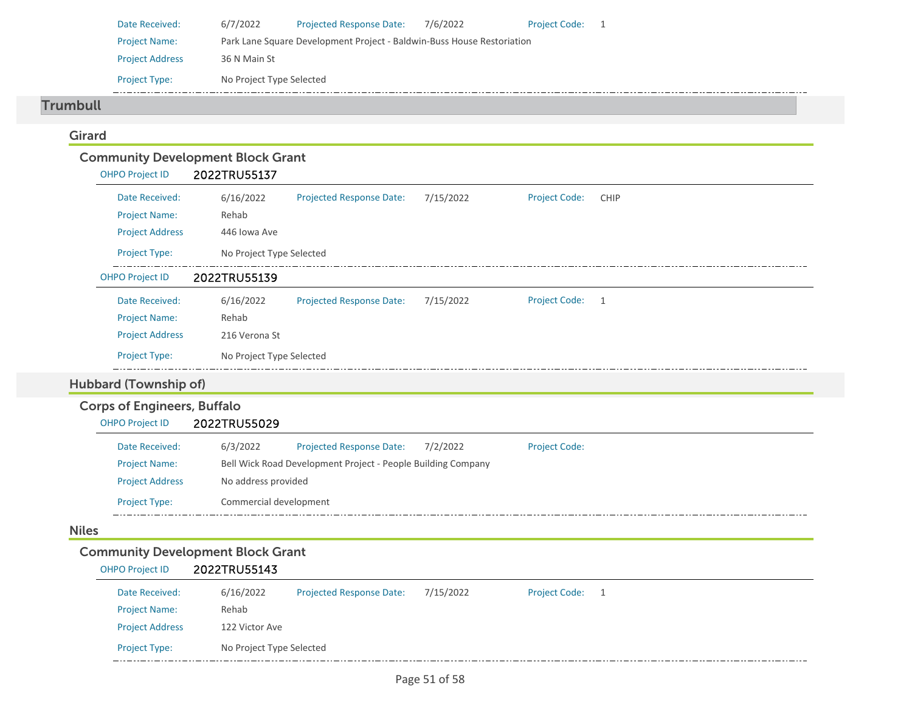| Date Received:         | 6/7/2022                                                               | <b>Projected Response Date:</b> | 7/6/2022 | <b>Project Code:</b> |  |  |
|------------------------|------------------------------------------------------------------------|---------------------------------|----------|----------------------|--|--|
| <b>Project Name:</b>   | Park Lane Square Development Project - Baldwin-Buss House Restoriation |                                 |          |                      |  |  |
| <b>Project Address</b> | 36 N Main St                                                           |                                 |          |                      |  |  |
| <b>Project Type:</b>   | No Project Type Selected                                               |                                 |          |                      |  |  |

#### Trumbull

### Girard

| <b>Community Development Block Grant</b> |                          |                                 |           |                      |                |  |
|------------------------------------------|--------------------------|---------------------------------|-----------|----------------------|----------------|--|
| <b>OHPO Project ID</b>                   | 2022TRU55137             |                                 |           |                      |                |  |
| Date Received:                           | 6/16/2022                | <b>Projected Response Date:</b> | 7/15/2022 | <b>Project Code:</b> | <b>CHIP</b>    |  |
| <b>Project Name:</b>                     | Rehab                    |                                 |           |                      |                |  |
| <b>Project Address</b>                   | 446 Iowa Ave             |                                 |           |                      |                |  |
| Project Type:                            | No Project Type Selected |                                 |           |                      |                |  |
| <b>OHPO Project ID</b>                   | 2022TRU55139             |                                 |           |                      |                |  |
| Date Received:                           | 6/16/2022                | <b>Projected Response Date:</b> | 7/15/2022 | <b>Project Code:</b> | $\overline{1}$ |  |
| <b>Project Name:</b>                     | Rehab                    |                                 |           |                      |                |  |
| <b>Project Address</b>                   | 216 Verona St            |                                 |           |                      |                |  |
| <b>Project Type:</b>                     | No Project Type Selected |                                 |           |                      |                |  |
| Hubbard (Township of)                    |                          |                                 |           |                      |                |  |
| <b>Corps of Engineers, Buffalo</b>       |                          |                                 |           |                      |                |  |

#### Date Received:

| Date Received:         | 6/3/2022               | <b>Projected Response Date:</b>                              | 7/2/2022 | <b>Project Code:</b> |
|------------------------|------------------------|--------------------------------------------------------------|----------|----------------------|
| <b>Project Name:</b>   |                        | Bell Wick Road Development Project - People Building Company |          |                      |
| <b>Project Address</b> | No address provided    |                                                              |          |                      |
| <b>Project Type:</b>   | Commercial development |                                                              |          |                      |

#### Niles

### Community Development Block Grant

OHPO Project ID 2022TRU55029

| <b>OHPO Project ID</b> | 2022TRU55143             |                                 |           |                      |  |
|------------------------|--------------------------|---------------------------------|-----------|----------------------|--|
| Date Received:         | 6/16/2022                | <b>Projected Response Date:</b> | 7/15/2022 | <b>Project Code:</b> |  |
| <b>Project Name:</b>   | Rehab                    |                                 |           |                      |  |
| <b>Project Address</b> | 122 Victor Ave           |                                 |           |                      |  |
| <b>Project Type:</b>   | No Project Type Selected |                                 |           |                      |  |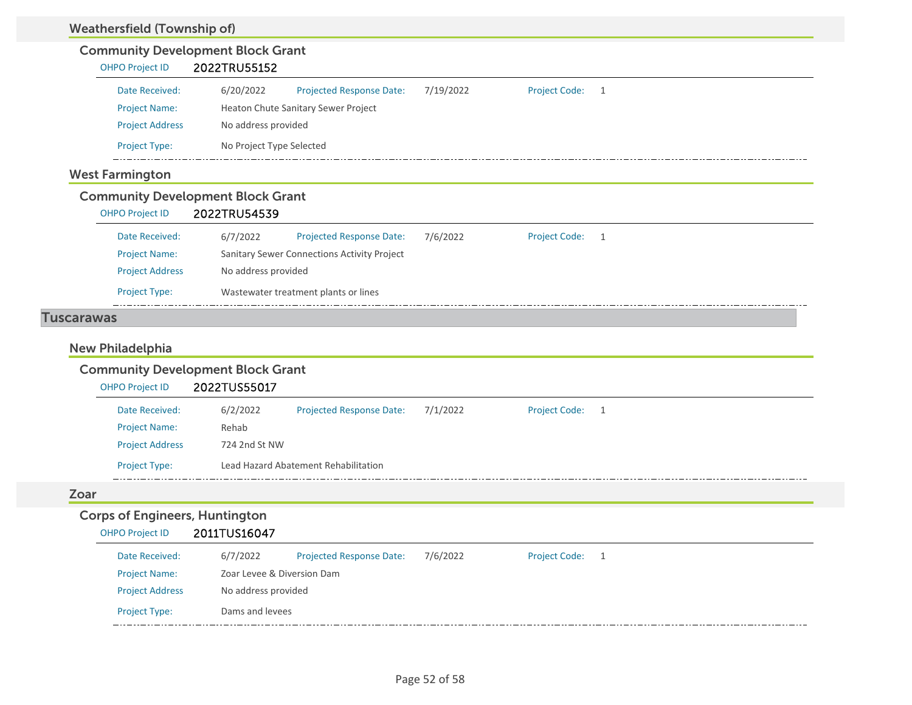| <b>Community Development Block Grant</b>                                                                                                                          |                                                       |           |                 |  |
|-------------------------------------------------------------------------------------------------------------------------------------------------------------------|-------------------------------------------------------|-----------|-----------------|--|
| <b>OHPO Project ID</b>                                                                                                                                            | 2022TRU55152                                          |           |                 |  |
| Date Received:                                                                                                                                                    | 6/20/2022<br><b>Projected Response Date:</b>          | 7/19/2022 | Project Code: 1 |  |
| <b>Project Name:</b>                                                                                                                                              | Heaton Chute Sanitary Sewer Project                   |           |                 |  |
| <b>Project Address</b>                                                                                                                                            | No address provided                                   |           |                 |  |
| Project Type:                                                                                                                                                     | No Project Type Selected                              |           |                 |  |
| <b>West Farmington</b>                                                                                                                                            |                                                       |           |                 |  |
| <b>Community Development Block Grant</b>                                                                                                                          |                                                       |           |                 |  |
| <b>OHPO Project ID</b>                                                                                                                                            | 2022TRU54539                                          |           |                 |  |
| Date Received:                                                                                                                                                    | 6/7/2022<br><b>Projected Response Date:</b>           | 7/6/2022  | Project Code: 1 |  |
| <b>Project Name:</b>                                                                                                                                              | Sanitary Sewer Connections Activity Project           |           |                 |  |
| <b>Project Address</b>                                                                                                                                            | No address provided                                   |           |                 |  |
|                                                                                                                                                                   |                                                       |           |                 |  |
| Project Type:                                                                                                                                                     | Wastewater treatment plants or lines                  |           |                 |  |
|                                                                                                                                                                   |                                                       |           |                 |  |
| <b>OHPO Project ID</b>                                                                                                                                            | 2022TUS55017                                          |           |                 |  |
| Date Received:                                                                                                                                                    | 6/2/2022<br><b>Projected Response Date:</b>           | 7/1/2022  | Project Code: 1 |  |
| <b>Project Name:</b>                                                                                                                                              | Rehab                                                 |           |                 |  |
| <b>Project Address</b><br><b>Project Type:</b>                                                                                                                    | 724 2nd St NW<br>Lead Hazard Abatement Rehabilitation |           |                 |  |
|                                                                                                                                                                   |                                                       |           |                 |  |
|                                                                                                                                                                   |                                                       |           |                 |  |
| <b>OHPO Project ID</b>                                                                                                                                            | 2011TUS16047                                          |           |                 |  |
| Date Received:                                                                                                                                                    | 6/7/2022<br><b>Projected Response Date:</b>           | 7/6/2022  | Project Code: 1 |  |
| <b>Tuscarawas</b><br><b>New Philadelphia</b><br><b>Community Development Block Grant</b><br>Zoar<br><b>Corps of Engineers, Huntington</b><br><b>Project Name:</b> | Zoar Levee & Diversion Dam                            |           |                 |  |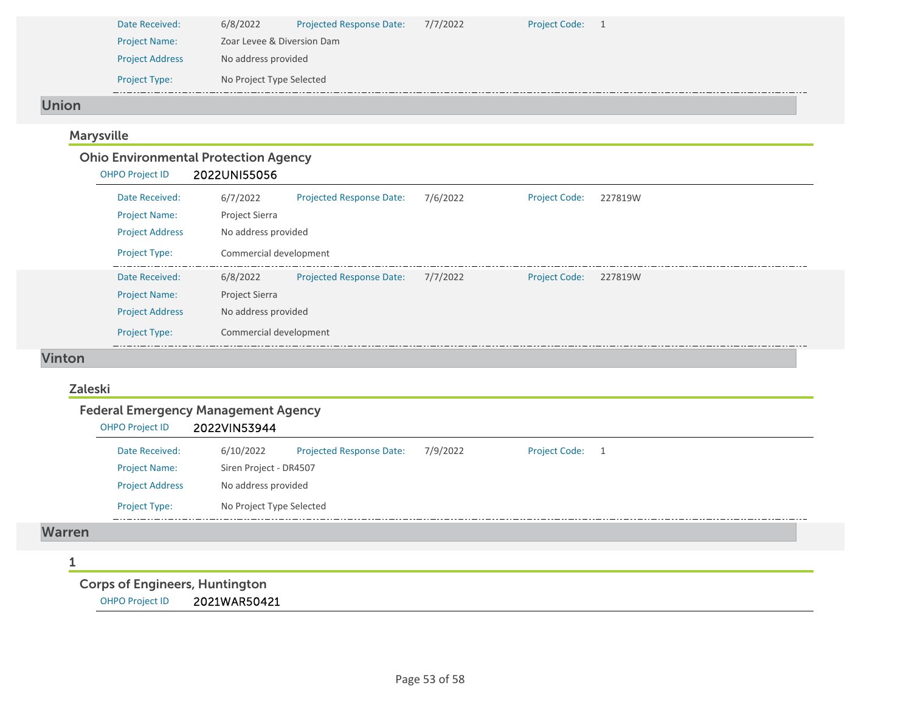| Date Received:         | 6/8/2022                   | <b>Projected Response Date:</b> | 7/7/2022 | <b>Project Code:</b> |  |  |
|------------------------|----------------------------|---------------------------------|----------|----------------------|--|--|
| <b>Project Name:</b>   | Zoar Levee & Diversion Dam |                                 |          |                      |  |  |
| <b>Project Address</b> | No address provided        |                                 |          |                      |  |  |
| <b>Project Type:</b>   | No Project Type Selected   |                                 |          |                      |  |  |

#### Union

### Marysville

### Ohio Environmental Protection Agency

| Date Received:         | 6/7/2022               | <b>Projected Response Date:</b> | 7/6/2022 | <b>Project Code:</b> | 227819W |
|------------------------|------------------------|---------------------------------|----------|----------------------|---------|
| <b>Project Name:</b>   | <b>Project Sierra</b>  |                                 |          |                      |         |
| <b>Project Address</b> | No address provided    |                                 |          |                      |         |
| <b>Project Type:</b>   | Commercial development |                                 |          |                      |         |
| Date Received:         | 6/8/2022               | <b>Projected Response Date:</b> | 7/7/2022 | <b>Project Code:</b> | 227819W |
| <b>Project Name:</b>   | <b>Project Sierra</b>  |                                 |          |                      |         |
| <b>Project Address</b> | No address provided    |                                 |          |                      |         |
| <b>Project Type:</b>   | Commercial development |                                 |          |                      |         |

### Vinton

### Zaleski

### Federal Emergency Management Agency

| <b>OHPO Project ID</b> | 2022VIN53944             |                                 |          |                      |     |
|------------------------|--------------------------|---------------------------------|----------|----------------------|-----|
| Date Received:         | 6/10/2022                | <b>Projected Response Date:</b> | 7/9/2022 | <b>Project Code:</b> | - 1 |
| <b>Project Name:</b>   | Siren Project - DR4507   |                                 |          |                      |     |
| <b>Project Address</b> | No address provided      |                                 |          |                      |     |
| <b>Project Type:</b>   | No Project Type Selected |                                 |          |                      |     |
|                        |                          |                                 |          |                      |     |

#### Warren

#### 1

Corps of Engineers, Huntington

OHPO Project ID 2021WAR50421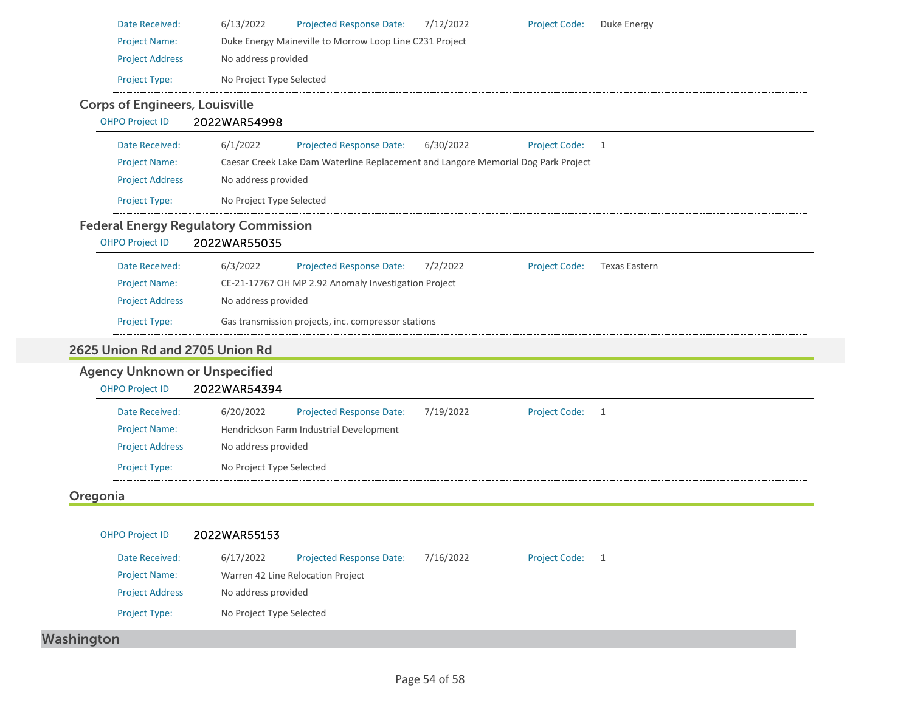| Date Received:                        | 6/13/2022<br>Projected Response Date:<br>7/12/2022<br><b>Project Code:</b><br>Duke Energy               |  |  |  |  |  |  |
|---------------------------------------|---------------------------------------------------------------------------------------------------------|--|--|--|--|--|--|
| <b>Project Name:</b>                  | Duke Energy Maineville to Morrow Loop Line C231 Project<br>No address provided                          |  |  |  |  |  |  |
| <b>Project Address</b>                |                                                                                                         |  |  |  |  |  |  |
| Project Type:                         | No Project Type Selected                                                                                |  |  |  |  |  |  |
| <b>Corps of Engineers, Louisville</b> |                                                                                                         |  |  |  |  |  |  |
| <b>OHPO Project ID</b>                | 2022WAR54998                                                                                            |  |  |  |  |  |  |
| Date Received:                        | 6/1/2022<br>Projected Response Date:<br>6/30/2022<br><b>Project Code:</b><br>1                          |  |  |  |  |  |  |
| <b>Project Name:</b>                  | Caesar Creek Lake Dam Waterline Replacement and Langore Memorial Dog Park Project                       |  |  |  |  |  |  |
| <b>Project Address</b>                | No address provided                                                                                     |  |  |  |  |  |  |
| Project Type:                         | No Project Type Selected                                                                                |  |  |  |  |  |  |
|                                       | <b>Federal Energy Regulatory Commission</b>                                                             |  |  |  |  |  |  |
| <b>OHPO Project ID</b>                | 2022WAR55035                                                                                            |  |  |  |  |  |  |
| Date Received:                        | <b>Texas Eastern</b><br>6/3/2022<br><b>Projected Response Date:</b><br>7/2/2022<br><b>Project Code:</b> |  |  |  |  |  |  |
| <b>Project Name:</b>                  | CE-21-17767 OH MP 2.92 Anomaly Investigation Project                                                    |  |  |  |  |  |  |
| <b>Project Address</b>                | No address provided                                                                                     |  |  |  |  |  |  |
| Project Type:                         | Gas transmission projects, inc. compressor stations                                                     |  |  |  |  |  |  |
| 2625 Union Rd and 2705 Union Rd       |                                                                                                         |  |  |  |  |  |  |
| <b>Agency Unknown or Unspecified</b>  |                                                                                                         |  |  |  |  |  |  |
| <b>OHPO Project ID</b>                | 2022WAR54394                                                                                            |  |  |  |  |  |  |
|                                       |                                                                                                         |  |  |  |  |  |  |
| Date Received:                        | 6/20/2022<br><b>Projected Response Date:</b><br>7/19/2022<br><b>Project Code:</b><br>1                  |  |  |  |  |  |  |
| <b>Project Name:</b>                  | Hendrickson Farm Industrial Development                                                                 |  |  |  |  |  |  |
| <b>Project Address</b>                | No address provided                                                                                     |  |  |  |  |  |  |
| <b>Project Type:</b>                  | No Project Type Selected                                                                                |  |  |  |  |  |  |
| Oregonia                              |                                                                                                         |  |  |  |  |  |  |
|                                       |                                                                                                         |  |  |  |  |  |  |
| <b>OHPO Project ID</b>                | 2022WAR55153                                                                                            |  |  |  |  |  |  |
| Date Received:                        | 6/17/2022<br>7/16/2022<br><b>Projected Response Date:</b><br>Project Code: 1                            |  |  |  |  |  |  |
| <b>Project Name:</b>                  | Warren 42 Line Relocation Project                                                                       |  |  |  |  |  |  |
| <b>Project Address</b>                | No address provided                                                                                     |  |  |  |  |  |  |

Washington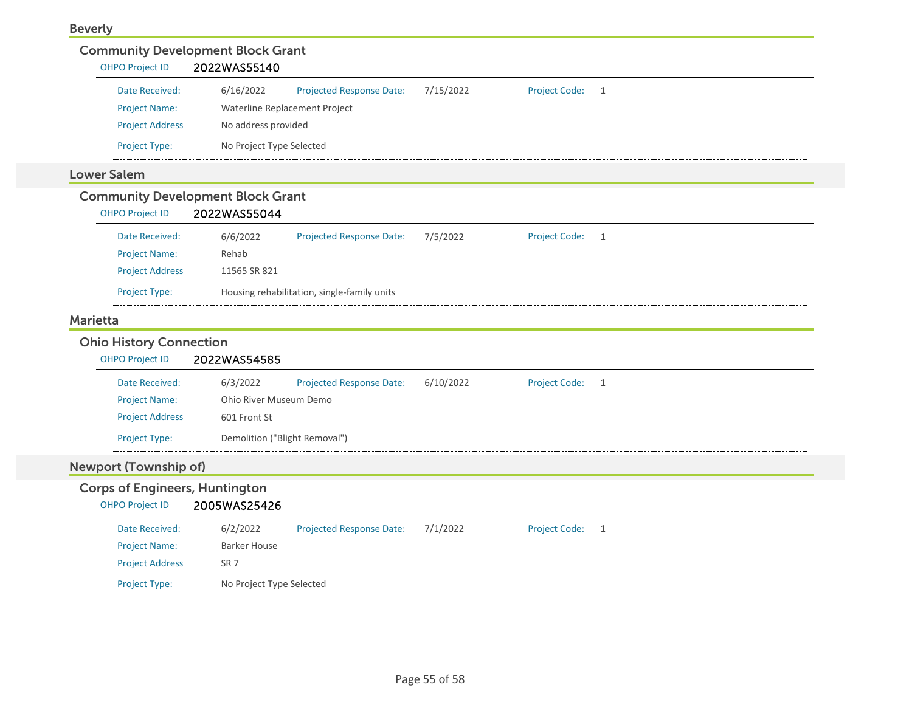| <b>OHPO Project ID</b>                | <b>Community Development Block Grant</b><br>2022WAS55140                                            |
|---------------------------------------|-----------------------------------------------------------------------------------------------------|
| Date Received:                        | 6/16/2022<br>7/15/2022<br><b>Projected Response Date:</b><br><b>Project Code:</b><br>$\overline{1}$ |
| <b>Project Name:</b>                  | Waterline Replacement Project                                                                       |
| <b>Project Address</b>                | No address provided                                                                                 |
| Project Type:                         | No Project Type Selected                                                                            |
| <b>Lower Salem</b>                    |                                                                                                     |
|                                       | <b>Community Development Block Grant</b>                                                            |
| <b>OHPO Project ID</b>                | 2022WAS55044                                                                                        |
| Date Received:                        | <b>Project Code:</b><br>6/6/2022<br><b>Projected Response Date:</b><br>7/5/2022<br>$\overline{1}$   |
| <b>Project Name:</b>                  | Rehab                                                                                               |
| <b>Project Address</b>                | 11565 SR 821                                                                                        |
| Project Type:                         | Housing rehabilitation, single-family units                                                         |
|                                       |                                                                                                     |
| <b>Marietta</b>                       |                                                                                                     |
| <b>Ohio History Connection</b>        |                                                                                                     |
| <b>OHPO Project ID</b>                | 2022WAS54585                                                                                        |
| Date Received:                        | 6/3/2022<br>Projected Response Date:<br>6/10/2022<br><b>Project Code:</b><br>$\overline{1}$         |
| <b>Project Name:</b>                  | Ohio River Museum Demo                                                                              |
| <b>Project Address</b>                | 601 Front St                                                                                        |
| Project Type:                         | Demolition ("Blight Removal")                                                                       |
| <b>Newport (Township of)</b>          |                                                                                                     |
| <b>Corps of Engineers, Huntington</b> |                                                                                                     |
| <b>OHPO Project ID</b>                | 2005WAS25426                                                                                        |
| Date Received:                        | 6/2/2022<br>Projected Response Date:<br>7/1/2022<br><b>Project Code:</b><br>$\overline{1}$          |
| <b>Project Name:</b>                  | <b>Barker House</b>                                                                                 |
| <b>Project Address</b>                | SR <sub>7</sub>                                                                                     |
| Project Type:                         | No Project Type Selected                                                                            |
|                                       |                                                                                                     |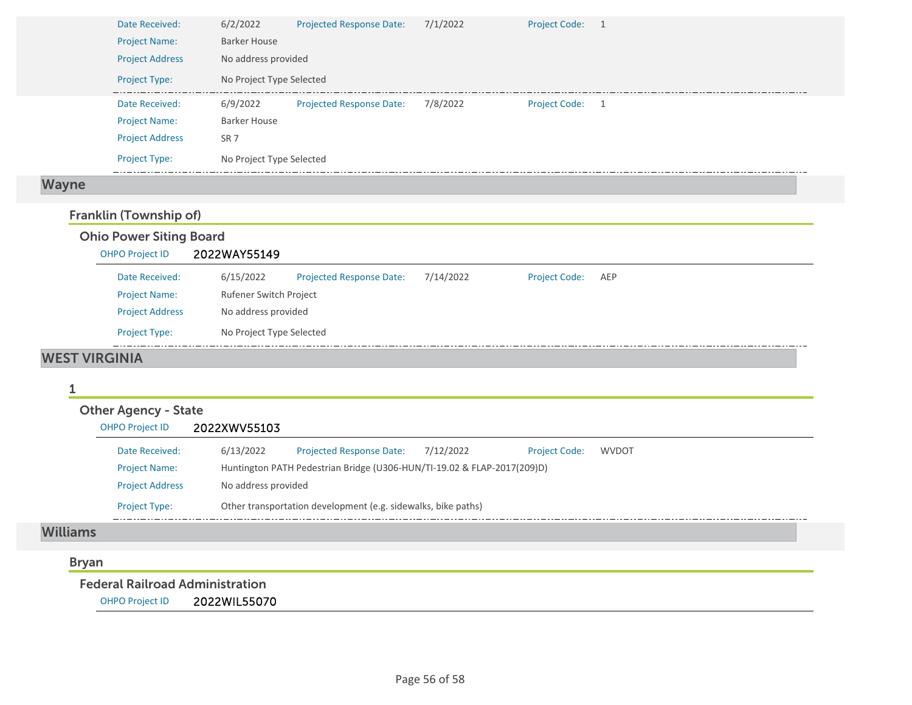|              | Date Received:         | 6/2/2022                 | Projected Response Date:        | 7/1/2022 | Project Code: 1 |  |
|--------------|------------------------|--------------------------|---------------------------------|----------|-----------------|--|
|              | <b>Project Name:</b>   | <b>Barker House</b>      |                                 |          |                 |  |
|              | <b>Project Address</b> | No address provided      |                                 |          |                 |  |
|              | <b>Project Type:</b>   | No Project Type Selected |                                 |          |                 |  |
|              | Date Received:         | 6/9/2022                 | <b>Projected Response Date:</b> | 7/8/2022 | Project Code: 1 |  |
|              | <b>Project Name:</b>   | <b>Barker House</b>      |                                 |          |                 |  |
|              | <b>Project Address</b> | SR <sub>7</sub>          |                                 |          |                 |  |
|              | <b>Project Type:</b>   | No Project Type Selected |                                 |          |                 |  |
| <b>Wayne</b> |                        |                          |                                 |          |                 |  |

### Franklin (Township of)

### Ohio Power Siting Board

| <b>OHPO Project ID</b>            | 2022WAY55149             |                                 |           |                      |     |
|-----------------------------------|--------------------------|---------------------------------|-----------|----------------------|-----|
| Date Received:                    | 6/15/2022                | <b>Projected Response Date:</b> | 7/14/2022 | <b>Project Code:</b> | AEP |
| <b>Project Name:</b>              | Rufener Switch Project   |                                 |           |                      |     |
| <b>Project Address</b>            | No address provided      |                                 |           |                      |     |
| <b>Project Type:</b>              | No Project Type Selected |                                 |           |                      |     |
| $11.00 \times 10.11 \times 10.01$ |                          |                                 |           |                      |     |

### WEST VIRGINIA

#### 1

| <b>Other Agency - State</b> |                     |                                                                         |           |                      |              |  |
|-----------------------------|---------------------|-------------------------------------------------------------------------|-----------|----------------------|--------------|--|
| <b>OHPO Project ID</b>      | 2022XWV55103        |                                                                         |           |                      |              |  |
| Date Received:              | 6/13/2022           | <b>Projected Response Date:</b>                                         | 7/12/2022 | <b>Project Code:</b> | <b>WVDOT</b> |  |
| <b>Project Name:</b>        |                     | Huntington PATH Pedestrian Bridge (U306-HUN/TI-19.02 & FLAP-2017(209)D) |           |                      |              |  |
| <b>Project Address</b>      | No address provided |                                                                         |           |                      |              |  |
| <b>Project Type:</b>        |                     | Other transportation development (e.g. sidewalks, bike paths)           |           |                      |              |  |
|                             |                     |                                                                         |           |                      |              |  |

#### Williams

### Bryan

Federal Railroad Administration

OHPO Project ID 2022WIL55070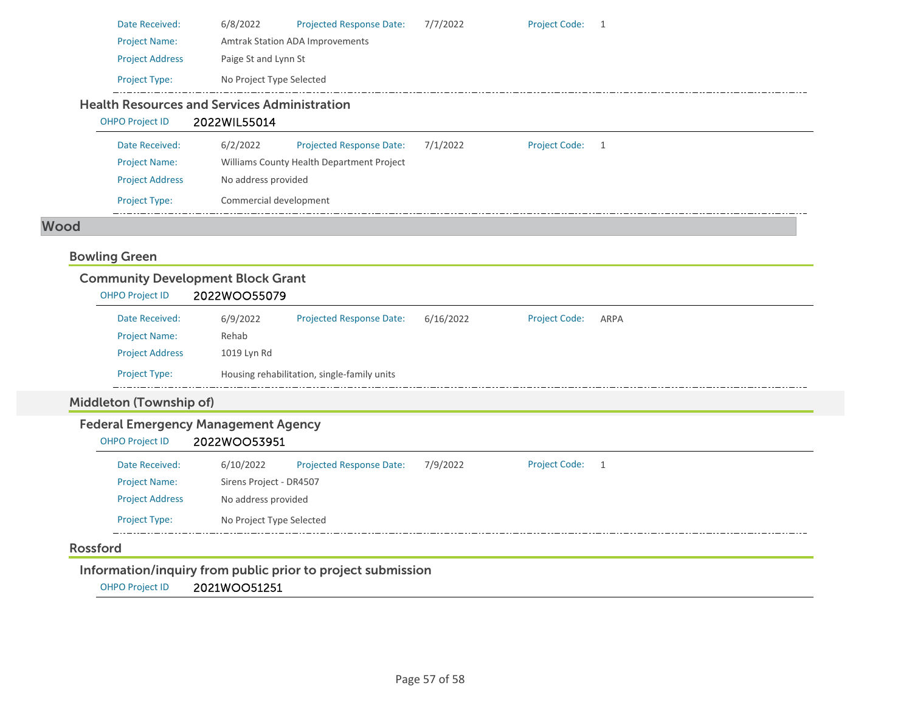|                      | Date Received:         | 6/8/2022                                                            | Projected Response Date:                  | 7/7/2022 | <b>Project Code:</b> |     |  |  |  |  |
|----------------------|------------------------|---------------------------------------------------------------------|-------------------------------------------|----------|----------------------|-----|--|--|--|--|
| <b>Project Name:</b> |                        |                                                                     | <b>Amtrak Station ADA Improvements</b>    |          |                      |     |  |  |  |  |
|                      | <b>Project Address</b> |                                                                     | Paige St and Lynn St                      |          |                      |     |  |  |  |  |
|                      | <b>Project Type:</b>   | No Project Type Selected                                            |                                           |          |                      |     |  |  |  |  |
|                      | <b>OHPO Project ID</b> | <b>Health Resources and Services Administration</b><br>2022WIL55014 |                                           |          |                      |     |  |  |  |  |
|                      | Date Received:         | 6/2/2022                                                            | Projected Response Date:                  | 7/1/2022 | <b>Project Code:</b> | - 1 |  |  |  |  |
|                      | <b>Project Name:</b>   |                                                                     | Williams County Health Department Project |          |                      |     |  |  |  |  |
|                      | <b>Project Address</b> | No address provided                                                 |                                           |          |                      |     |  |  |  |  |

#### Wood

### Bowling Green

| <b>Community Development Block Grant</b> |              |                                             |           |                      |      |  |  |  |
|------------------------------------------|--------------|---------------------------------------------|-----------|----------------------|------|--|--|--|
| <b>OHPO Project ID</b>                   | 2022WOO55079 |                                             |           |                      |      |  |  |  |
| Date Received:                           | 6/9/2022     | <b>Projected Response Date:</b>             | 6/16/2022 | <b>Project Code:</b> | ARPA |  |  |  |
| <b>Project Name:</b>                     | Rehab        |                                             |           |                      |      |  |  |  |
| <b>Project Address</b>                   | 1019 Lyn Rd  |                                             |           |                      |      |  |  |  |
| <b>Project Type:</b>                     |              | Housing rehabilitation, single-family units |           |                      |      |  |  |  |

## Middleton (Township of)

### Federal Emergency Management Agency

Project Type: Commercial development

OHPO Project ID 2022WOO53951

| Date Received:         | 6/10/2022                | <b>Projected Response Date:</b> | 7/9/2022 | <b>Project Code:</b> |  |  |
|------------------------|--------------------------|---------------------------------|----------|----------------------|--|--|
| <b>Project Name:</b>   | Sirens Project - DR4507  |                                 |          |                      |  |  |
| <b>Project Address</b> | No address provided      |                                 |          |                      |  |  |
| <b>Project Type:</b>   | No Project Type Selected |                                 |          |                      |  |  |
|                        |                          |                                 |          |                      |  |  |

### Rossford

Information/inquiry from public prior to project submission

OHPO Project ID 2021WOO51251